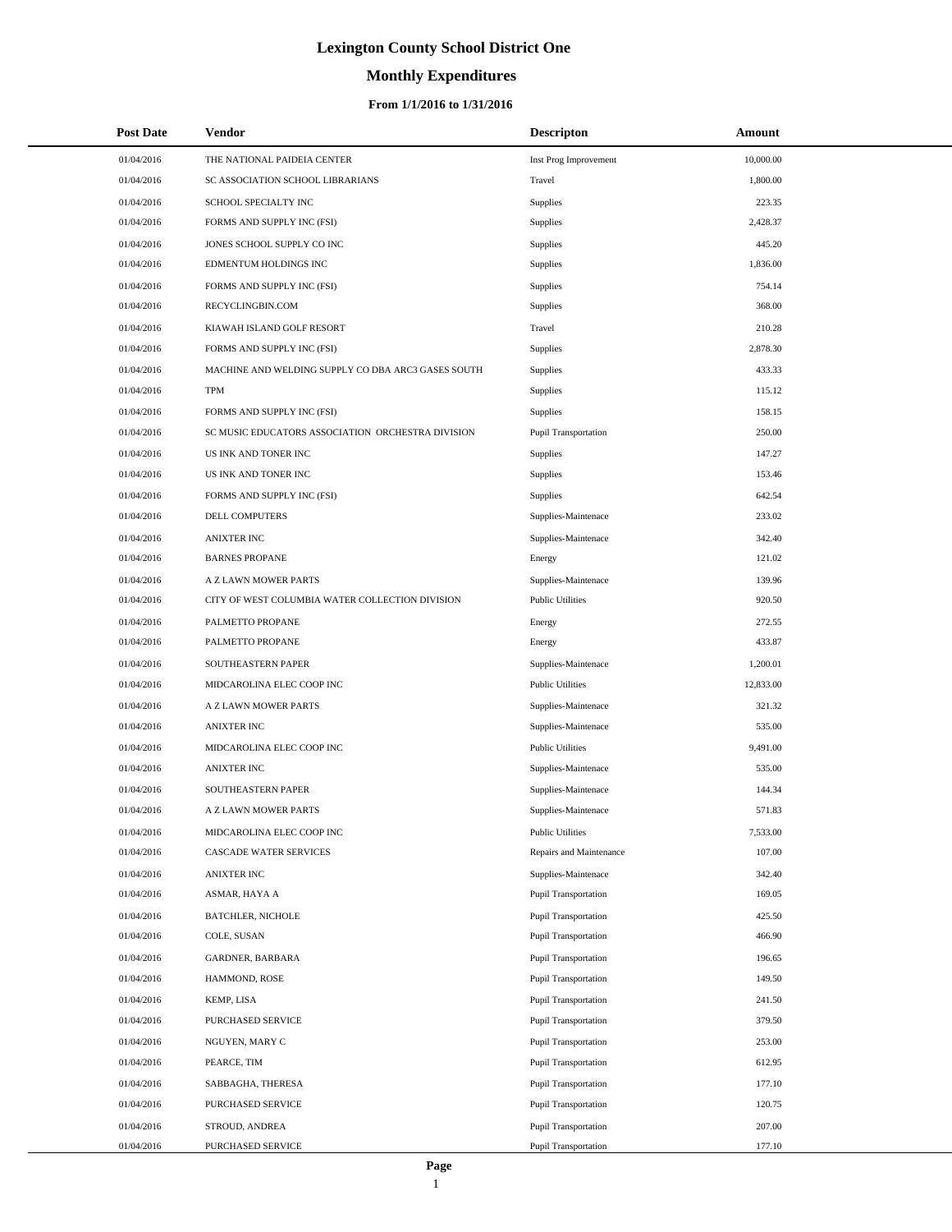# **Monthly Expenditures**

| <b>Post Date</b> | Vendor                                             | <b>Descripton</b>           | Amount    |
|------------------|----------------------------------------------------|-----------------------------|-----------|
| 01/04/2016       | THE NATIONAL PAIDEIA CENTER                        | Inst Prog Improvement       | 10,000.00 |
| 01/04/2016       | SC ASSOCIATION SCHOOL LIBRARIANS                   | Travel                      | 1,800.00  |
| 01/04/2016       | SCHOOL SPECIALTY INC                               | Supplies                    | 223.35    |
| 01/04/2016       | FORMS AND SUPPLY INC (FSI)                         | Supplies                    | 2,428.37  |
| 01/04/2016       | JONES SCHOOL SUPPLY CO INC                         | Supplies                    | 445.20    |
| 01/04/2016       | EDMENTUM HOLDINGS INC                              | Supplies                    | 1,836.00  |
| 01/04/2016       | FORMS AND SUPPLY INC (FSI)                         | Supplies                    | 754.14    |
| 01/04/2016       | RECYCLINGBIN.COM                                   | Supplies                    | 368.00    |
| 01/04/2016       | KIAWAH ISLAND GOLF RESORT                          | Travel                      | 210.28    |
| 01/04/2016       | FORMS AND SUPPLY INC (FSI)                         | Supplies                    | 2,878.30  |
| 01/04/2016       | MACHINE AND WELDING SUPPLY CO DBA ARC3 GASES SOUTH | Supplies                    | 433.33    |
| 01/04/2016       | <b>TPM</b>                                         | Supplies                    | 115.12    |
| 01/04/2016       | FORMS AND SUPPLY INC (FSI)                         | Supplies                    | 158.15    |
| 01/04/2016       | SC MUSIC EDUCATORS ASSOCIATION ORCHESTRA DIVISION  | Pupil Transportation        | 250.00    |
| 01/04/2016       | US INK AND TONER INC                               | Supplies                    | 147.27    |
| 01/04/2016       | US INK AND TONER INC                               | Supplies                    | 153.46    |
| 01/04/2016       | FORMS AND SUPPLY INC (FSI)                         | Supplies                    | 642.54    |
| 01/04/2016       | DELL COMPUTERS                                     | Supplies-Maintenace         | 233.02    |
| 01/04/2016       | <b>ANIXTER INC</b>                                 | Supplies-Maintenace         | 342.40    |
| 01/04/2016       | <b>BARNES PROPANE</b>                              | Energy                      | 121.02    |
| 01/04/2016       | A Z LAWN MOWER PARTS                               | Supplies-Maintenace         | 139.96    |
| 01/04/2016       | CITY OF WEST COLUMBIA WATER COLLECTION DIVISION    | <b>Public Utilities</b>     | 920.50    |
| 01/04/2016       | PALMETTO PROPANE                                   | Energy                      | 272.55    |
| 01/04/2016       | PALMETTO PROPANE                                   | Energy                      | 433.87    |
| 01/04/2016       | SOUTHEASTERN PAPER                                 | Supplies-Maintenace         | 1,200.01  |
| 01/04/2016       | MIDCAROLINA ELEC COOP INC                          | <b>Public Utilities</b>     | 12,833.00 |
| 01/04/2016       | A Z LAWN MOWER PARTS                               | Supplies-Maintenace         | 321.32    |
| 01/04/2016       | <b>ANIXTER INC</b>                                 | Supplies-Maintenace         | 535.00    |
| 01/04/2016       | MIDCAROLINA ELEC COOP INC                          | <b>Public Utilities</b>     | 9,491.00  |
| 01/04/2016       | ANIXTER INC                                        | Supplies-Maintenace         | 535.00    |
| 01/04/2016       | SOUTHEASTERN PAPER                                 | Supplies-Maintenace         | 144.34    |
| 01/04/2016       | A Z LAWN MOWER PARTS                               | Supplies-Maintenace         | 571.83    |
| 01/04/2016       | MIDCAROLINA ELEC COOP INC                          | <b>Public Utilities</b>     | 7,533.00  |
| 01/04/2016       | CASCADE WATER SERVICES                             | Repairs and Maintenance     | 107.00    |
| 01/04/2016       | <b>ANIXTER INC</b>                                 | Supplies-Maintenace         | 342.40    |
| 01/04/2016       | ASMAR, HAYA A                                      | Pupil Transportation        | 169.05    |
| 01/04/2016       | <b>BATCHLER, NICHOLE</b>                           | Pupil Transportation        | 425.50    |
| 01/04/2016       | COLE, SUSAN                                        | Pupil Transportation        | 466.90    |
| 01/04/2016       | <b>GARDNER, BARBARA</b>                            | Pupil Transportation        | 196.65    |
| 01/04/2016       | HAMMOND, ROSE                                      | Pupil Transportation        | 149.50    |
| 01/04/2016       | KEMP, LISA                                         | <b>Pupil Transportation</b> | 241.50    |
| 01/04/2016       | PURCHASED SERVICE                                  | Pupil Transportation        | 379.50    |
| 01/04/2016       | NGUYEN, MARY C                                     | Pupil Transportation        | 253.00    |
| 01/04/2016       | PEARCE, TIM                                        | Pupil Transportation        | 612.95    |
| 01/04/2016       | SABBAGHA, THERESA                                  | Pupil Transportation        | 177.10    |
| 01/04/2016       | PURCHASED SERVICE                                  | Pupil Transportation        | 120.75    |
| 01/04/2016       | STROUD, ANDREA                                     | Pupil Transportation        | 207.00    |
| 01/04/2016       | PURCHASED SERVICE                                  | Pupil Transportation        | 177.10    |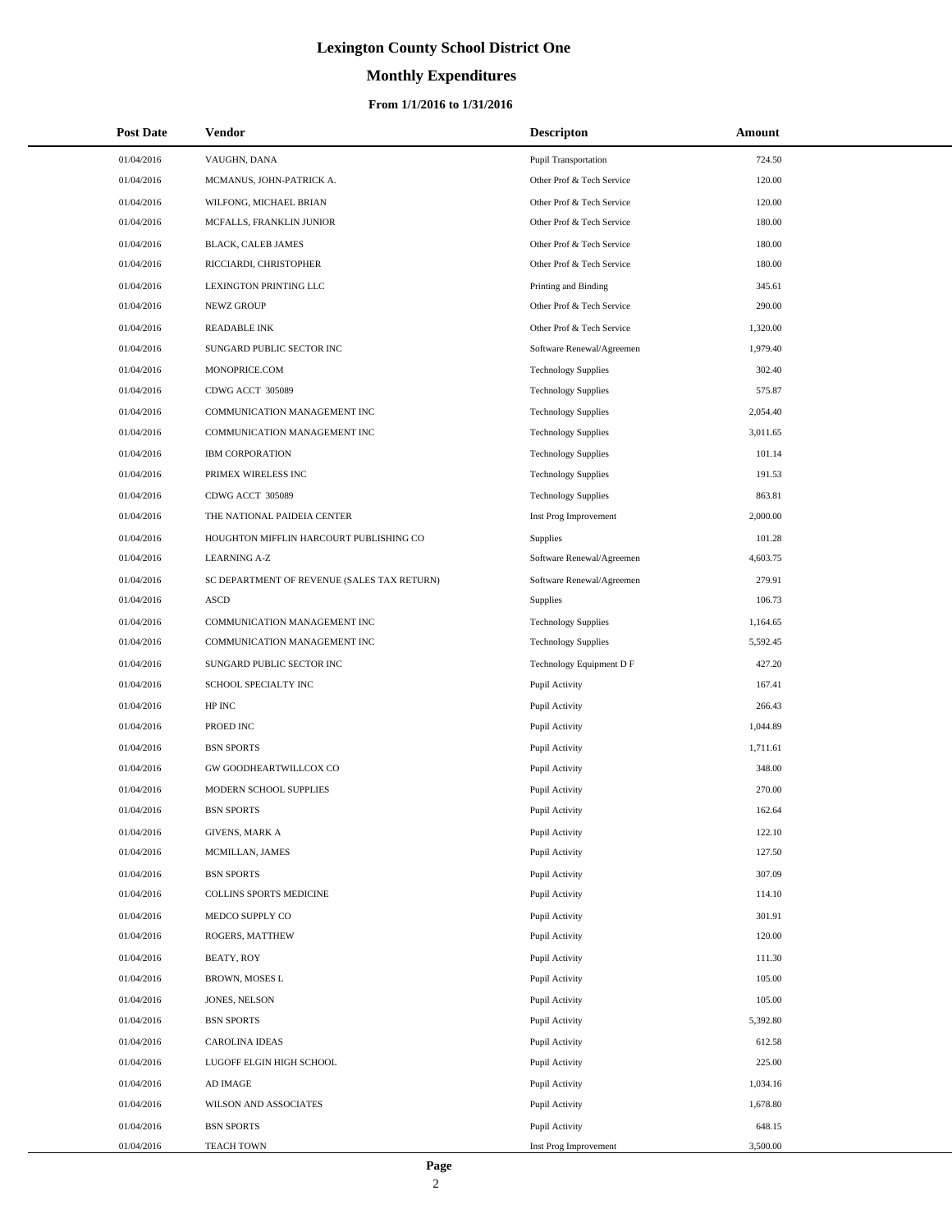# **Monthly Expenditures**

### **From 1/1/2016 to 1/31/2016**

| <b>Post Date</b> | Vendor                                      | <b>Descripton</b>           | Amount   |
|------------------|---------------------------------------------|-----------------------------|----------|
| 01/04/2016       | VAUGHN, DANA                                | <b>Pupil Transportation</b> | 724.50   |
| 01/04/2016       | MCMANUS, JOHN-PATRICK A.                    | Other Prof & Tech Service   | 120.00   |
| 01/04/2016       | WILFONG, MICHAEL BRIAN                      | Other Prof & Tech Service   | 120.00   |
| 01/04/2016       | MCFALLS, FRANKLIN JUNIOR                    | Other Prof & Tech Service   | 180.00   |
| 01/04/2016       | BLACK, CALEB JAMES                          | Other Prof & Tech Service   | 180.00   |
| 01/04/2016       | RICCIARDI, CHRISTOPHER                      | Other Prof & Tech Service   | 180.00   |
| 01/04/2016       | LEXINGTON PRINTING LLC                      | Printing and Binding        | 345.61   |
| 01/04/2016       | NEWZ GROUP                                  | Other Prof & Tech Service   | 290.00   |
| 01/04/2016       | READABLE INK                                | Other Prof & Tech Service   | 1,320.00 |
| 01/04/2016       | SUNGARD PUBLIC SECTOR INC                   | Software Renewal/Agreemen   | 1,979.40 |
| 01/04/2016       | MONOPRICE.COM                               | <b>Technology Supplies</b>  | 302.40   |
| 01/04/2016       | CDWG ACCT 305089                            | <b>Technology Supplies</b>  | 575.87   |
| 01/04/2016       | COMMUNICATION MANAGEMENT INC                | <b>Technology Supplies</b>  | 2,054.40 |
| 01/04/2016       | COMMUNICATION MANAGEMENT INC                | <b>Technology Supplies</b>  | 3,011.65 |
| 01/04/2016       | <b>IBM CORPORATION</b>                      | <b>Technology Supplies</b>  | 101.14   |
| 01/04/2016       | PRIMEX WIRELESS INC                         | <b>Technology Supplies</b>  | 191.53   |
| 01/04/2016       | CDWG ACCT 305089                            | <b>Technology Supplies</b>  | 863.81   |
| 01/04/2016       | THE NATIONAL PAIDEIA CENTER                 | Inst Prog Improvement       | 2,000.00 |
| 01/04/2016       | HOUGHTON MIFFLIN HARCOURT PUBLISHING CO     | Supplies                    | 101.28   |
| 01/04/2016       | <b>LEARNING A-Z</b>                         | Software Renewal/Agreemen   | 4,603.75 |
| 01/04/2016       | SC DEPARTMENT OF REVENUE (SALES TAX RETURN) | Software Renewal/Agreemen   | 279.91   |
| 01/04/2016       | <b>ASCD</b>                                 | <b>Supplies</b>             | 106.73   |
| 01/04/2016       | COMMUNICATION MANAGEMENT INC                | <b>Technology Supplies</b>  | 1,164.65 |
| 01/04/2016       | COMMUNICATION MANAGEMENT INC                | <b>Technology Supplies</b>  | 5,592.45 |
| 01/04/2016       | SUNGARD PUBLIC SECTOR INC                   | Technology Equipment D F    | 427.20   |
| 01/04/2016       | SCHOOL SPECIALTY INC                        | Pupil Activity              | 167.41   |
| 01/04/2016       | HP INC                                      | Pupil Activity              | 266.43   |
| 01/04/2016       | PROED INC                                   | Pupil Activity              | 1,044.89 |
| 01/04/2016       | <b>BSN SPORTS</b>                           | Pupil Activity              | 1,711.61 |
| 01/04/2016       | GW GOODHEARTWILLCOX CO                      | Pupil Activity              | 348.00   |
| 01/04/2016       | MODERN SCHOOL SUPPLIES                      | Pupil Activity              | 270.00   |
| 01/04/2016       | <b>BSN SPORTS</b>                           | Pupil Activity              | 162.64   |
| 01/04/2016       | <b>GIVENS, MARK A</b>                       | Pupil Activity              | 122.10   |
| 01/04/2016       | MCMILLAN, JAMES                             | Pupil Activity              | 127.50   |
| 01/04/2016       | <b>BSN SPORTS</b>                           | Pupil Activity              | 307.09   |
| 01/04/2016       | COLLINS SPORTS MEDICINE                     | Pupil Activity              | 114.10   |
| 01/04/2016       | MEDCO SUPPLY CO                             | Pupil Activity              | 301.91   |
| 01/04/2016       | ROGERS, MATTHEW                             | Pupil Activity              | 120.00   |
| 01/04/2016       | BEATY, ROY                                  | Pupil Activity              | 111.30   |
| 01/04/2016       | BROWN, MOSES L                              | Pupil Activity              | 105.00   |
| 01/04/2016       | JONES, NELSON                               | Pupil Activity              | 105.00   |
| 01/04/2016       | <b>BSN SPORTS</b>                           | Pupil Activity              | 5,392.80 |
| 01/04/2016       | <b>CAROLINA IDEAS</b>                       | Pupil Activity              | 612.58   |
| 01/04/2016       | LUGOFF ELGIN HIGH SCHOOL                    | Pupil Activity              | 225.00   |
| 01/04/2016       | AD IMAGE                                    | Pupil Activity              | 1,034.16 |
| 01/04/2016       | WILSON AND ASSOCIATES                       | Pupil Activity              | 1,678.80 |
| 01/04/2016       | <b>BSN SPORTS</b>                           | Pupil Activity              | 648.15   |
| 01/04/2016       | <b>TEACH TOWN</b>                           | Inst Prog Improvement       | 3,500.00 |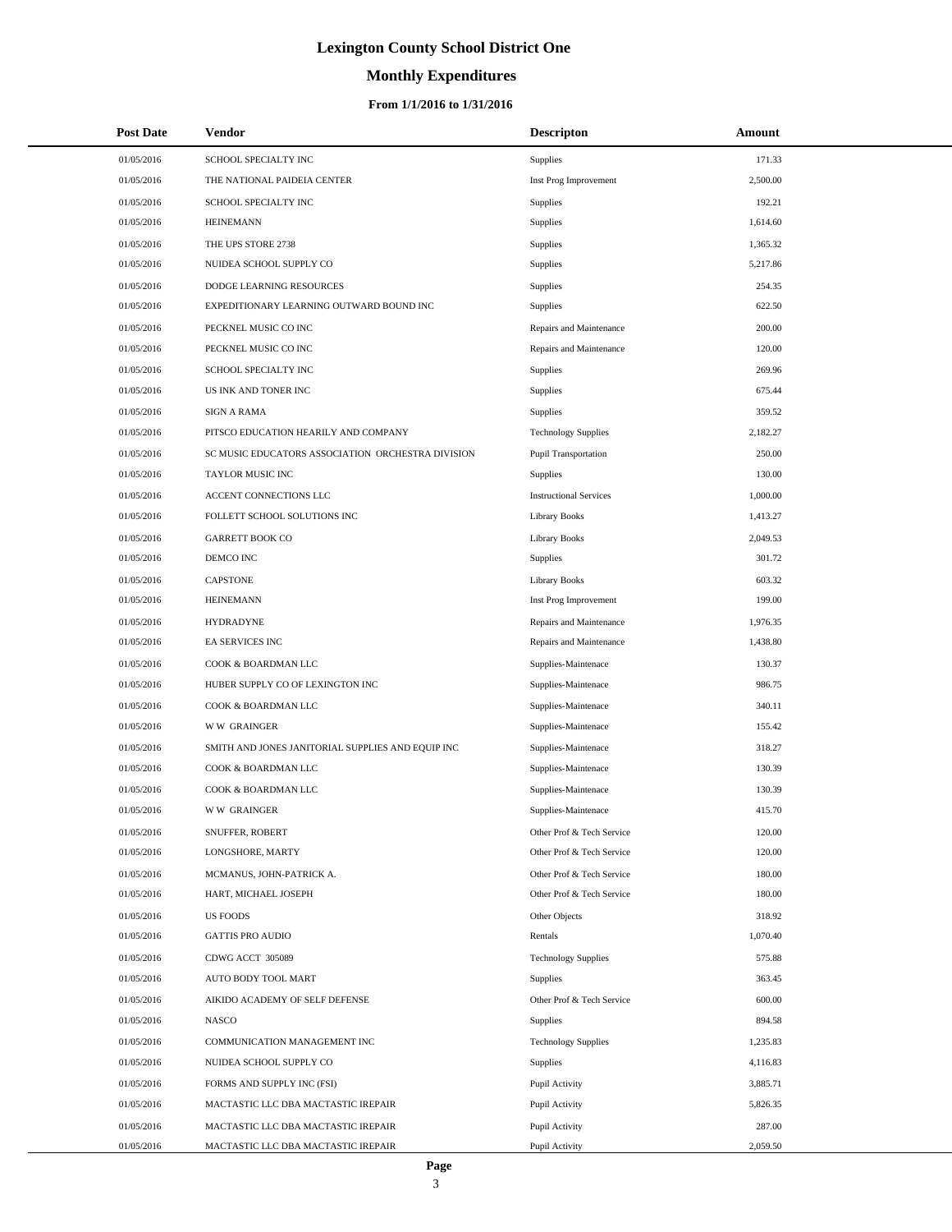# **Monthly Expenditures**

| <b>Post Date</b> | Vendor                                            | <b>Descripton</b>             | Amount   |
|------------------|---------------------------------------------------|-------------------------------|----------|
| 01/05/2016       | SCHOOL SPECIALTY INC                              | Supplies                      | 171.33   |
| 01/05/2016       | THE NATIONAL PAIDEIA CENTER                       | Inst Prog Improvement         | 2,500.00 |
| 01/05/2016       | SCHOOL SPECIALTY INC                              | Supplies                      | 192.21   |
| 01/05/2016       | <b>HEINEMANN</b>                                  | <b>Supplies</b>               | 1,614.60 |
| 01/05/2016       | THE UPS STORE 2738                                | Supplies                      | 1,365.32 |
| 01/05/2016       | NUIDEA SCHOOL SUPPLY CO                           | Supplies                      | 5,217.86 |
| 01/05/2016       | DODGE LEARNING RESOURCES                          | Supplies                      | 254.35   |
| 01/05/2016       | EXPEDITIONARY LEARNING OUTWARD BOUND INC          | Supplies                      | 622.50   |
| 01/05/2016       | PECKNEL MUSIC CO INC                              | Repairs and Maintenance       | 200.00   |
| 01/05/2016       | PECKNEL MUSIC CO INC                              | Repairs and Maintenance       | 120.00   |
| 01/05/2016       | SCHOOL SPECIALTY INC                              | Supplies                      | 269.96   |
| 01/05/2016       | US INK AND TONER INC                              | Supplies                      | 675.44   |
| 01/05/2016       | <b>SIGN A RAMA</b>                                | Supplies                      | 359.52   |
| 01/05/2016       | PITSCO EDUCATION HEARILY AND COMPANY              | <b>Technology Supplies</b>    | 2.182.27 |
| 01/05/2016       | SC MUSIC EDUCATORS ASSOCIATION ORCHESTRA DIVISION | Pupil Transportation          | 250.00   |
| 01/05/2016       | TAYLOR MUSIC INC                                  | <b>Supplies</b>               | 130.00   |
| 01/05/2016       | ACCENT CONNECTIONS LLC                            | <b>Instructional Services</b> | 1,000.00 |
| 01/05/2016       | FOLLETT SCHOOL SOLUTIONS INC                      | <b>Library Books</b>          | 1,413.27 |
| 01/05/2016       | <b>GARRETT BOOK CO</b>                            | <b>Library Books</b>          | 2,049.53 |
| 01/05/2016       | DEMCO INC                                         | <b>Supplies</b>               | 301.72   |
| 01/05/2016       | <b>CAPSTONE</b>                                   | <b>Library Books</b>          | 603.32   |
| 01/05/2016       | <b>HEINEMANN</b>                                  | Inst Prog Improvement         | 199.00   |
| 01/05/2016       | <b>HYDRADYNE</b>                                  | Repairs and Maintenance       | 1,976.35 |
| 01/05/2016       | <b>EA SERVICES INC</b>                            | Repairs and Maintenance       | 1,438.80 |
| 01/05/2016       | COOK & BOARDMAN LLC                               | Supplies-Maintenace           | 130.37   |
| 01/05/2016       | HUBER SUPPLY CO OF LEXINGTON INC                  | Supplies-Maintenace           | 986.75   |
| 01/05/2016       | COOK & BOARDMAN LLC                               | Supplies-Maintenace           | 340.11   |
| 01/05/2016       | <b>WW GRAINGER</b>                                | Supplies-Maintenace           | 155.42   |
| 01/05/2016       | SMITH AND JONES JANITORIAL SUPPLIES AND EQUIP INC | Supplies-Maintenace           | 318.27   |
| 01/05/2016       | COOK & BOARDMAN LLC                               | Supplies-Maintenace           | 130.39   |
| 01/05/2016       | COOK & BOARDMAN LLC                               | Supplies-Maintenace           | 130.39   |
| 01/05/2016       | <b>WW GRAINGER</b>                                | Supplies-Maintenace           | 415.70   |
| 01/05/2016       | SNUFFER, ROBERT                                   | Other Prof & Tech Service     | 120.00   |
| 01/05/2016       | LONGSHORE, MARTY                                  | Other Prof & Tech Service     | 120.00   |
| 01/05/2016       | MCMANUS, JOHN-PATRICK A.                          | Other Prof & Tech Service     | 180.00   |
| 01/05/2016       | HART, MICHAEL JOSEPH                              | Other Prof & Tech Service     | 180.00   |
| 01/05/2016       | US FOODS                                          | Other Objects                 | 318.92   |
| 01/05/2016       | <b>GATTIS PRO AUDIO</b>                           | Rentals                       | 1,070.40 |
| 01/05/2016       | CDWG ACCT 305089                                  | <b>Technology Supplies</b>    | 575.88   |
| 01/05/2016       | AUTO BODY TOOL MART                               | <b>Supplies</b>               | 363.45   |
| 01/05/2016       | AIKIDO ACADEMY OF SELF DEFENSE                    | Other Prof & Tech Service     | 600.00   |
| 01/05/2016       | <b>NASCO</b>                                      | <b>Supplies</b>               | 894.58   |
| 01/05/2016       | COMMUNICATION MANAGEMENT INC                      | <b>Technology Supplies</b>    | 1,235.83 |
| 01/05/2016       | NUIDEA SCHOOL SUPPLY CO                           | Supplies                      | 4,116.83 |
| 01/05/2016       | FORMS AND SUPPLY INC (FSI)                        | Pupil Activity                | 3,885.71 |
| 01/05/2016       | MACTASTIC LLC DBA MACTASTIC IREPAIR               | Pupil Activity                | 5,826.35 |
| 01/05/2016       | MACTASTIC LLC DBA MACTASTIC IREPAIR               | Pupil Activity                | 287.00   |
| 01/05/2016       | MACTASTIC LLC DBA MACTASTIC IREPAIR               | Pupil Activity                | 2,059.50 |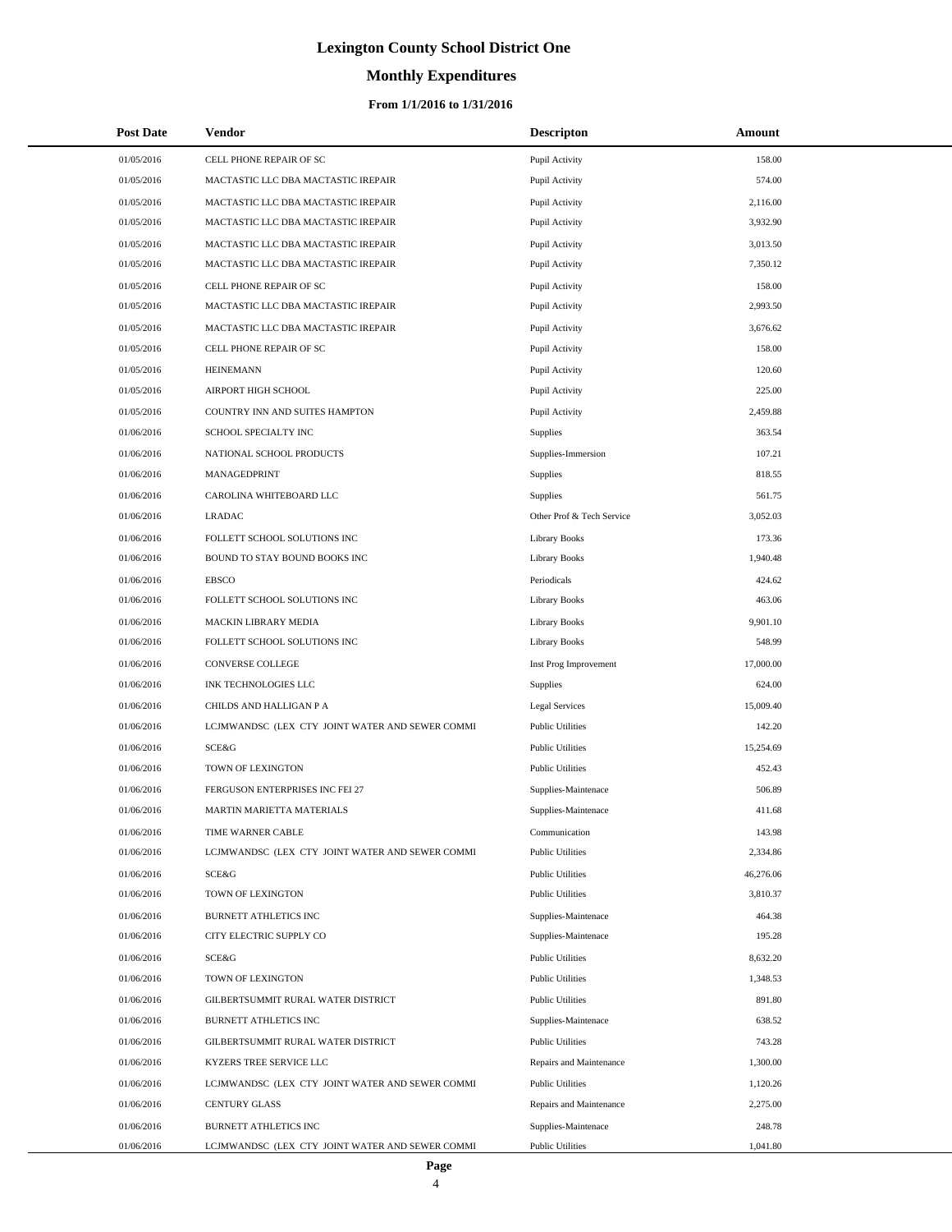# **Monthly Expenditures**

### **From 1/1/2016 to 1/31/2016**

| <b>Post Date</b>         | <b>Vendor</b>                                    | <b>Descripton</b>                                  | Amount               |
|--------------------------|--------------------------------------------------|----------------------------------------------------|----------------------|
| 01/05/2016               | CELL PHONE REPAIR OF SC                          | Pupil Activity                                     | 158.00               |
| 01/05/2016               | MACTASTIC LLC DBA MACTASTIC IREPAIR              | Pupil Activity                                     | 574.00               |
| 01/05/2016               | MACTASTIC LLC DBA MACTASTIC IREPAIR              | Pupil Activity                                     | 2,116.00             |
| 01/05/2016               | MACTASTIC LLC DBA MACTASTIC IREPAIR              | Pupil Activity                                     | 3,932.90             |
| 01/05/2016               | MACTASTIC LLC DBA MACTASTIC IREPAIR              | Pupil Activity                                     | 3,013.50             |
| 01/05/2016               | MACTASTIC LLC DBA MACTASTIC IREPAIR              | Pupil Activity                                     | 7,350.12             |
| 01/05/2016               | CELL PHONE REPAIR OF SC                          | Pupil Activity                                     | 158.00               |
| 01/05/2016               | MACTASTIC LLC DBA MACTASTIC IREPAIR              | Pupil Activity                                     | 2,993.50             |
| 01/05/2016               | MACTASTIC LLC DBA MACTASTIC IREPAIR              | Pupil Activity                                     | 3,676.62             |
| 01/05/2016               | CELL PHONE REPAIR OF SC                          | Pupil Activity                                     | 158.00               |
| 01/05/2016               | <b>HEINEMANN</b>                                 | Pupil Activity                                     | 120.60               |
| 01/05/2016               | AIRPORT HIGH SCHOOL                              | Pupil Activity                                     | 225.00               |
| 01/05/2016               | COUNTRY INN AND SUITES HAMPTON                   | Pupil Activity                                     | 2,459.88             |
| 01/06/2016               | SCHOOL SPECIALTY INC                             | Supplies                                           | 363.54               |
| 01/06/2016               | NATIONAL SCHOOL PRODUCTS                         | Supplies-Immersion                                 | 107.21               |
| 01/06/2016               | MANAGEDPRINT                                     | Supplies                                           | 818.55               |
| 01/06/2016               | CAROLINA WHITEBOARD LLC                          | Supplies                                           | 561.75               |
| 01/06/2016               | <b>LRADAC</b>                                    | Other Prof & Tech Service                          | 3,052.03             |
| 01/06/2016               | FOLLETT SCHOOL SOLUTIONS INC                     | Library Books                                      | 173.36               |
| 01/06/2016               | BOUND TO STAY BOUND BOOKS INC                    | Library Books                                      | 1,940.48             |
| 01/06/2016               | <b>EBSCO</b>                                     | Periodicals                                        | 424.62               |
| 01/06/2016               | FOLLETT SCHOOL SOLUTIONS INC                     | Library Books                                      | 463.06               |
| 01/06/2016               | MACKIN LIBRARY MEDIA                             | Library Books                                      | 9,901.10             |
| 01/06/2016               | FOLLETT SCHOOL SOLUTIONS INC                     | Library Books                                      | 548.99               |
| 01/06/2016               | CONVERSE COLLEGE                                 | Inst Prog Improvement                              | 17,000.00            |
| 01/06/2016               | INK TECHNOLOGIES LLC                             | Supplies                                           | 624.00               |
| 01/06/2016               | CHILDS AND HALLIGAN P A                          | <b>Legal Services</b>                              | 15,009.40            |
| 01/06/2016               | LCJMWANDSC (LEX CTY JOINT WATER AND SEWER COMMI  | <b>Public Utilities</b>                            | 142.20               |
| 01/06/2016               | SCE&G                                            | <b>Public Utilities</b>                            | 15,254.69            |
| 01/06/2016               | TOWN OF LEXINGTON                                | <b>Public Utilities</b>                            | 452.43               |
| 01/06/2016               | FERGUSON ENTERPRISES INC FEI 27                  | Supplies-Maintenace                                | 506.89               |
| 01/06/2016               | MARTIN MARIETTA MATERIALS                        | Supplies-Maintenace                                | 411.68               |
| 01/06/2016               | TIME WARNER CABLE                                | Communication                                      | 143.98               |
| 01/06/2016               | LCJMWANDSC (LEX CTY JOINT WATER AND SEWER COMMI  | <b>Public Utilities</b>                            | 2,334.86             |
| 01/06/2016               | SCE&G<br>TOWN OF LEXINGTON                       | <b>Public Utilities</b>                            | 46,276.06            |
| 01/06/2016               |                                                  | <b>Public Utilities</b>                            | 3,810.37             |
| 01/06/2016<br>01/06/2016 | BURNETT ATHLETICS INC<br>CITY ELECTRIC SUPPLY CO | Supplies-Maintenace                                | 464.38<br>195.28     |
|                          |                                                  | Supplies-Maintenace                                |                      |
| 01/06/2016<br>01/06/2016 | SCE&G<br>TOWN OF LEXINGTON                       | <b>Public Utilities</b><br><b>Public Utilities</b> | 8,632.20<br>1,348.53 |
| 01/06/2016               | GILBERTSUMMIT RURAL WATER DISTRICT               | <b>Public Utilities</b>                            | 891.80               |
| 01/06/2016               | BURNETT ATHLETICS INC                            | Supplies-Maintenace                                | 638.52               |
| 01/06/2016               | GILBERTSUMMIT RURAL WATER DISTRICT               | <b>Public Utilities</b>                            | 743.28               |
| 01/06/2016               | KYZERS TREE SERVICE LLC                          | Repairs and Maintenance                            | 1,300.00             |
| 01/06/2016               | LCJMWANDSC (LEX CTY JOINT WATER AND SEWER COMMI  | <b>Public Utilities</b>                            | 1,120.26             |
| 01/06/2016               | <b>CENTURY GLASS</b>                             | Repairs and Maintenance                            | 2,275.00             |
| 01/06/2016               | BURNETT ATHLETICS INC                            | Supplies-Maintenace                                | 248.78               |
| 01/06/2016               | LCJMWANDSC (LEX CTY JOINT WATER AND SEWER COMMI  | <b>Public Utilities</b>                            | 1,041.80             |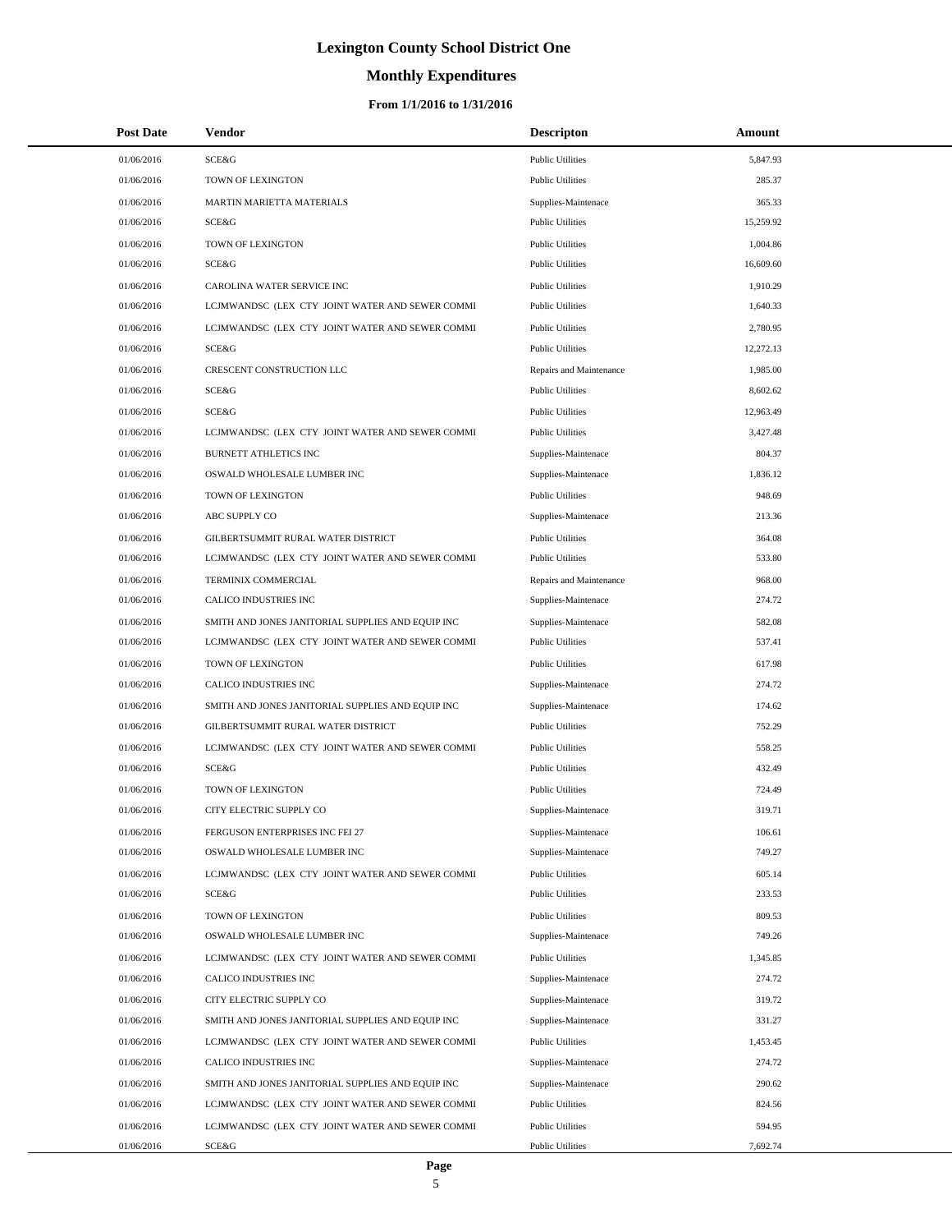# **Monthly Expenditures**

| <b>Post Date</b> | Vendor                                            | <b>Descripton</b>       | Amount    |
|------------------|---------------------------------------------------|-------------------------|-----------|
| 01/06/2016       | SCE&G                                             | <b>Public Utilities</b> | 5,847.93  |
| 01/06/2016       | TOWN OF LEXINGTON                                 | <b>Public Utilities</b> | 285.37    |
| 01/06/2016       | MARTIN MARIETTA MATERIALS                         | Supplies-Maintenace     | 365.33    |
| 01/06/2016       | SCE&G                                             | <b>Public Utilities</b> | 15,259.92 |
| 01/06/2016       | TOWN OF LEXINGTON                                 | <b>Public Utilities</b> | 1,004.86  |
| 01/06/2016       | SCE&G                                             | <b>Public Utilities</b> | 16,609.60 |
| 01/06/2016       | CAROLINA WATER SERVICE INC                        | <b>Public Utilities</b> | 1,910.29  |
| 01/06/2016       | LCJMWANDSC (LEX CTY JOINT WATER AND SEWER COMMI   | <b>Public Utilities</b> | 1,640.33  |
| 01/06/2016       | LCJMWANDSC (LEX CTY JOINT WATER AND SEWER COMMI   | <b>Public Utilities</b> | 2,780.95  |
| 01/06/2016       | SCE&G                                             | <b>Public Utilities</b> | 12,272.13 |
| 01/06/2016       | CRESCENT CONSTRUCTION LLC                         | Repairs and Maintenance | 1,985.00  |
| 01/06/2016       | <b>SCE&amp;G</b>                                  | <b>Public Utilities</b> | 8,602.62  |
| 01/06/2016       | <b>SCE&amp;G</b>                                  | <b>Public Utilities</b> | 12,963.49 |
| 01/06/2016       | LCJMWANDSC (LEX CTY JOINT WATER AND SEWER COMMI   | <b>Public Utilities</b> | 3,427.48  |
| 01/06/2016       | BURNETT ATHLETICS INC                             | Supplies-Maintenace     | 804.37    |
| 01/06/2016       | OSWALD WHOLESALE LUMBER INC                       | Supplies-Maintenace     | 1,836.12  |
| 01/06/2016       | TOWN OF LEXINGTON                                 | <b>Public Utilities</b> | 948.69    |
| 01/06/2016       | ABC SUPPLY CO                                     | Supplies-Maintenace     | 213.36    |
| 01/06/2016       | GILBERTSUMMIT RURAL WATER DISTRICT                | <b>Public Utilities</b> | 364.08    |
| 01/06/2016       | LCJMWANDSC (LEX CTY JOINT WATER AND SEWER COMMI   | <b>Public Utilities</b> | 533.80    |
| 01/06/2016       | TERMINIX COMMERCIAL                               | Repairs and Maintenance | 968.00    |
| 01/06/2016       | CALICO INDUSTRIES INC                             | Supplies-Maintenace     | 274.72    |
| 01/06/2016       | SMITH AND JONES JANITORIAL SUPPLIES AND EQUIP INC | Supplies-Maintenace     | 582.08    |
| 01/06/2016       | LCJMWANDSC (LEX CTY JOINT WATER AND SEWER COMMI   | <b>Public Utilities</b> | 537.41    |
| 01/06/2016       | TOWN OF LEXINGTON                                 | <b>Public Utilities</b> | 617.98    |
| 01/06/2016       | CALICO INDUSTRIES INC                             | Supplies-Maintenace     | 274.72    |
| 01/06/2016       | SMITH AND JONES JANITORIAL SUPPLIES AND EQUIP INC | Supplies-Maintenace     | 174.62    |
| 01/06/2016       | GILBERTSUMMIT RURAL WATER DISTRICT                | <b>Public Utilities</b> | 752.29    |
| 01/06/2016       | LCJMWANDSC (LEX CTY JOINT WATER AND SEWER COMMI   | <b>Public Utilities</b> | 558.25    |
| 01/06/2016       | SCE&G                                             | <b>Public Utilities</b> | 432.49    |
| 01/06/2016       | TOWN OF LEXINGTON                                 | <b>Public Utilities</b> | 724.49    |
| 01/06/2016       | CITY ELECTRIC SUPPLY CO                           | Supplies-Maintenace     | 319.71    |
| 01/06/2016       | FERGUSON ENTERPRISES INC FEI 27                   | Supplies-Maintenace     | 106.61    |
| 01/06/2016       | OSWALD WHOLESALE LUMBER INC                       | Supplies-Maintenace     | 749.27    |
| 01/06/2016       | LCJMWANDSC (LEX CTY JOINT WATER AND SEWER COMMI   | <b>Public Utilities</b> | 605.14    |
| 01/06/2016       | SCE&G                                             | <b>Public Utilities</b> | 233.53    |
| 01/06/2016       | TOWN OF LEXINGTON                                 | <b>Public Utilities</b> | 809.53    |
| 01/06/2016       | OSWALD WHOLESALE LUMBER INC                       | Supplies-Maintenace     | 749.26    |
| 01/06/2016       | LCJMWANDSC (LEX CTY JOINT WATER AND SEWER COMMI   | <b>Public Utilities</b> | 1,345.85  |
| 01/06/2016       | CALICO INDUSTRIES INC                             | Supplies-Maintenace     | 274.72    |
| 01/06/2016       | CITY ELECTRIC SUPPLY CO                           | Supplies-Maintenace     | 319.72    |
| 01/06/2016       | SMITH AND JONES JANITORIAL SUPPLIES AND EQUIP INC | Supplies-Maintenace     | 331.27    |
| 01/06/2016       | LCJMWANDSC (LEX CTY JOINT WATER AND SEWER COMMI   | <b>Public Utilities</b> | 1,453.45  |
| 01/06/2016       | CALICO INDUSTRIES INC                             | Supplies-Maintenace     | 274.72    |
| 01/06/2016       | SMITH AND JONES JANITORIAL SUPPLIES AND EQUIP INC | Supplies-Maintenace     | 290.62    |
| 01/06/2016       | LCJMWANDSC (LEX CTY JOINT WATER AND SEWER COMMI   | <b>Public Utilities</b> | 824.56    |
| 01/06/2016       | LCJMWANDSC (LEX CTY JOINT WATER AND SEWER COMMI   | <b>Public Utilities</b> | 594.95    |
| 01/06/2016       | SCE&G                                             | <b>Public Utilities</b> | 7,692.74  |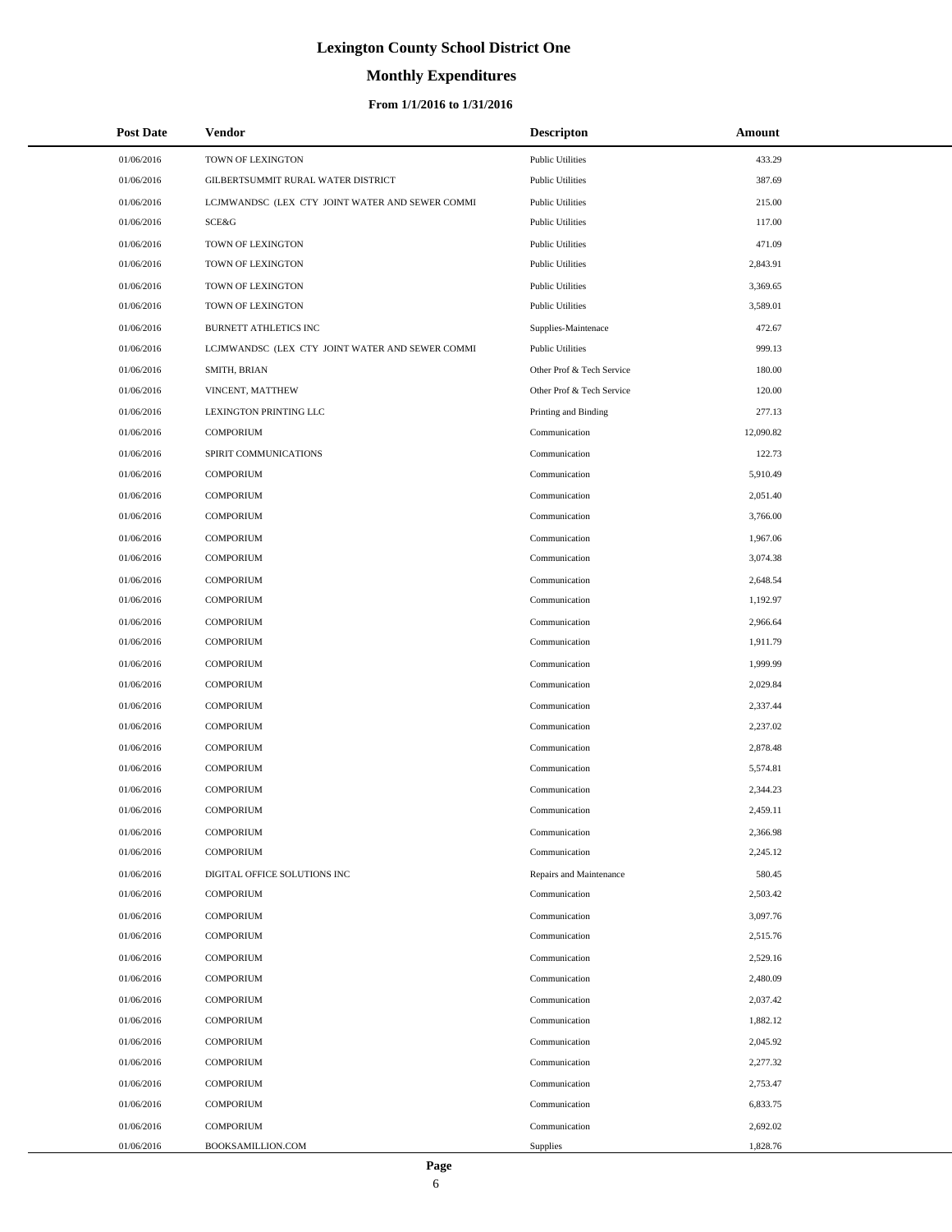# **Monthly Expenditures**

| <b>Post Date</b> | Vendor                                          | <b>Descripton</b>         | Amount    |
|------------------|-------------------------------------------------|---------------------------|-----------|
| 01/06/2016       | TOWN OF LEXINGTON                               | <b>Public Utilities</b>   | 433.29    |
| 01/06/2016       | GILBERTSUMMIT RURAL WATER DISTRICT              | <b>Public Utilities</b>   | 387.69    |
| 01/06/2016       | LCJMWANDSC (LEX CTY JOINT WATER AND SEWER COMMI | <b>Public Utilities</b>   | 215.00    |
| 01/06/2016       | SCE&G                                           | <b>Public Utilities</b>   | 117.00    |
| 01/06/2016       | TOWN OF LEXINGTON                               | <b>Public Utilities</b>   | 471.09    |
| 01/06/2016       | TOWN OF LEXINGTON                               | <b>Public Utilities</b>   | 2,843.91  |
| 01/06/2016       | TOWN OF LEXINGTON                               | <b>Public Utilities</b>   | 3,369.65  |
| 01/06/2016       | TOWN OF LEXINGTON                               | <b>Public Utilities</b>   | 3,589.01  |
| 01/06/2016       | BURNETT ATHLETICS INC                           | Supplies-Maintenace       | 472.67    |
| 01/06/2016       | LCJMWANDSC (LEX CTY JOINT WATER AND SEWER COMMI | <b>Public Utilities</b>   | 999.13    |
| 01/06/2016       | SMITH, BRIAN                                    | Other Prof & Tech Service | 180.00    |
| 01/06/2016       | VINCENT, MATTHEW                                | Other Prof & Tech Service | 120.00    |
| 01/06/2016       | LEXINGTON PRINTING LLC                          | Printing and Binding      | 277.13    |
| 01/06/2016       | <b>COMPORIUM</b>                                | Communication             | 12,090.82 |
| 01/06/2016       | SPIRIT COMMUNICATIONS                           | Communication             | 122.73    |
| 01/06/2016       | <b>COMPORIUM</b>                                | Communication             | 5,910.49  |
| 01/06/2016       | <b>COMPORIUM</b>                                | Communication             | 2.051.40  |
| 01/06/2016       | <b>COMPORIUM</b>                                | Communication             | 3,766.00  |
| 01/06/2016       | <b>COMPORIUM</b>                                | Communication             | 1,967.06  |
| 01/06/2016       | <b>COMPORIUM</b>                                | Communication             | 3,074.38  |
| 01/06/2016       | <b>COMPORIUM</b>                                | Communication             | 2,648.54  |
| 01/06/2016       | <b>COMPORIUM</b>                                | Communication             | 1,192.97  |
| 01/06/2016       | <b>COMPORIUM</b>                                | Communication             | 2,966.64  |
| 01/06/2016       | <b>COMPORIUM</b>                                | Communication             | 1,911.79  |
| 01/06/2016       | <b>COMPORIUM</b>                                | Communication             | 1,999.99  |
| 01/06/2016       | <b>COMPORIUM</b>                                | Communication             | 2,029.84  |
| 01/06/2016       | <b>COMPORIUM</b>                                | Communication             | 2,337.44  |
| 01/06/2016       | <b>COMPORIUM</b>                                | Communication             | 2,237.02  |
| 01/06/2016       | <b>COMPORIUM</b>                                | Communication             | 2,878.48  |
| 01/06/2016       | <b>COMPORIUM</b>                                | Communication             | 5,574.81  |
| 01/06/2016       | <b>COMPORIUM</b>                                | Communication             | 2,344.23  |
| 01/06/2016       | <b>COMPORIUM</b>                                | Communication             | 2,459.11  |
| 01/06/2016       | <b>COMPORIUM</b>                                | Communication             | 2,366.98  |
| 01/06/2016       | <b>COMPORIUM</b>                                | Communication             | 2,245.12  |
| 01/06/2016       | DIGITAL OFFICE SOLUTIONS INC                    | Repairs and Maintenance   | 580.45    |
| 01/06/2016       | <b>COMPORIUM</b>                                | Communication             | 2,503.42  |
| 01/06/2016       | <b>COMPORIUM</b>                                | Communication             | 3,097.76  |
| 01/06/2016       | <b>COMPORIUM</b>                                | Communication             | 2,515.76  |
| 01/06/2016       | <b>COMPORIUM</b>                                | Communication             | 2,529.16  |
| 01/06/2016       | <b>COMPORIUM</b>                                | Communication             | 2,480.09  |
| 01/06/2016       | <b>COMPORIUM</b>                                | Communication             | 2,037.42  |
| 01/06/2016       | <b>COMPORIUM</b>                                | Communication             | 1,882.12  |
| 01/06/2016       | <b>COMPORIUM</b>                                | Communication             | 2,045.92  |
| 01/06/2016       | <b>COMPORIUM</b>                                | Communication             | 2,277.32  |
| 01/06/2016       | <b>COMPORIUM</b>                                | Communication             | 2,753.47  |
| 01/06/2016       | <b>COMPORIUM</b>                                | Communication             | 6,833.75  |
| 01/06/2016       | <b>COMPORIUM</b>                                | Communication             | 2,692.02  |
| 01/06/2016       | BOOKSAMILLION.COM                               | Supplies                  | 1,828.76  |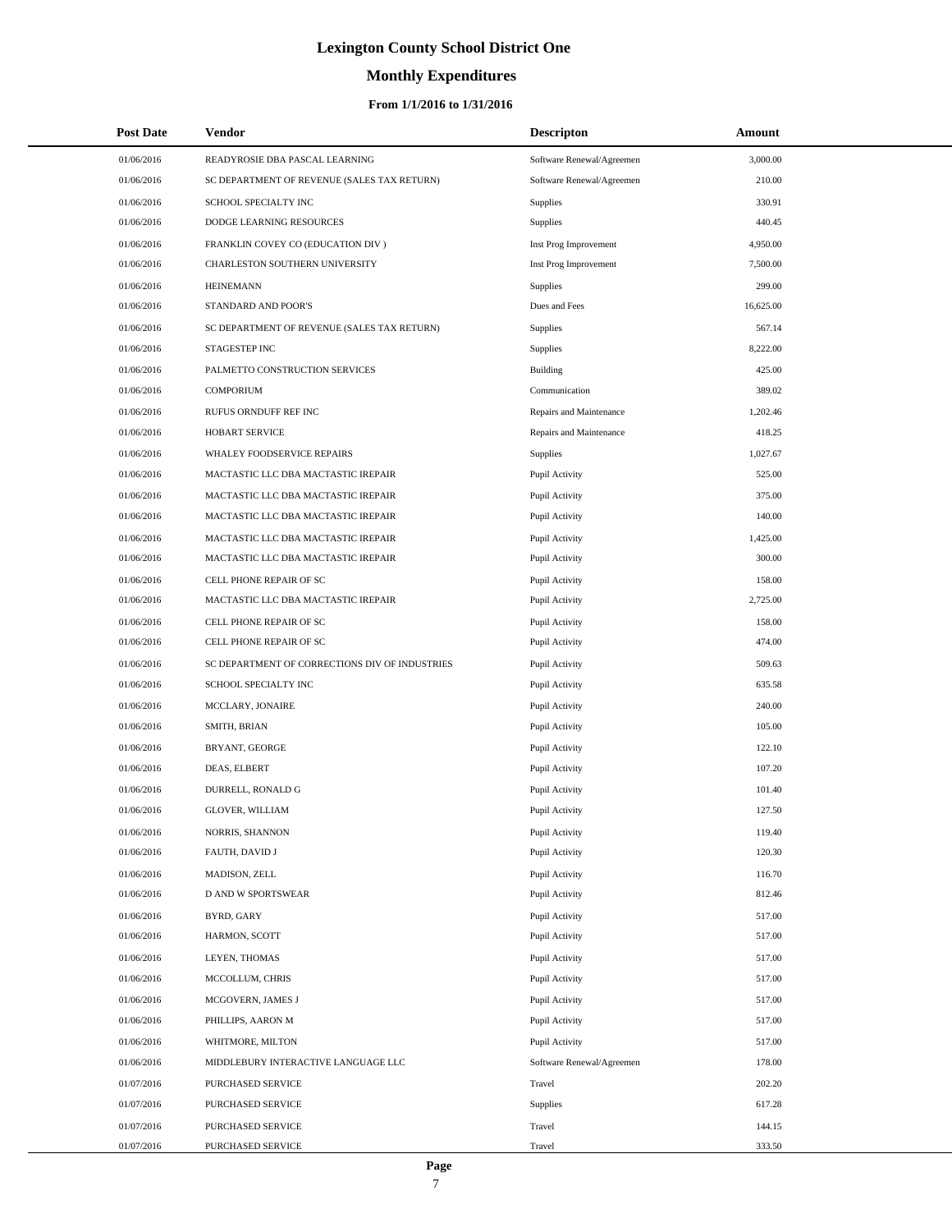# **Monthly Expenditures**

| <b>Post Date</b> | Vendor                                         | <b>Descripton</b>         | Amount    |  |
|------------------|------------------------------------------------|---------------------------|-----------|--|
| 01/06/2016       | READYROSIE DBA PASCAL LEARNING                 | Software Renewal/Agreemen | 3,000.00  |  |
| 01/06/2016       | SC DEPARTMENT OF REVENUE (SALES TAX RETURN)    | Software Renewal/Agreemen | 210.00    |  |
| 01/06/2016       | SCHOOL SPECIALTY INC                           | Supplies                  | 330.91    |  |
| 01/06/2016       | DODGE LEARNING RESOURCES                       | Supplies                  | 440.45    |  |
| 01/06/2016       | FRANKLIN COVEY CO (EDUCATION DIV)              | Inst Prog Improvement     | 4,950.00  |  |
| 01/06/2016       | CHARLESTON SOUTHERN UNIVERSITY                 | Inst Prog Improvement     | 7,500.00  |  |
| 01/06/2016       | <b>HEINEMANN</b>                               | Supplies                  | 299.00    |  |
| 01/06/2016       | STANDARD AND POOR'S                            | Dues and Fees             | 16,625.00 |  |
| 01/06/2016       | SC DEPARTMENT OF REVENUE (SALES TAX RETURN)    | Supplies                  | 567.14    |  |
| 01/06/2016       | STAGESTEP INC                                  | Supplies                  | 8,222.00  |  |
| 01/06/2016       | PALMETTO CONSTRUCTION SERVICES                 | <b>Building</b>           | 425.00    |  |
| 01/06/2016       | <b>COMPORIUM</b>                               | Communication             | 389.02    |  |
| 01/06/2016       | RUFUS ORNDUFF REF INC                          | Repairs and Maintenance   | 1,202.46  |  |
| 01/06/2016       | HOBART SERVICE                                 | Repairs and Maintenance   | 418.25    |  |
| 01/06/2016       | <b>WHALEY FOODSERVICE REPAIRS</b>              | Supplies                  | 1,027.67  |  |
| 01/06/2016       | MACTASTIC LLC DBA MACTASTIC IREPAIR            | Pupil Activity            | 525.00    |  |
| 01/06/2016       | MACTASTIC LLC DBA MACTASTIC IREPAIR            | Pupil Activity            | 375.00    |  |
| 01/06/2016       | MACTASTIC LLC DBA MACTASTIC IREPAIR            | Pupil Activity            | 140.00    |  |
| 01/06/2016       | MACTASTIC LLC DBA MACTASTIC IREPAIR            | Pupil Activity            | 1,425.00  |  |
| 01/06/2016       | MACTASTIC LLC DBA MACTASTIC IREPAIR            | Pupil Activity            | 300.00    |  |
| 01/06/2016       | CELL PHONE REPAIR OF SC                        | Pupil Activity            | 158.00    |  |
| 01/06/2016       | MACTASTIC LLC DBA MACTASTIC IREPAIR            | Pupil Activity            | 2,725.00  |  |
| 01/06/2016       | CELL PHONE REPAIR OF SC                        | Pupil Activity            | 158.00    |  |
| 01/06/2016       | CELL PHONE REPAIR OF SC                        | Pupil Activity            | 474.00    |  |
| 01/06/2016       | SC DEPARTMENT OF CORRECTIONS DIV OF INDUSTRIES | Pupil Activity            | 509.63    |  |
| 01/06/2016       | SCHOOL SPECIALTY INC                           | Pupil Activity            | 635.58    |  |
| 01/06/2016       | MCCLARY, JONAIRE                               | Pupil Activity            | 240.00    |  |
| 01/06/2016       | SMITH, BRIAN                                   | Pupil Activity            | 105.00    |  |
| 01/06/2016       | BRYANT, GEORGE                                 | Pupil Activity            | 122.10    |  |
| 01/06/2016       | DEAS, ELBERT                                   | Pupil Activity            | 107.20    |  |
| 01/06/2016       | DURRELL, RONALD G                              | Pupil Activity            | 101.40    |  |
| 01/06/2016       | <b>GLOVER, WILLIAM</b>                         | Pupil Activity            | 127.50    |  |
| 01/06/2016       | NORRIS, SHANNON                                | Pupil Activity            | 119.40    |  |
| 01/06/2016       | FAUTH, DAVID J                                 | Pupil Activity            | 120.30    |  |
| 01/06/2016       | MADISON, ZELL                                  | Pupil Activity            | 116.70    |  |
| 01/06/2016       | <b>D AND W SPORTSWEAR</b>                      | Pupil Activity            | 812.46    |  |
| 01/06/2016       | BYRD, GARY                                     | Pupil Activity            | 517.00    |  |
| 01/06/2016       | HARMON, SCOTT                                  | Pupil Activity            | 517.00    |  |
| 01/06/2016       | LEYEN, THOMAS                                  | Pupil Activity            | 517.00    |  |
| 01/06/2016       | MCCOLLUM, CHRIS                                | Pupil Activity            | 517.00    |  |
| 01/06/2016       | MCGOVERN, JAMES J                              | Pupil Activity            | 517.00    |  |
| 01/06/2016       | PHILLIPS, AARON M                              | Pupil Activity            | 517.00    |  |
| 01/06/2016       | WHITMORE, MILTON                               | Pupil Activity            | 517.00    |  |
| 01/06/2016       | MIDDLEBURY INTERACTIVE LANGUAGE LLC            | Software Renewal/Agreemen | 178.00    |  |
| 01/07/2016       | PURCHASED SERVICE                              | Travel                    | 202.20    |  |
| 01/07/2016       | PURCHASED SERVICE                              | Supplies                  | 617.28    |  |
| 01/07/2016       | PURCHASED SERVICE                              | Travel                    | 144.15    |  |
| 01/07/2016       | PURCHASED SERVICE                              | Travel                    | 333.50    |  |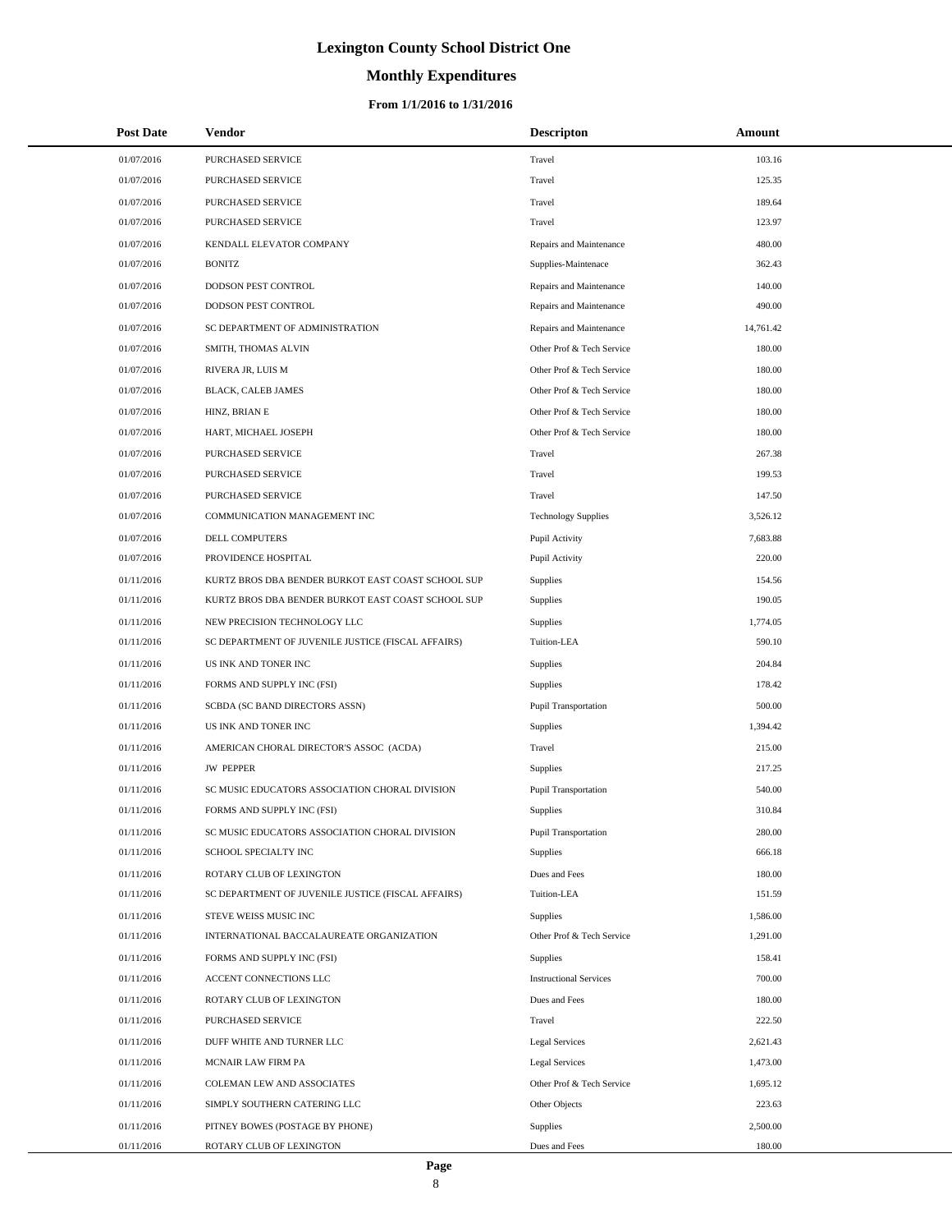# **Monthly Expenditures**

### **From 1/1/2016 to 1/31/2016**

| <b>Post Date</b> | Vendor                                             | <b>Descripton</b>             | Amount    |  |
|------------------|----------------------------------------------------|-------------------------------|-----------|--|
| 01/07/2016       | PURCHASED SERVICE                                  | Travel                        | 103.16    |  |
| 01/07/2016       | PURCHASED SERVICE                                  | Travel                        | 125.35    |  |
| 01/07/2016       | PURCHASED SERVICE                                  | Travel                        | 189.64    |  |
| 01/07/2016       | <b>PURCHASED SERVICE</b>                           | Travel                        | 123.97    |  |
| 01/07/2016       | KENDALL ELEVATOR COMPANY                           | Repairs and Maintenance       | 480.00    |  |
| 01/07/2016       | <b>BONITZ</b>                                      | Supplies-Maintenace           | 362.43    |  |
| 01/07/2016       | DODSON PEST CONTROL                                | Repairs and Maintenance       | 140.00    |  |
| 01/07/2016       | DODSON PEST CONTROL                                | Repairs and Maintenance       | 490.00    |  |
| 01/07/2016       | SC DEPARTMENT OF ADMINISTRATION                    | Repairs and Maintenance       | 14,761.42 |  |
| 01/07/2016       | SMITH, THOMAS ALVIN                                | Other Prof & Tech Service     | 180.00    |  |
| 01/07/2016       | RIVERA JR, LUIS M                                  | Other Prof & Tech Service     | 180.00    |  |
| 01/07/2016       | BLACK, CALEB JAMES                                 | Other Prof & Tech Service     | 180.00    |  |
| 01/07/2016       | HINZ, BRIAN E                                      | Other Prof & Tech Service     | 180.00    |  |
| 01/07/2016       | HART, MICHAEL JOSEPH                               | Other Prof & Tech Service     | 180.00    |  |
| 01/07/2016       | <b>PURCHASED SERVICE</b>                           | Travel                        | 267.38    |  |
| 01/07/2016       | PURCHASED SERVICE                                  | Travel                        | 199.53    |  |
| 01/07/2016       | PURCHASED SERVICE                                  | Travel                        | 147.50    |  |
| 01/07/2016       | COMMUNICATION MANAGEMENT INC                       | <b>Technology Supplies</b>    | 3,526.12  |  |
| 01/07/2016       | DELL COMPUTERS                                     | Pupil Activity                | 7,683.88  |  |
| 01/07/2016       | PROVIDENCE HOSPITAL                                | Pupil Activity                | 220.00    |  |
| 01/11/2016       | KURTZ BROS DBA BENDER BURKOT EAST COAST SCHOOL SUP | Supplies                      | 154.56    |  |
| 01/11/2016       | KURTZ BROS DBA BENDER BURKOT EAST COAST SCHOOL SUP | Supplies                      | 190.05    |  |
| 01/11/2016       | NEW PRECISION TECHNOLOGY LLC                       | Supplies                      | 1,774.05  |  |
| 01/11/2016       | SC DEPARTMENT OF JUVENILE JUSTICE (FISCAL AFFAIRS) | Tuition-LEA                   | 590.10    |  |
| 01/11/2016       | US INK AND TONER INC                               | Supplies                      | 204.84    |  |
| 01/11/2016       | FORMS AND SUPPLY INC (FSI)                         | Supplies                      | 178.42    |  |
| 01/11/2016       | SCBDA (SC BAND DIRECTORS ASSN)                     | Pupil Transportation          | 500.00    |  |
| 01/11/2016       | US INK AND TONER INC                               | Supplies                      | 1,394.42  |  |
| 01/11/2016       | AMERICAN CHORAL DIRECTOR'S ASSOC (ACDA)            | Travel                        | 215.00    |  |
| 01/11/2016       | <b>JW PEPPER</b>                                   | Supplies                      | 217.25    |  |
| 01/11/2016       | SC MUSIC EDUCATORS ASSOCIATION CHORAL DIVISION     | Pupil Transportation          | 540.00    |  |
| 01/11/2016       | FORMS AND SUPPLY INC (FSI)                         | <b>Supplies</b>               | 310.84    |  |
| 01/11/2016       | SC MUSIC EDUCATORS ASSOCIATION CHORAL DIVISION     | Pupil Transportation          | 280.00    |  |
| 01/11/2016       | SCHOOL SPECIALTY INC                               | Supplies                      | 666.18    |  |
| 01/11/2016       | ROTARY CLUB OF LEXINGTON                           | Dues and Fees                 | 180.00    |  |
| 01/11/2016       | SC DEPARTMENT OF JUVENILE JUSTICE (FISCAL AFFAIRS) | Tuition-LEA                   | 151.59    |  |
| 01/11/2016       | STEVE WEISS MUSIC INC                              | Supplies                      | 1,586.00  |  |
| 01/11/2016       | INTERNATIONAL BACCALAUREATE ORGANIZATION           | Other Prof & Tech Service     | 1,291.00  |  |
| 01/11/2016       | FORMS AND SUPPLY INC (FSI)                         | Supplies                      | 158.41    |  |
| 01/11/2016       | ACCENT CONNECTIONS LLC                             | <b>Instructional Services</b> | 700.00    |  |
| 01/11/2016       | ROTARY CLUB OF LEXINGTON                           | Dues and Fees                 | 180.00    |  |
| 01/11/2016       | PURCHASED SERVICE                                  | Travel                        | 222.50    |  |
| 01/11/2016       | DUFF WHITE AND TURNER LLC                          | Legal Services                | 2,621.43  |  |
| 01/11/2016       | MCNAIR LAW FIRM PA                                 | <b>Legal Services</b>         | 1,473.00  |  |
| 01/11/2016       | COLEMAN LEW AND ASSOCIATES                         | Other Prof & Tech Service     | 1,695.12  |  |
| 01/11/2016       | SIMPLY SOUTHERN CATERING LLC                       | Other Objects                 | 223.63    |  |
| 01/11/2016       | PITNEY BOWES (POSTAGE BY PHONE)                    | Supplies                      | 2,500.00  |  |
| 01/11/2016       | ROTARY CLUB OF LEXINGTON                           | Dues and Fees                 | 180.00    |  |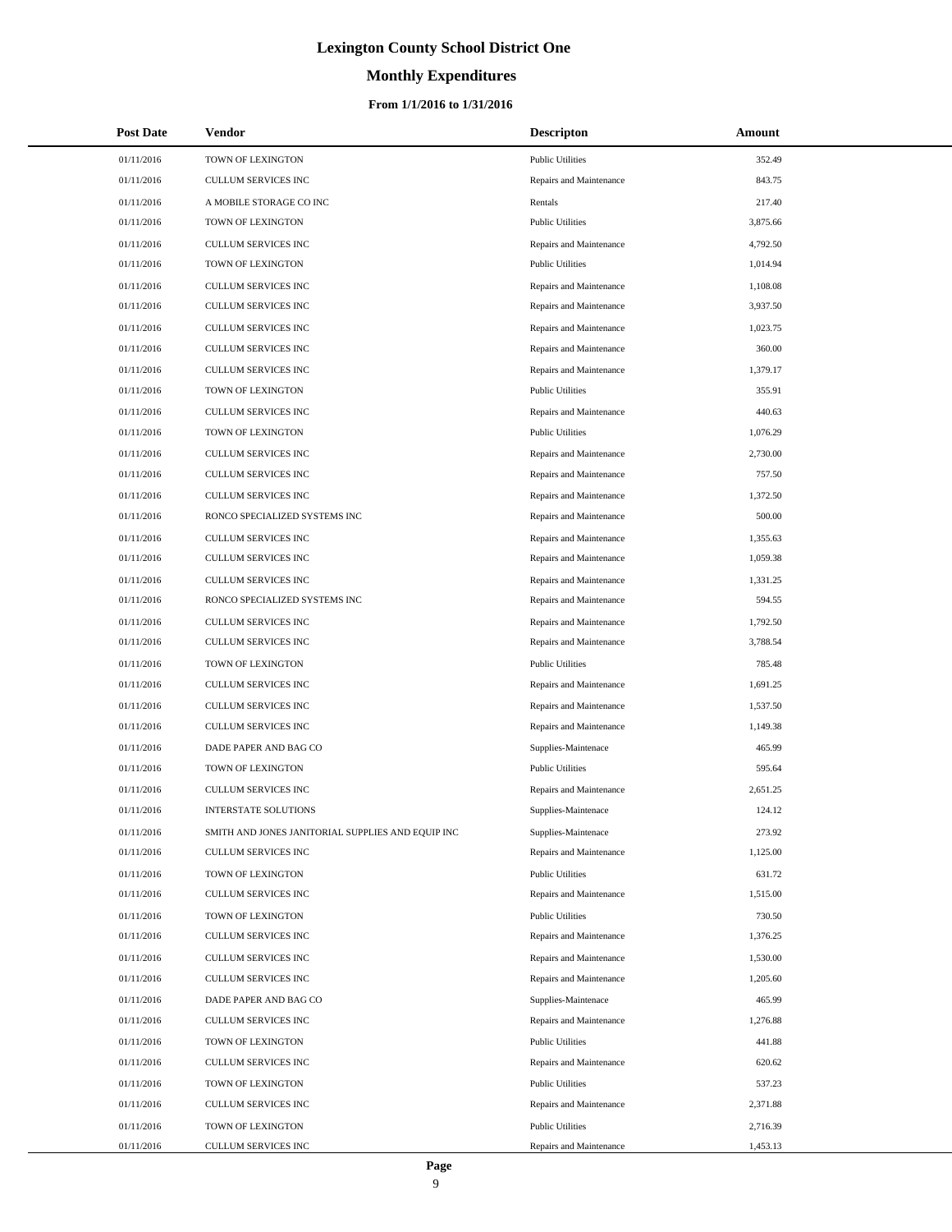### **Monthly Expenditures**

| <b>Post Date</b> | Vendor                                            | <b>Descripton</b>       | Amount   |
|------------------|---------------------------------------------------|-------------------------|----------|
| 01/11/2016       | TOWN OF LEXINGTON                                 | <b>Public Utilities</b> | 352.49   |
| 01/11/2016       | CULLUM SERVICES INC                               | Repairs and Maintenance | 843.75   |
| 01/11/2016       | A MOBILE STORAGE CO INC                           | Rentals                 | 217.40   |
| 01/11/2016       | TOWN OF LEXINGTON                                 | <b>Public Utilities</b> | 3,875.66 |
| 01/11/2016       | CULLUM SERVICES INC                               | Repairs and Maintenance | 4,792.50 |
| 01/11/2016       | TOWN OF LEXINGTON                                 | <b>Public Utilities</b> | 1,014.94 |
| 01/11/2016       | CULLUM SERVICES INC                               | Repairs and Maintenance | 1,108.08 |
| 01/11/2016       | CULLUM SERVICES INC                               | Repairs and Maintenance | 3,937.50 |
| 01/11/2016       | CULLUM SERVICES INC                               | Repairs and Maintenance | 1,023.75 |
| 01/11/2016       | CULLUM SERVICES INC                               | Repairs and Maintenance | 360.00   |
| 01/11/2016       | CULLUM SERVICES INC                               | Repairs and Maintenance | 1,379.17 |
| 01/11/2016       | TOWN OF LEXINGTON                                 | <b>Public Utilities</b> | 355.91   |
| 01/11/2016       | CULLUM SERVICES INC                               | Repairs and Maintenance | 440.63   |
| 01/11/2016       | TOWN OF LEXINGTON                                 | <b>Public Utilities</b> | 1,076.29 |
| 01/11/2016       | <b>CULLUM SERVICES INC</b>                        | Repairs and Maintenance | 2,730.00 |
| 01/11/2016       | CULLUM SERVICES INC                               | Repairs and Maintenance | 757.50   |
| 01/11/2016       | <b>CULLUM SERVICES INC</b>                        | Repairs and Maintenance | 1,372.50 |
| 01/11/2016       | RONCO SPECIALIZED SYSTEMS INC                     | Repairs and Maintenance | 500.00   |
| 01/11/2016       | CULLUM SERVICES INC                               | Repairs and Maintenance | 1,355.63 |
| 01/11/2016       | CULLUM SERVICES INC                               | Repairs and Maintenance | 1,059.38 |
| 01/11/2016       | CULLUM SERVICES INC                               | Repairs and Maintenance | 1,331.25 |
| 01/11/2016       | RONCO SPECIALIZED SYSTEMS INC                     | Repairs and Maintenance | 594.55   |
| 01/11/2016       | CULLUM SERVICES INC                               | Repairs and Maintenance | 1,792.50 |
| 01/11/2016       | CULLUM SERVICES INC                               | Repairs and Maintenance | 3,788.54 |
| 01/11/2016       | TOWN OF LEXINGTON                                 | <b>Public Utilities</b> | 785.48   |
| 01/11/2016       | CULLUM SERVICES INC                               | Repairs and Maintenance | 1,691.25 |
| 01/11/2016       | CULLUM SERVICES INC                               | Repairs and Maintenance | 1,537.50 |
| 01/11/2016       | CULLUM SERVICES INC                               | Repairs and Maintenance | 1,149.38 |
| 01/11/2016       | DADE PAPER AND BAG CO                             | Supplies-Maintenace     | 465.99   |
| 01/11/2016       | TOWN OF LEXINGTON                                 | <b>Public Utilities</b> | 595.64   |
| 01/11/2016       | <b>CULLUM SERVICES INC</b>                        | Repairs and Maintenance | 2,651.25 |
| 01/11/2016       | <b>INTERSTATE SOLUTIONS</b>                       | Supplies-Maintenace     | 124.12   |
| 01/11/2016       | SMITH AND JONES JANITORIAL SUPPLIES AND EQUIP INC | Supplies-Maintenace     | 273.92   |
| 01/11/2016       | CULLUM SERVICES INC                               | Repairs and Maintenance | 1,125.00 |
| 01/11/2016       | TOWN OF LEXINGTON                                 | <b>Public Utilities</b> | 631.72   |
| 01/11/2016       | CULLUM SERVICES INC                               | Repairs and Maintenance | 1,515.00 |
| 01/11/2016       | TOWN OF LEXINGTON                                 | <b>Public Utilities</b> | 730.50   |
| 01/11/2016       | CULLUM SERVICES INC                               | Repairs and Maintenance | 1,376.25 |
| 01/11/2016       | CULLUM SERVICES INC                               | Repairs and Maintenance | 1,530.00 |
| 01/11/2016       | <b>CULLUM SERVICES INC</b>                        | Repairs and Maintenance | 1,205.60 |
| 01/11/2016       | DADE PAPER AND BAG CO                             | Supplies-Maintenace     | 465.99   |
| 01/11/2016       | CULLUM SERVICES INC                               | Repairs and Maintenance | 1,276.88 |
| 01/11/2016       | TOWN OF LEXINGTON                                 | <b>Public Utilities</b> | 441.88   |
| 01/11/2016       | CULLUM SERVICES INC                               | Repairs and Maintenance | 620.62   |
| 01/11/2016       | TOWN OF LEXINGTON                                 | <b>Public Utilities</b> | 537.23   |
| 01/11/2016       | CULLUM SERVICES INC                               | Repairs and Maintenance | 2,371.88 |
| 01/11/2016       | TOWN OF LEXINGTON                                 | <b>Public Utilities</b> | 2,716.39 |
| 01/11/2016       | CULLUM SERVICES INC                               | Repairs and Maintenance | 1,453.13 |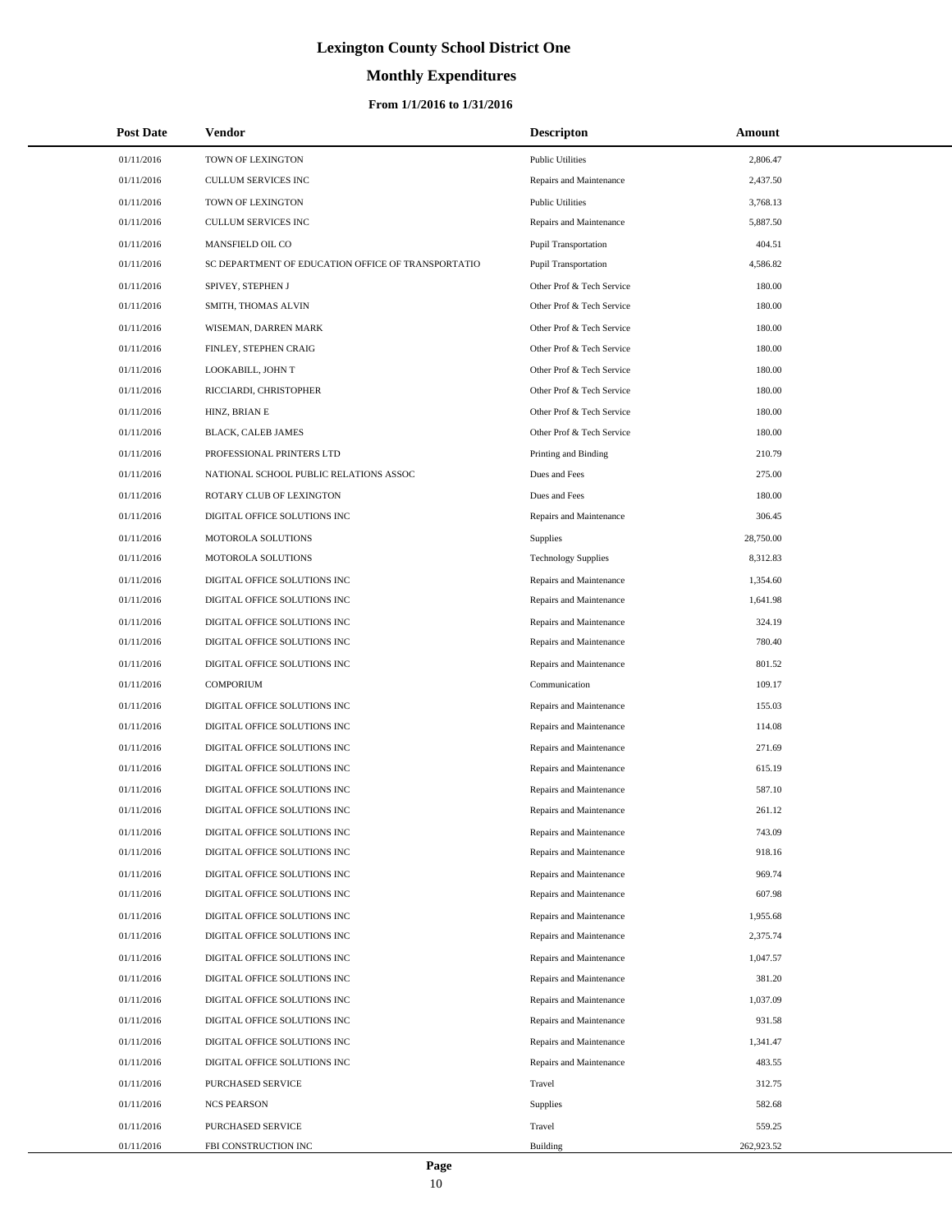# **Monthly Expenditures**

| <b>Post Date</b> | Vendor                                             | <b>Descripton</b>           | Amount     |
|------------------|----------------------------------------------------|-----------------------------|------------|
| 01/11/2016       | TOWN OF LEXINGTON                                  | <b>Public Utilities</b>     | 2,806.47   |
| 01/11/2016       | CULLUM SERVICES INC                                | Repairs and Maintenance     | 2,437.50   |
| 01/11/2016       | TOWN OF LEXINGTON                                  | <b>Public Utilities</b>     | 3,768.13   |
| 01/11/2016       | <b>CULLUM SERVICES INC</b>                         | Repairs and Maintenance     | 5,887.50   |
| 01/11/2016       | MANSFIELD OIL CO                                   | <b>Pupil Transportation</b> | 404.51     |
| 01/11/2016       | SC DEPARTMENT OF EDUCATION OFFICE OF TRANSPORTATIO | <b>Pupil Transportation</b> | 4,586.82   |
| 01/11/2016       | SPIVEY, STEPHEN J                                  | Other Prof & Tech Service   | 180.00     |
| 01/11/2016       | SMITH, THOMAS ALVIN                                | Other Prof & Tech Service   | 180.00     |
| 01/11/2016       | WISEMAN, DARREN MARK                               | Other Prof & Tech Service   | 180.00     |
| 01/11/2016       | FINLEY, STEPHEN CRAIG                              | Other Prof & Tech Service   | 180.00     |
| 01/11/2016       | LOOKABILL, JOHN T                                  | Other Prof & Tech Service   | 180.00     |
| 01/11/2016       | RICCIARDI, CHRISTOPHER                             | Other Prof & Tech Service   | 180.00     |
| 01/11/2016       | HINZ, BRIAN E                                      | Other Prof & Tech Service   | 180.00     |
| 01/11/2016       | BLACK, CALEB JAMES                                 | Other Prof & Tech Service   | 180.00     |
| 01/11/2016       | PROFESSIONAL PRINTERS LTD                          | Printing and Binding        | 210.79     |
| 01/11/2016       | NATIONAL SCHOOL PUBLIC RELATIONS ASSOC             | Dues and Fees               | 275.00     |
| 01/11/2016       | ROTARY CLUB OF LEXINGTON                           | Dues and Fees               | 180.00     |
| 01/11/2016       | DIGITAL OFFICE SOLUTIONS INC                       | Repairs and Maintenance     | 306.45     |
| 01/11/2016       | MOTOROLA SOLUTIONS                                 | Supplies                    | 28,750.00  |
| 01/11/2016       | MOTOROLA SOLUTIONS                                 | <b>Technology Supplies</b>  | 8,312.83   |
| 01/11/2016       | DIGITAL OFFICE SOLUTIONS INC                       | Repairs and Maintenance     | 1,354.60   |
| 01/11/2016       | DIGITAL OFFICE SOLUTIONS INC                       | Repairs and Maintenance     | 1,641.98   |
| 01/11/2016       | DIGITAL OFFICE SOLUTIONS INC                       | Repairs and Maintenance     | 324.19     |
| 01/11/2016       | DIGITAL OFFICE SOLUTIONS INC                       | Repairs and Maintenance     | 780.40     |
| 01/11/2016       | DIGITAL OFFICE SOLUTIONS INC                       | Repairs and Maintenance     | 801.52     |
| 01/11/2016       | <b>COMPORIUM</b>                                   | Communication               | 109.17     |
| 01/11/2016       | DIGITAL OFFICE SOLUTIONS INC                       | Repairs and Maintenance     | 155.03     |
| 01/11/2016       | DIGITAL OFFICE SOLUTIONS INC                       | Repairs and Maintenance     | 114.08     |
| 01/11/2016       | DIGITAL OFFICE SOLUTIONS INC                       | Repairs and Maintenance     | 271.69     |
| 01/11/2016       | DIGITAL OFFICE SOLUTIONS INC                       | Repairs and Maintenance     | 615.19     |
| 01/11/2016       | DIGITAL OFFICE SOLUTIONS INC                       | Repairs and Maintenance     | 587.10     |
| 01/11/2016       | DIGITAL OFFICE SOLUTIONS INC                       | Repairs and Maintenance     | 261.12     |
| 01/11/2016       | DIGITAL OFFICE SOLUTIONS INC                       | Repairs and Maintenance     | 743.09     |
| 01/11/2016       | DIGITAL OFFICE SOLUTIONS INC                       | Repairs and Maintenance     | 918.16     |
| 01/11/2016       | DIGITAL OFFICE SOLUTIONS INC                       | Repairs and Maintenance     | 969.74     |
| 01/11/2016       | DIGITAL OFFICE SOLUTIONS INC                       | Repairs and Maintenance     | 607.98     |
| 01/11/2016       | DIGITAL OFFICE SOLUTIONS INC                       | Repairs and Maintenance     | 1,955.68   |
| 01/11/2016       | DIGITAL OFFICE SOLUTIONS INC                       | Repairs and Maintenance     | 2,375.74   |
| 01/11/2016       | DIGITAL OFFICE SOLUTIONS INC                       | Repairs and Maintenance     | 1,047.57   |
| 01/11/2016       | DIGITAL OFFICE SOLUTIONS INC                       | Repairs and Maintenance     | 381.20     |
| 01/11/2016       | DIGITAL OFFICE SOLUTIONS INC                       | Repairs and Maintenance     | 1,037.09   |
| 01/11/2016       | DIGITAL OFFICE SOLUTIONS INC                       | Repairs and Maintenance     | 931.58     |
| 01/11/2016       | DIGITAL OFFICE SOLUTIONS INC                       | Repairs and Maintenance     | 1,341.47   |
| 01/11/2016       | DIGITAL OFFICE SOLUTIONS INC                       | Repairs and Maintenance     | 483.55     |
| 01/11/2016       | PURCHASED SERVICE                                  | Travel                      | 312.75     |
| 01/11/2016       | <b>NCS PEARSON</b>                                 | Supplies                    | 582.68     |
| 01/11/2016       | PURCHASED SERVICE                                  | Travel                      | 559.25     |
| 01/11/2016       | FBI CONSTRUCTION INC                               | Building                    | 262,923.52 |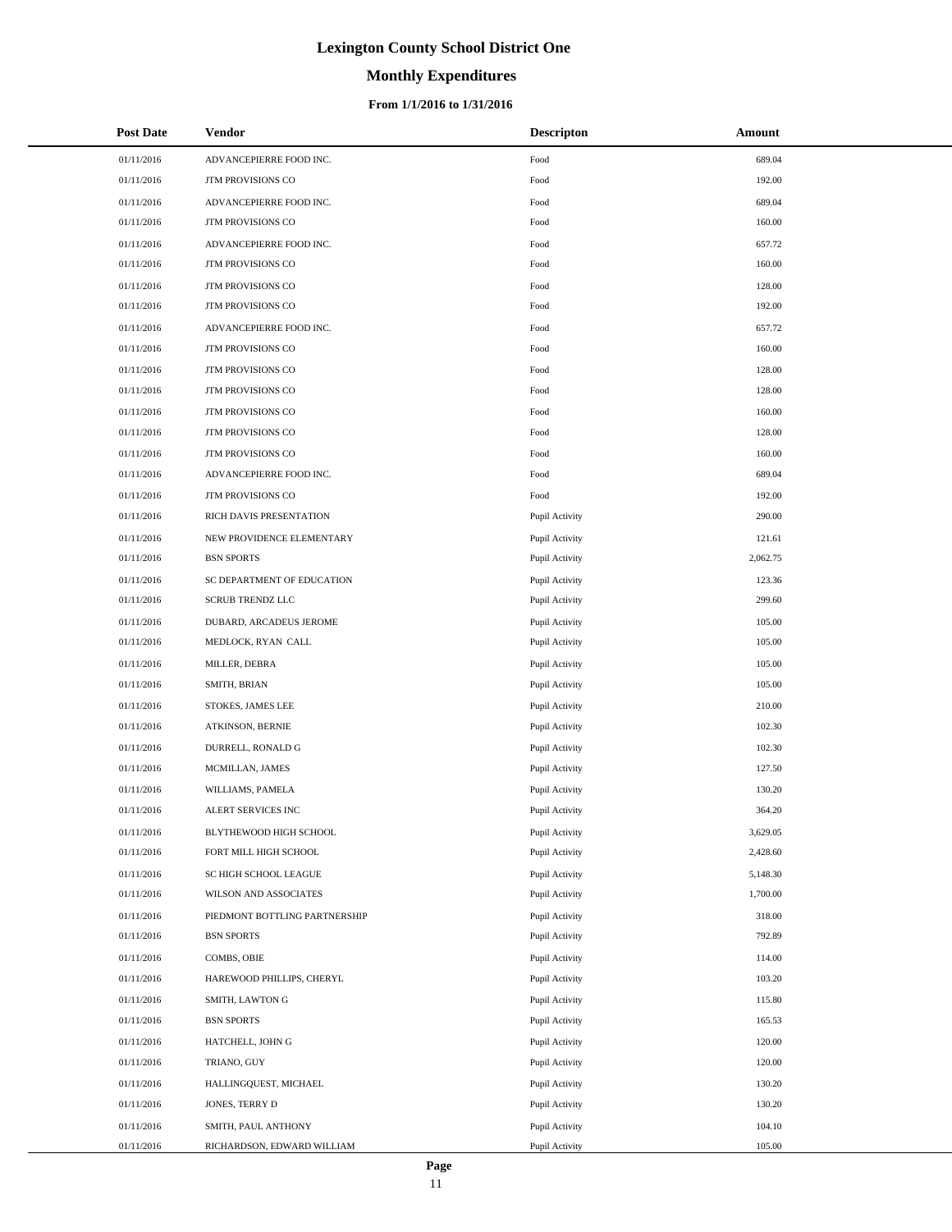# **Monthly Expenditures**

| <b>Post Date</b> | <b>Vendor</b>                 | <b>Descripton</b> | Amount   |
|------------------|-------------------------------|-------------------|----------|
| 01/11/2016       | ADVANCEPIERRE FOOD INC.       | Food              | 689.04   |
| 01/11/2016       | <b>JTM PROVISIONS CO</b>      | Food              | 192.00   |
| 01/11/2016       | ADVANCEPIERRE FOOD INC.       | Food              | 689.04   |
| 01/11/2016       | JTM PROVISIONS CO             | Food              | 160.00   |
| 01/11/2016       | ADVANCEPIERRE FOOD INC.       | Food              | 657.72   |
| 01/11/2016       | JTM PROVISIONS CO             | Food              | 160.00   |
| 01/11/2016       | <b>JTM PROVISIONS CO</b>      | Food              | 128.00   |
| 01/11/2016       | JTM PROVISIONS CO             | Food              | 192.00   |
| 01/11/2016       | ADVANCEPIERRE FOOD INC.       | Food              | 657.72   |
| 01/11/2016       | JTM PROVISIONS CO             | Food              | 160.00   |
| 01/11/2016       | JTM PROVISIONS CO             | Food              | 128.00   |
| 01/11/2016       | JTM PROVISIONS CO             | Food              | 128.00   |
| 01/11/2016       | JTM PROVISIONS CO             | Food              | 160.00   |
| 01/11/2016       | JTM PROVISIONS CO             | Food              | 128.00   |
| 01/11/2016       | <b>JTM PROVISIONS CO</b>      | Food              | 160.00   |
| 01/11/2016       | ADVANCEPIERRE FOOD INC.       | Food              | 689.04   |
| 01/11/2016       | <b>JTM PROVISIONS CO</b>      | Food              | 192.00   |
| 01/11/2016       | RICH DAVIS PRESENTATION       | Pupil Activity    | 290.00   |
| 01/11/2016       | NEW PROVIDENCE ELEMENTARY     | Pupil Activity    | 121.61   |
| 01/11/2016       | <b>BSN SPORTS</b>             | Pupil Activity    | 2,062.75 |
| 01/11/2016       | SC DEPARTMENT OF EDUCATION    | Pupil Activity    | 123.36   |
| 01/11/2016       | <b>SCRUB TRENDZ LLC</b>       | Pupil Activity    | 299.60   |
| 01/11/2016       | DUBARD, ARCADEUS JEROME       | Pupil Activity    | 105.00   |
| 01/11/2016       | MEDLOCK, RYAN CALL            | Pupil Activity    | 105.00   |
| 01/11/2016       | MILLER, DEBRA                 | Pupil Activity    | 105.00   |
| 01/11/2016       | SMITH, BRIAN                  | Pupil Activity    | 105.00   |
| 01/11/2016       | STOKES, JAMES LEE             | Pupil Activity    | 210.00   |
| 01/11/2016       | <b>ATKINSON, BERNIE</b>       | Pupil Activity    | 102.30   |
| 01/11/2016       | DURRELL, RONALD G             | Pupil Activity    | 102.30   |
| 01/11/2016       | MCMILLAN, JAMES               | Pupil Activity    | 127.50   |
| 01/11/2016       | WILLIAMS, PAMELA              | Pupil Activity    | 130.20   |
| 01/11/2016       | ALERT SERVICES INC            | Pupil Activity    | 364.20   |
| 01/11/2016       | BLYTHEWOOD HIGH SCHOOL        | Pupil Activity    | 3,629.05 |
| 01/11/2016       | FORT MILL HIGH SCHOOL         | Pupil Activity    | 2,428.60 |
| 01/11/2016       | SC HIGH SCHOOL LEAGUE         | Pupil Activity    | 5,148.30 |
| 01/11/2016       | WILSON AND ASSOCIATES         | Pupil Activity    | 1,700.00 |
| 01/11/2016       | PIEDMONT BOTTLING PARTNERSHIP | Pupil Activity    | 318.00   |
| 01/11/2016       | <b>BSN SPORTS</b>             | Pupil Activity    | 792.89   |
| 01/11/2016       | COMBS, OBIE                   | Pupil Activity    | 114.00   |
| 01/11/2016       | HAREWOOD PHILLIPS, CHERYL     | Pupil Activity    | 103.20   |
| 01/11/2016       | SMITH, LAWTON G               | Pupil Activity    | 115.80   |
| 01/11/2016       | <b>BSN SPORTS</b>             | Pupil Activity    | 165.53   |
| 01/11/2016       | HATCHELL, JOHN G              | Pupil Activity    | 120.00   |
| 01/11/2016       | TRIANO, GUY                   | Pupil Activity    | 120.00   |
| 01/11/2016       | HALLINGQUEST, MICHAEL         | Pupil Activity    | 130.20   |
| 01/11/2016       | JONES, TERRY D                | Pupil Activity    | 130.20   |
| 01/11/2016       | SMITH, PAUL ANTHONY           | Pupil Activity    | 104.10   |
| 01/11/2016       | RICHARDSON, EDWARD WILLIAM    | Pupil Activity    | 105.00   |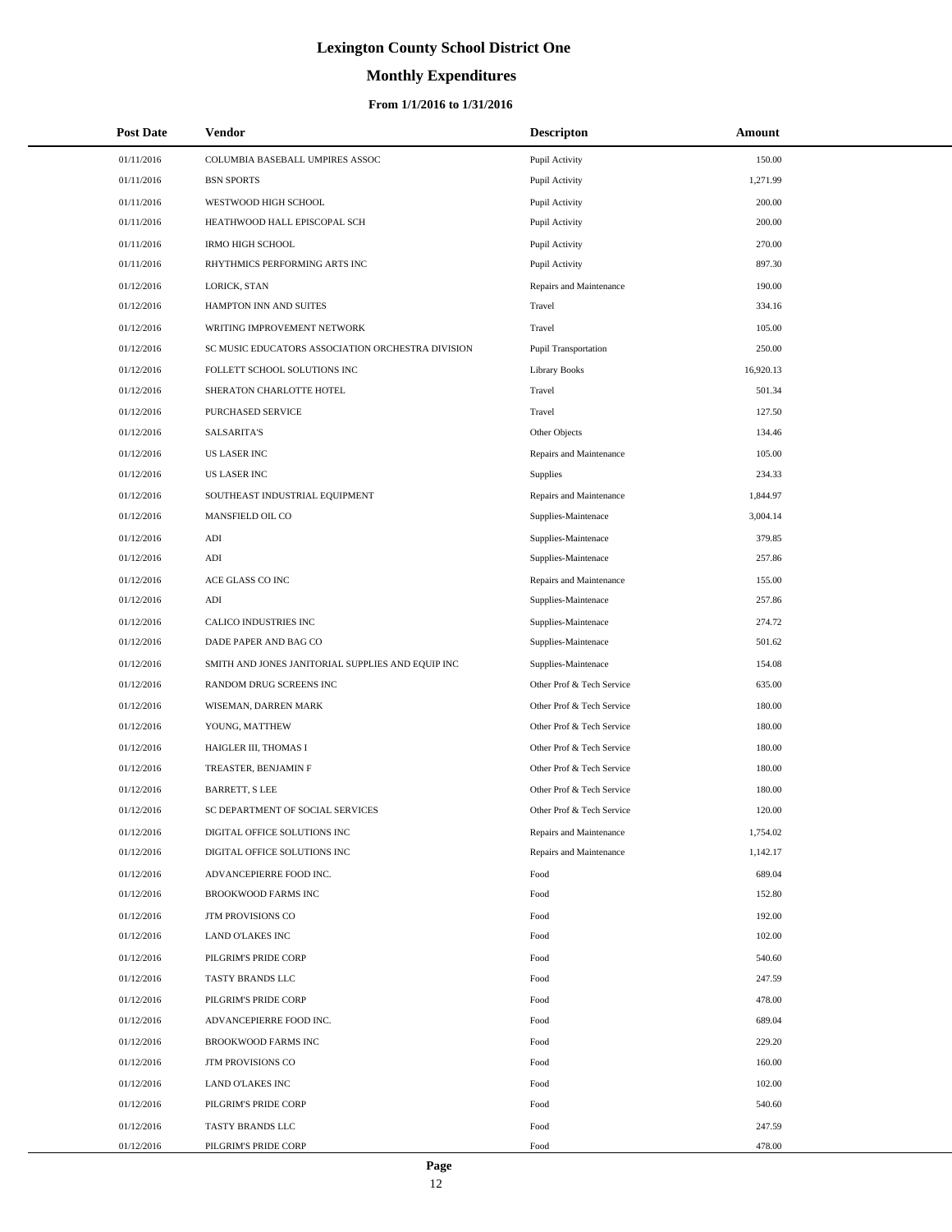# **Monthly Expenditures**

### **From 1/1/2016 to 1/31/2016**

| <b>Post Date</b> | Vendor                                            | <b>Descripton</b>           | Amount    |
|------------------|---------------------------------------------------|-----------------------------|-----------|
| 01/11/2016       | COLUMBIA BASEBALL UMPIRES ASSOC                   | Pupil Activity              | 150.00    |
| 01/11/2016       | <b>BSN SPORTS</b>                                 | Pupil Activity              | 1,271.99  |
| 01/11/2016       | WESTWOOD HIGH SCHOOL                              | Pupil Activity              | 200.00    |
| 01/11/2016       | HEATHWOOD HALL EPISCOPAL SCH                      | Pupil Activity              | 200.00    |
| 01/11/2016       | <b>IRMO HIGH SCHOOL</b>                           | Pupil Activity              | 270.00    |
| 01/11/2016       | RHYTHMICS PERFORMING ARTS INC                     | Pupil Activity              | 897.30    |
| 01/12/2016       | LORICK, STAN                                      | Repairs and Maintenance     | 190.00    |
| 01/12/2016       | HAMPTON INN AND SUITES                            | Travel                      | 334.16    |
| 01/12/2016       | WRITING IMPROVEMENT NETWORK                       | Travel                      | 105.00    |
| 01/12/2016       | SC MUSIC EDUCATORS ASSOCIATION ORCHESTRA DIVISION | <b>Pupil Transportation</b> | 250.00    |
| 01/12/2016       | FOLLETT SCHOOL SOLUTIONS INC                      | <b>Library Books</b>        | 16,920.13 |
| 01/12/2016       | SHERATON CHARLOTTE HOTEL                          | Travel                      | 501.34    |
| 01/12/2016       | PURCHASED SERVICE                                 | Travel                      | 127.50    |
| 01/12/2016       | <b>SALSARITA'S</b>                                | Other Objects               | 134.46    |
| 01/12/2016       | <b>US LASER INC</b>                               | Repairs and Maintenance     | 105.00    |
| 01/12/2016       | <b>US LASER INC</b>                               | <b>Supplies</b>             | 234.33    |
| 01/12/2016       | SOUTHEAST INDUSTRIAL EQUIPMENT                    | Repairs and Maintenance     | 1,844.97  |
| 01/12/2016       | MANSFIELD OIL CO                                  | Supplies-Maintenace         | 3,004.14  |
| 01/12/2016       | $\mathbf{ADI}$                                    | Supplies-Maintenace         | 379.85    |
| 01/12/2016       | ADI                                               | Supplies-Maintenace         | 257.86    |
| 01/12/2016       | ACE GLASS CO INC                                  | Repairs and Maintenance     | 155.00    |
| 01/12/2016       | ADI                                               | Supplies-Maintenace         | 257.86    |
| 01/12/2016       | CALICO INDUSTRIES INC                             | Supplies-Maintenace         | 274.72    |
| 01/12/2016       | DADE PAPER AND BAG CO                             | Supplies-Maintenace         | 501.62    |
| 01/12/2016       | SMITH AND JONES JANITORIAL SUPPLIES AND EQUIP INC | Supplies-Maintenace         | 154.08    |
| 01/12/2016       | RANDOM DRUG SCREENS INC                           | Other Prof & Tech Service   | 635.00    |
| 01/12/2016       | WISEMAN, DARREN MARK                              | Other Prof & Tech Service   | 180.00    |
| 01/12/2016       | YOUNG, MATTHEW                                    | Other Prof & Tech Service   | 180.00    |
| 01/12/2016       | HAIGLER III, THOMAS I                             | Other Prof & Tech Service   | 180.00    |
| 01/12/2016       | TREASTER, BENJAMIN F                              | Other Prof & Tech Service   | 180.00    |
| 01/12/2016       | <b>BARRETT, S LEE</b>                             | Other Prof & Tech Service   | 180.00    |
| 01/12/2016       | SC DEPARTMENT OF SOCIAL SERVICES                  | Other Prof & Tech Service   | 120.00    |
| 01/12/2016       | DIGITAL OFFICE SOLUTIONS INC                      | Repairs and Maintenance     | 1,754.02  |
| 01/12/2016       | DIGITAL OFFICE SOLUTIONS INC                      | Repairs and Maintenance     | 1,142.17  |
| 01/12/2016       | ADVANCEPIERRE FOOD INC.                           | Food                        | 689.04    |
| 01/12/2016       | BROOKWOOD FARMS INC                               | Food                        | 152.80    |
| 01/12/2016       | <b>JTM PROVISIONS CO</b>                          | Food                        | 192.00    |
| 01/12/2016       | LAND O'LAKES INC                                  | Food                        | 102.00    |
| 01/12/2016       | PILGRIM'S PRIDE CORP                              | Food                        | 540.60    |
| 01/12/2016       | TASTY BRANDS LLC                                  | Food                        | 247.59    |
| 01/12/2016       | PILGRIM'S PRIDE CORP                              | Food                        | 478.00    |
| 01/12/2016       | ADVANCEPIERRE FOOD INC.                           | Food                        | 689.04    |
| 01/12/2016       | BROOKWOOD FARMS INC                               | Food                        | 229.20    |
| 01/12/2016       | JTM PROVISIONS CO                                 | Food                        | 160.00    |
| 01/12/2016       | LAND O'LAKES INC                                  | Food                        | 102.00    |
| 01/12/2016       | PILGRIM'S PRIDE CORP                              | Food                        | 540.60    |
| 01/12/2016       | TASTY BRANDS LLC                                  | Food                        | 247.59    |
| 01/12/2016       | PILGRIM'S PRIDE CORP                              | Food                        | 478.00    |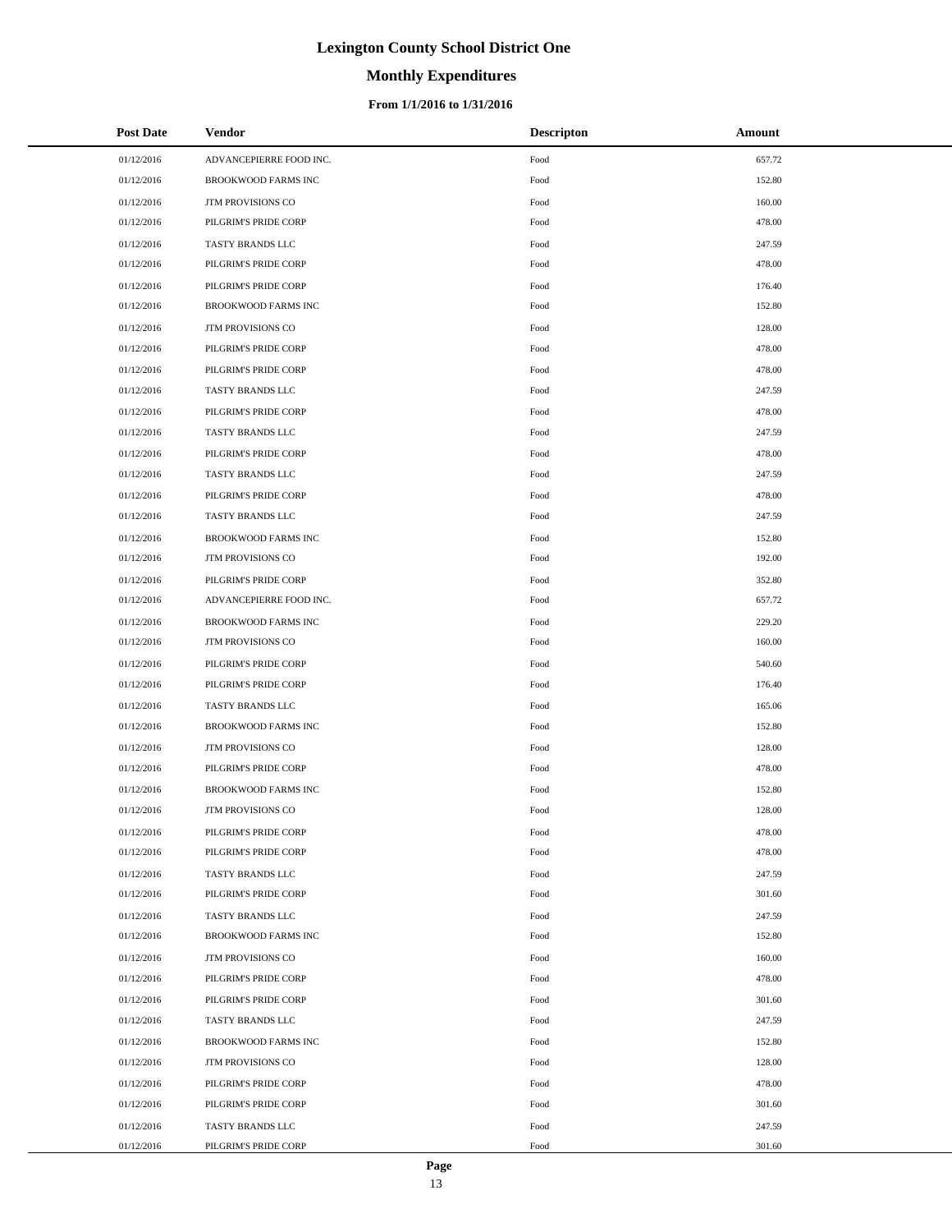# **Monthly Expenditures**

### **From 1/1/2016 to 1/31/2016**

| <b>Post Date</b> | Vendor                     | <b>Descripton</b> | Amount |
|------------------|----------------------------|-------------------|--------|
| 01/12/2016       | ADVANCEPIERRE FOOD INC.    | Food              | 657.72 |
| 01/12/2016       | <b>BROOKWOOD FARMS INC</b> | Food              | 152.80 |
| 01/12/2016       | JTM PROVISIONS CO          | Food              | 160.00 |
| 01/12/2016       | PILGRIM'S PRIDE CORP       | Food              | 478.00 |
| 01/12/2016       | TASTY BRANDS LLC           | Food              | 247.59 |
| 01/12/2016       | PILGRIM'S PRIDE CORP       | Food              | 478.00 |
| 01/12/2016       | PILGRIM'S PRIDE CORP       | Food              | 176.40 |
| 01/12/2016       | BROOKWOOD FARMS INC        | Food              | 152.80 |
| 01/12/2016       | JTM PROVISIONS CO          | Food              | 128.00 |
| 01/12/2016       | PILGRIM'S PRIDE CORP       | Food              | 478.00 |
| 01/12/2016       | PILGRIM'S PRIDE CORP       | Food              | 478.00 |
| 01/12/2016       | TASTY BRANDS LLC           | Food              | 247.59 |
| 01/12/2016       | PILGRIM'S PRIDE CORP       | Food              | 478.00 |
| 01/12/2016       | TASTY BRANDS LLC           | Food              | 247.59 |
| 01/12/2016       | PILGRIM'S PRIDE CORP       | Food              | 478.00 |
| 01/12/2016       | TASTY BRANDS LLC           | Food              | 247.59 |
| 01/12/2016       | PILGRIM'S PRIDE CORP       | Food              | 478.00 |
| 01/12/2016       | TASTY BRANDS LLC           | Food              | 247.59 |
| 01/12/2016       | BROOKWOOD FARMS INC        | Food              | 152.80 |
| 01/12/2016       | <b>JTM PROVISIONS CO</b>   | Food              | 192.00 |
| 01/12/2016       | PILGRIM'S PRIDE CORP       | Food              | 352.80 |
| 01/12/2016       | ADVANCEPIERRE FOOD INC.    | Food              | 657.72 |
| 01/12/2016       | BROOKWOOD FARMS INC        | Food              | 229.20 |
| 01/12/2016       | JTM PROVISIONS CO          | Food              | 160.00 |
| 01/12/2016       | PILGRIM'S PRIDE CORP       | Food              | 540.60 |
| 01/12/2016       | PILGRIM'S PRIDE CORP       | Food              | 176.40 |
| 01/12/2016       | TASTY BRANDS LLC           | Food              | 165.06 |
| 01/12/2016       | BROOKWOOD FARMS INC        | Food              | 152.80 |
| 01/12/2016       | JTM PROVISIONS CO          | Food              | 128.00 |
| 01/12/2016       | PILGRIM'S PRIDE CORP       | Food              | 478.00 |
| 01/12/2016       | BROOKWOOD FARMS INC        | Food              | 152.80 |
| 01/12/2016       | JTM PROVISIONS CO          | Food              | 128.00 |
| 01/12/2016       | PILGRIM'S PRIDE CORP       | Food              | 478.00 |
| 01/12/2016       | PILGRIM'S PRIDE CORP       | Food              | 478.00 |
| 01/12/2016       | TASTY BRANDS LLC           | Food              | 247.59 |
| 01/12/2016       | PILGRIM'S PRIDE CORP       | Food              | 301.60 |
| 01/12/2016       | TASTY BRANDS LLC           | Food              | 247.59 |
| 01/12/2016       | BROOKWOOD FARMS INC        | Food              | 152.80 |
| 01/12/2016       | <b>JTM PROVISIONS CO</b>   | Food              | 160.00 |
| 01/12/2016       | PILGRIM'S PRIDE CORP       | Food              | 478.00 |
| 01/12/2016       | PILGRIM'S PRIDE CORP       | Food              | 301.60 |
| 01/12/2016       | TASTY BRANDS LLC           | Food              | 247.59 |
| 01/12/2016       | BROOKWOOD FARMS INC        | Food              | 152.80 |
| 01/12/2016       | JTM PROVISIONS CO          | Food              | 128.00 |
| 01/12/2016       | PILGRIM'S PRIDE CORP       | Food              | 478.00 |
| 01/12/2016       | PILGRIM'S PRIDE CORP       | Food              | 301.60 |
| 01/12/2016       | TASTY BRANDS LLC           | Food              | 247.59 |
| 01/12/2016       | PILGRIM'S PRIDE CORP       | Food              | 301.60 |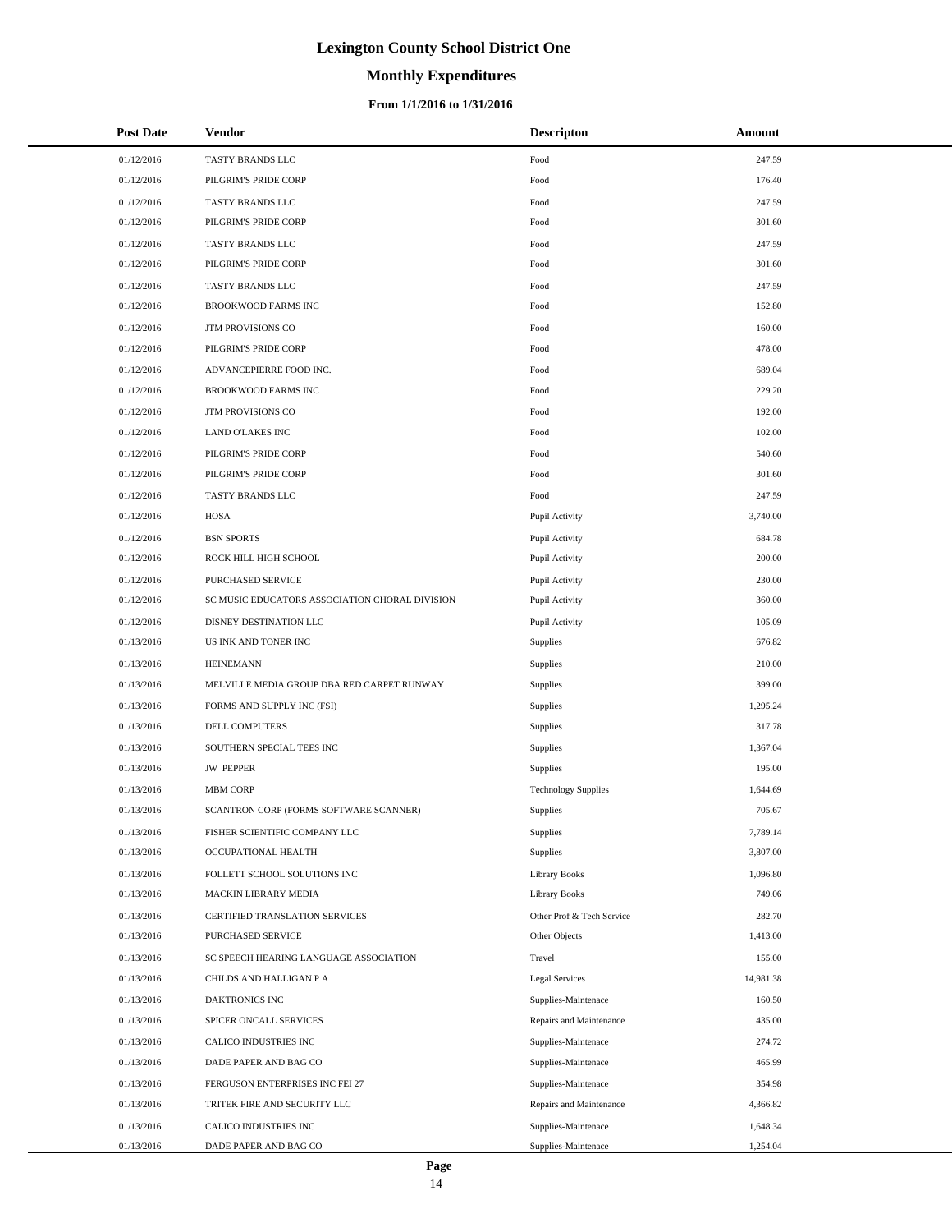# **Monthly Expenditures**

| <b>Post Date</b> | Vendor                                         | <b>Descripton</b>          | Amount    |
|------------------|------------------------------------------------|----------------------------|-----------|
| 01/12/2016       | TASTY BRANDS LLC                               | Food                       | 247.59    |
| 01/12/2016       | PILGRIM'S PRIDE CORP                           | Food                       | 176.40    |
| 01/12/2016       | TASTY BRANDS LLC                               | Food                       | 247.59    |
| 01/12/2016       | PILGRIM'S PRIDE CORP                           | Food                       | 301.60    |
| 01/12/2016       | TASTY BRANDS LLC                               | Food                       | 247.59    |
| 01/12/2016       | PILGRIM'S PRIDE CORP                           | Food                       | 301.60    |
| 01/12/2016       | TASTY BRANDS LLC                               | Food                       | 247.59    |
| 01/12/2016       | <b>BROOKWOOD FARMS INC</b>                     | Food                       | 152.80    |
| 01/12/2016       | JTM PROVISIONS CO                              | Food                       | 160.00    |
| 01/12/2016       | PILGRIM'S PRIDE CORP                           | Food                       | 478.00    |
| 01/12/2016       | ADVANCEPIERRE FOOD INC.                        | Food                       | 689.04    |
| 01/12/2016       | <b>BROOKWOOD FARMS INC</b>                     | Food                       | 229.20    |
| 01/12/2016       | JTM PROVISIONS CO                              | Food                       | 192.00    |
| 01/12/2016       | LAND O'LAKES INC                               | Food                       | 102.00    |
| 01/12/2016       | PILGRIM'S PRIDE CORP                           | Food                       | 540.60    |
| 01/12/2016       | PILGRIM'S PRIDE CORP                           | Food                       | 301.60    |
| 01/12/2016       | TASTY BRANDS LLC                               | Food                       | 247.59    |
| 01/12/2016       | HOSA                                           | Pupil Activity             | 3,740.00  |
| 01/12/2016       | <b>BSN SPORTS</b>                              | Pupil Activity             | 684.78    |
| 01/12/2016       | ROCK HILL HIGH SCHOOL                          | Pupil Activity             | 200.00    |
| 01/12/2016       | PURCHASED SERVICE                              | Pupil Activity             | 230.00    |
| 01/12/2016       | SC MUSIC EDUCATORS ASSOCIATION CHORAL DIVISION | Pupil Activity             | 360.00    |
| 01/12/2016       | DISNEY DESTINATION LLC                         | Pupil Activity             | 105.09    |
| 01/13/2016       | US INK AND TONER INC                           | Supplies                   | 676.82    |
| 01/13/2016       | <b>HEINEMANN</b>                               | Supplies                   | 210.00    |
| 01/13/2016       | MELVILLE MEDIA GROUP DBA RED CARPET RUNWAY     | Supplies                   | 399.00    |
| 01/13/2016       | FORMS AND SUPPLY INC (FSI)                     | Supplies                   | 1,295.24  |
| 01/13/2016       | <b>DELL COMPUTERS</b>                          | Supplies                   | 317.78    |
| 01/13/2016       | SOUTHERN SPECIAL TEES INC                      | Supplies                   | 1,367.04  |
| 01/13/2016       | <b>JW PEPPER</b>                               | Supplies                   | 195.00    |
| 01/13/2016       | <b>MBM CORP</b>                                | <b>Technology Supplies</b> | 1,644.69  |
| 01/13/2016       | SCANTRON CORP (FORMS SOFTWARE SCANNER)         | Supplies                   | 705.67    |
| 01/13/2016       | FISHER SCIENTIFIC COMPANY LLC                  | Supplies                   | 7,789.14  |
| 01/13/2016       | OCCUPATIONAL HEALTH                            | Supplies                   | 3,807.00  |
| 01/13/2016       | FOLLETT SCHOOL SOLUTIONS INC                   | <b>Library Books</b>       | 1,096.80  |
| 01/13/2016       | MACKIN LIBRARY MEDIA                           | <b>Library Books</b>       | 749.06    |
| 01/13/2016       | CERTIFIED TRANSLATION SERVICES                 | Other Prof & Tech Service  | 282.70    |
| 01/13/2016       | PURCHASED SERVICE                              | Other Objects              | 1,413.00  |
| 01/13/2016       | SC SPEECH HEARING LANGUAGE ASSOCIATION         | Travel                     | 155.00    |
| 01/13/2016       | CHILDS AND HALLIGAN P A                        | Legal Services             | 14,981.38 |
| 01/13/2016       | DAKTRONICS INC                                 | Supplies-Maintenace        | 160.50    |
| 01/13/2016       | SPICER ONCALL SERVICES                         | Repairs and Maintenance    | 435.00    |
| 01/13/2016       | CALICO INDUSTRIES INC                          | Supplies-Maintenace        | 274.72    |
| 01/13/2016       | DADE PAPER AND BAG CO                          | Supplies-Maintenace        | 465.99    |
| 01/13/2016       | FERGUSON ENTERPRISES INC FEI 27                | Supplies-Maintenace        | 354.98    |
| 01/13/2016       | TRITEK FIRE AND SECURITY LLC                   | Repairs and Maintenance    | 4,366.82  |
| 01/13/2016       | CALICO INDUSTRIES INC                          | Supplies-Maintenace        | 1,648.34  |
| 01/13/2016       | DADE PAPER AND BAG CO                          | Supplies-Maintenace        | 1,254.04  |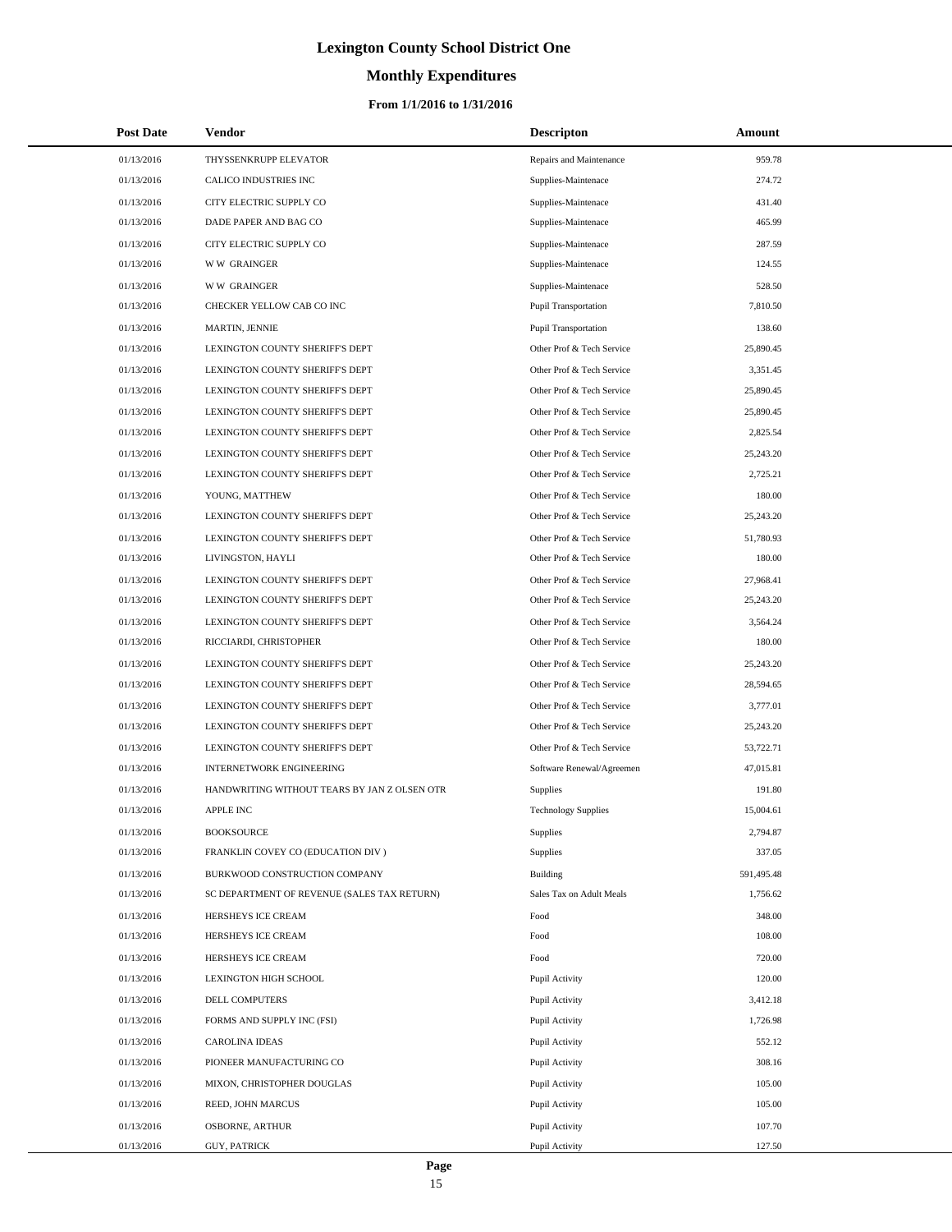# **Monthly Expenditures**

| <b>Post Date</b> | Vendor                                       | <b>Descripton</b>           | Amount     |
|------------------|----------------------------------------------|-----------------------------|------------|
| 01/13/2016       | THYSSENKRUPP ELEVATOR                        | Repairs and Maintenance     | 959.78     |
| 01/13/2016       | CALICO INDUSTRIES INC                        | Supplies-Maintenace         | 274.72     |
| 01/13/2016       | CITY ELECTRIC SUPPLY CO                      | Supplies-Maintenace         | 431.40     |
| 01/13/2016       | DADE PAPER AND BAG CO                        | Supplies-Maintenace         | 465.99     |
| 01/13/2016       | CITY ELECTRIC SUPPLY CO                      | Supplies-Maintenace         | 287.59     |
| 01/13/2016       | <b>WW GRAINGER</b>                           | Supplies-Maintenace         | 124.55     |
| 01/13/2016       | <b>WW GRAINGER</b>                           | Supplies-Maintenace         | 528.50     |
| 01/13/2016       | CHECKER YELLOW CAB CO INC                    | <b>Pupil Transportation</b> | 7,810.50   |
| 01/13/2016       | MARTIN, JENNIE                               | Pupil Transportation        | 138.60     |
| 01/13/2016       | LEXINGTON COUNTY SHERIFF'S DEPT              | Other Prof & Tech Service   | 25,890.45  |
| 01/13/2016       | LEXINGTON COUNTY SHERIFF'S DEPT              | Other Prof & Tech Service   | 3,351.45   |
| 01/13/2016       | LEXINGTON COUNTY SHERIFF'S DEPT              | Other Prof & Tech Service   | 25,890.45  |
| 01/13/2016       | LEXINGTON COUNTY SHERIFF'S DEPT              | Other Prof & Tech Service   | 25,890.45  |
| 01/13/2016       | LEXINGTON COUNTY SHERIFF'S DEPT              | Other Prof & Tech Service   | 2,825.54   |
| 01/13/2016       | LEXINGTON COUNTY SHERIFF'S DEPT              | Other Prof & Tech Service   | 25,243.20  |
| 01/13/2016       | LEXINGTON COUNTY SHERIFF'S DEPT              | Other Prof & Tech Service   | 2.725.21   |
| 01/13/2016       | YOUNG, MATTHEW                               | Other Prof & Tech Service   | 180.00     |
| 01/13/2016       | LEXINGTON COUNTY SHERIFF'S DEPT              | Other Prof & Tech Service   | 25,243.20  |
| 01/13/2016       | LEXINGTON COUNTY SHERIFF'S DEPT              | Other Prof & Tech Service   | 51,780.93  |
| 01/13/2016       | LIVINGSTON, HAYLI                            | Other Prof & Tech Service   | 180.00     |
| 01/13/2016       | LEXINGTON COUNTY SHERIFF'S DEPT              | Other Prof & Tech Service   | 27,968.41  |
| 01/13/2016       | LEXINGTON COUNTY SHERIFF'S DEPT              | Other Prof & Tech Service   | 25,243.20  |
| 01/13/2016       | LEXINGTON COUNTY SHERIFF'S DEPT              | Other Prof & Tech Service   | 3,564.24   |
| 01/13/2016       | RICCIARDI, CHRISTOPHER                       | Other Prof & Tech Service   | 180.00     |
| 01/13/2016       | LEXINGTON COUNTY SHERIFF'S DEPT              | Other Prof & Tech Service   | 25,243.20  |
| 01/13/2016       | LEXINGTON COUNTY SHERIFF'S DEPT              | Other Prof & Tech Service   | 28,594.65  |
| 01/13/2016       | LEXINGTON COUNTY SHERIFF'S DEPT              | Other Prof & Tech Service   | 3,777.01   |
| 01/13/2016       | LEXINGTON COUNTY SHERIFF'S DEPT              | Other Prof & Tech Service   | 25,243.20  |
| 01/13/2016       | LEXINGTON COUNTY SHERIFF'S DEPT              | Other Prof & Tech Service   | 53,722.71  |
| 01/13/2016       | <b>INTERNETWORK ENGINEERING</b>              | Software Renewal/Agreemen   | 47,015.81  |
| 01/13/2016       | HANDWRITING WITHOUT TEARS BY JAN Z OLSEN OTR | Supplies                    | 191.80     |
| 01/13/2016       | <b>APPLE INC</b>                             | <b>Technology Supplies</b>  | 15,004.61  |
| 01/13/2016       | <b>BOOKSOURCE</b>                            | Supplies                    | 2,794.87   |
| 01/13/2016       | FRANKLIN COVEY CO (EDUCATION DIV)            | Supplies                    | 337.05     |
| 01/13/2016       | BURKWOOD CONSTRUCTION COMPANY                | Building                    | 591,495.48 |
| 01/13/2016       | SC DEPARTMENT OF REVENUE (SALES TAX RETURN)  | Sales Tax on Adult Meals    | 1,756.62   |
| 01/13/2016       | HERSHEYS ICE CREAM                           | Food                        | 348.00     |
| 01/13/2016       | HERSHEYS ICE CREAM                           | Food                        | 108.00     |
| 01/13/2016       | HERSHEYS ICE CREAM                           | Food                        | 720.00     |
| 01/13/2016       | LEXINGTON HIGH SCHOOL                        | Pupil Activity              | 120.00     |
| 01/13/2016       | DELL COMPUTERS                               | Pupil Activity              | 3,412.18   |
| 01/13/2016       | FORMS AND SUPPLY INC (FSI)                   | Pupil Activity              | 1,726.98   |
| 01/13/2016       | <b>CAROLINA IDEAS</b>                        | Pupil Activity              | 552.12     |
| 01/13/2016       | PIONEER MANUFACTURING CO                     | Pupil Activity              | 308.16     |
| 01/13/2016       | MIXON, CHRISTOPHER DOUGLAS                   | Pupil Activity              | 105.00     |
| 01/13/2016       | REED, JOHN MARCUS                            | Pupil Activity              | 105.00     |
| 01/13/2016       | OSBORNE, ARTHUR                              | Pupil Activity              | 107.70     |
| 01/13/2016       | <b>GUY, PATRICK</b>                          | Pupil Activity              | 127.50     |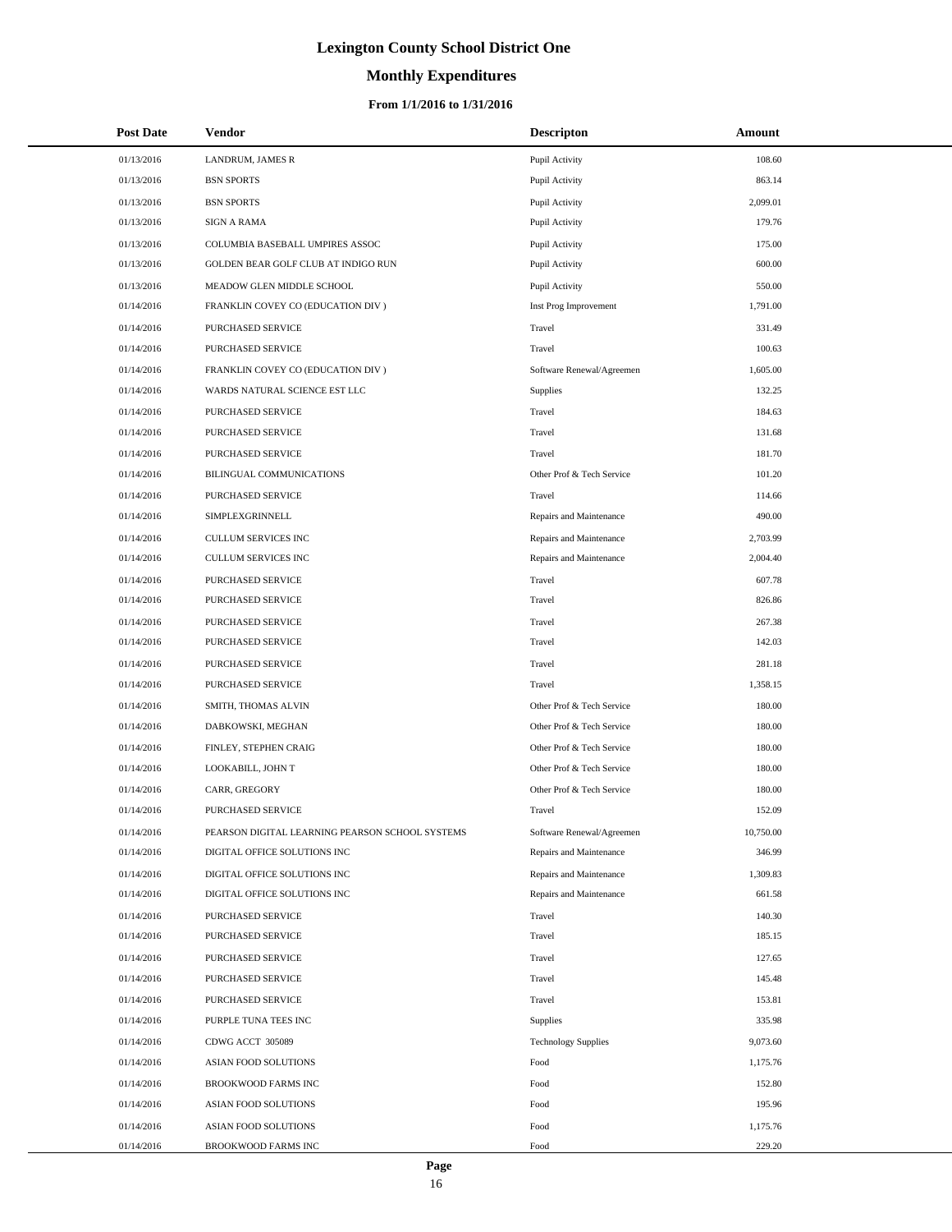# **Monthly Expenditures**

### **From 1/1/2016 to 1/31/2016**

| <b>Post Date</b> | <b>Vendor</b>                                   | <b>Descripton</b>          | Amount    |
|------------------|-------------------------------------------------|----------------------------|-----------|
| 01/13/2016       | LANDRUM, JAMES R                                | Pupil Activity             | 108.60    |
| 01/13/2016       | <b>BSN SPORTS</b>                               | Pupil Activity             | 863.14    |
| 01/13/2016       | <b>BSN SPORTS</b>                               | Pupil Activity             | 2,099.01  |
| 01/13/2016       | <b>SIGN A RAMA</b>                              | Pupil Activity             | 179.76    |
| 01/13/2016       | COLUMBIA BASEBALL UMPIRES ASSOC                 | Pupil Activity             | 175.00    |
| 01/13/2016       | GOLDEN BEAR GOLF CLUB AT INDIGO RUN             | Pupil Activity             | 600.00    |
| 01/13/2016       | MEADOW GLEN MIDDLE SCHOOL                       | Pupil Activity             | 550.00    |
| 01/14/2016       | FRANKLIN COVEY CO (EDUCATION DIV )              | Inst Prog Improvement      | 1,791.00  |
| 01/14/2016       | PURCHASED SERVICE                               | Travel                     | 331.49    |
| 01/14/2016       | PURCHASED SERVICE                               | Travel                     | 100.63    |
| 01/14/2016       | FRANKLIN COVEY CO (EDUCATION DIV )              | Software Renewal/Agreemen  | 1,605.00  |
| 01/14/2016       | WARDS NATURAL SCIENCE EST LLC                   | Supplies                   | 132.25    |
| 01/14/2016       | PURCHASED SERVICE                               | Travel                     | 184.63    |
| 01/14/2016       | PURCHASED SERVICE                               | Travel                     | 131.68    |
| 01/14/2016       | PURCHASED SERVICE                               | Travel                     | 181.70    |
| 01/14/2016       | <b>BILINGUAL COMMUNICATIONS</b>                 | Other Prof & Tech Service  | 101.20    |
| 01/14/2016       | PURCHASED SERVICE                               | Travel                     | 114.66    |
| 01/14/2016       | SIMPLEXGRINNELL                                 | Repairs and Maintenance    | 490.00    |
| 01/14/2016       | <b>CULLUM SERVICES INC</b>                      | Repairs and Maintenance    | 2,703.99  |
| 01/14/2016       | <b>CULLUM SERVICES INC</b>                      | Repairs and Maintenance    | 2,004.40  |
| 01/14/2016       | PURCHASED SERVICE                               | Travel                     | 607.78    |
| 01/14/2016       | PURCHASED SERVICE                               | Travel                     | 826.86    |
| 01/14/2016       | PURCHASED SERVICE                               | Travel                     | 267.38    |
| 01/14/2016       | PURCHASED SERVICE                               | Travel                     | 142.03    |
| 01/14/2016       | PURCHASED SERVICE                               | Travel                     | 281.18    |
| 01/14/2016       | PURCHASED SERVICE                               | Travel                     | 1,358.15  |
| 01/14/2016       | SMITH, THOMAS ALVIN                             | Other Prof & Tech Service  | 180.00    |
| 01/14/2016       | DABKOWSKI, MEGHAN                               | Other Prof & Tech Service  | 180.00    |
| 01/14/2016       | FINLEY, STEPHEN CRAIG                           | Other Prof & Tech Service  | 180.00    |
| 01/14/2016       | LOOKABILL, JOHN T                               | Other Prof & Tech Service  | 180.00    |
| 01/14/2016       | CARR, GREGORY                                   | Other Prof & Tech Service  | 180.00    |
| 01/14/2016       | PURCHASED SERVICE                               | Travel                     | 152.09    |
| 01/14/2016       | PEARSON DIGITAL LEARNING PEARSON SCHOOL SYSTEMS | Software Renewal/Agreemen  | 10,750.00 |
| 01/14/2016       | DIGITAL OFFICE SOLUTIONS INC                    | Repairs and Maintenance    | 346.99    |
| 01/14/2016       | DIGITAL OFFICE SOLUTIONS INC                    | Repairs and Maintenance    | 1,309.83  |
| 01/14/2016       | DIGITAL OFFICE SOLUTIONS INC                    | Repairs and Maintenance    | 661.58    |
| 01/14/2016       | PURCHASED SERVICE                               | Travel                     | 140.30    |
| 01/14/2016       | PURCHASED SERVICE                               | Travel                     | 185.15    |
| 01/14/2016       | PURCHASED SERVICE                               | Travel                     | 127.65    |
| 01/14/2016       | PURCHASED SERVICE                               | Travel                     | 145.48    |
| 01/14/2016       | PURCHASED SERVICE                               | Travel                     | 153.81    |
| 01/14/2016       | PURPLE TUNA TEES INC                            | Supplies                   | 335.98    |
| 01/14/2016       | CDWG ACCT 305089                                | <b>Technology Supplies</b> | 9,073.60  |
| 01/14/2016       | ASIAN FOOD SOLUTIONS                            | Food                       | 1,175.76  |
| 01/14/2016       | <b>BROOKWOOD FARMS INC</b>                      | Food                       | 152.80    |
| 01/14/2016       | ASIAN FOOD SOLUTIONS                            | Food                       | 195.96    |
| 01/14/2016       | ASIAN FOOD SOLUTIONS                            | Food                       | 1,175.76  |
| 01/14/2016       | BROOKWOOD FARMS INC                             | Food                       | 229.20    |

÷.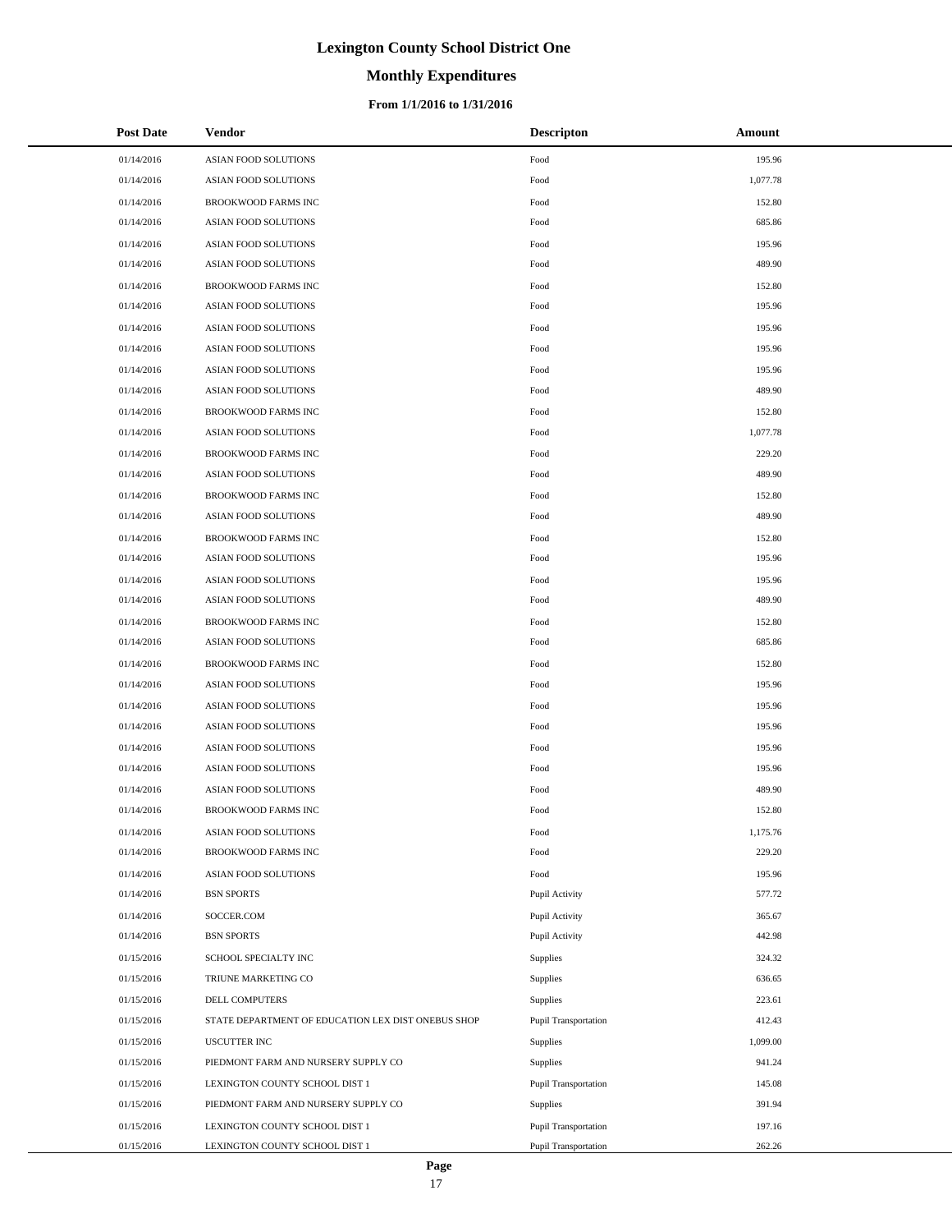# **Monthly Expenditures**

### **From 1/1/2016 to 1/31/2016**

| <b>Post Date</b> | Vendor                                             | <b>Descripton</b>    | Amount   |
|------------------|----------------------------------------------------|----------------------|----------|
| 01/14/2016       | ASIAN FOOD SOLUTIONS                               | Food                 | 195.96   |
| 01/14/2016       | <b>ASIAN FOOD SOLUTIONS</b>                        | Food                 | 1,077.78 |
| 01/14/2016       | BROOKWOOD FARMS INC                                | Food                 | 152.80   |
| 01/14/2016       | <b>ASIAN FOOD SOLUTIONS</b>                        | Food                 | 685.86   |
| 01/14/2016       | ASIAN FOOD SOLUTIONS                               | Food                 | 195.96   |
| 01/14/2016       | ASIAN FOOD SOLUTIONS                               | Food                 | 489.90   |
| 01/14/2016       | <b>BROOKWOOD FARMS INC</b>                         | Food                 | 152.80   |
| 01/14/2016       | ASIAN FOOD SOLUTIONS                               | Food                 | 195.96   |
| 01/14/2016       | ASIAN FOOD SOLUTIONS                               | Food                 | 195.96   |
| 01/14/2016       | ASIAN FOOD SOLUTIONS                               | Food                 | 195.96   |
| 01/14/2016       | ASIAN FOOD SOLUTIONS                               | Food                 | 195.96   |
| 01/14/2016       | ASIAN FOOD SOLUTIONS                               | Food                 | 489.90   |
| 01/14/2016       | BROOKWOOD FARMS INC                                | Food                 | 152.80   |
| 01/14/2016       | ASIAN FOOD SOLUTIONS                               | Food                 | 1,077.78 |
| 01/14/2016       | BROOKWOOD FARMS INC                                | Food                 | 229.20   |
| 01/14/2016       | ASIAN FOOD SOLUTIONS                               | Food                 | 489.90   |
| 01/14/2016       | <b>BROOKWOOD FARMS INC</b>                         | Food                 | 152.80   |
| 01/14/2016       | ASIAN FOOD SOLUTIONS                               | Food                 | 489.90   |
| 01/14/2016       | <b>BROOKWOOD FARMS INC</b>                         | Food                 | 152.80   |
| 01/14/2016       | ASIAN FOOD SOLUTIONS                               | Food                 | 195.96   |
| 01/14/2016       | ASIAN FOOD SOLUTIONS                               | Food                 | 195.96   |
| 01/14/2016       | ASIAN FOOD SOLUTIONS                               | Food                 | 489.90   |
| 01/14/2016       | BROOKWOOD FARMS INC                                | Food                 | 152.80   |
| 01/14/2016       | ASIAN FOOD SOLUTIONS                               | Food                 | 685.86   |
| 01/14/2016       | BROOKWOOD FARMS INC                                | Food                 | 152.80   |
| 01/14/2016       | ASIAN FOOD SOLUTIONS                               | Food                 | 195.96   |
| 01/14/2016       | ASIAN FOOD SOLUTIONS                               | Food                 | 195.96   |
| 01/14/2016       | ASIAN FOOD SOLUTIONS                               | Food                 | 195.96   |
| 01/14/2016       | ASIAN FOOD SOLUTIONS                               | Food                 | 195.96   |
| 01/14/2016       | ASIAN FOOD SOLUTIONS                               | Food                 | 195.96   |
| 01/14/2016       | ASIAN FOOD SOLUTIONS                               | Food                 | 489.90   |
| 01/14/2016       | <b>BROOKWOOD FARMS INC</b>                         | Food                 | 152.80   |
| 01/14/2016       | ASIAN FOOD SOLUTIONS                               | Food                 | 1,175.76 |
| 01/14/2016       | BROOKWOOD FARMS INC                                | Food                 | 229.20   |
| 01/14/2016       | ASIAN FOOD SOLUTIONS                               | Food                 | 195.96   |
| 01/14/2016       | <b>BSN SPORTS</b>                                  | Pupil Activity       | 577.72   |
| 01/14/2016       | SOCCER.COM                                         | Pupil Activity       | 365.67   |
| 01/14/2016       | <b>BSN SPORTS</b>                                  | Pupil Activity       | 442.98   |
| 01/15/2016       | SCHOOL SPECIALTY INC                               | Supplies             | 324.32   |
| 01/15/2016       | TRIUNE MARKETING CO                                | Supplies             | 636.65   |
| 01/15/2016       | DELL COMPUTERS                                     | Supplies             | 223.61   |
| 01/15/2016       | STATE DEPARTMENT OF EDUCATION LEX DIST ONEBUS SHOP | Pupil Transportation | 412.43   |
| 01/15/2016       | <b>USCUTTER INC</b>                                | Supplies             | 1,099.00 |
| 01/15/2016       | PIEDMONT FARM AND NURSERY SUPPLY CO                | Supplies             | 941.24   |
| 01/15/2016       | LEXINGTON COUNTY SCHOOL DIST 1                     | Pupil Transportation | 145.08   |
| 01/15/2016       | PIEDMONT FARM AND NURSERY SUPPLY CO                | <b>Supplies</b>      | 391.94   |
| 01/15/2016       | LEXINGTON COUNTY SCHOOL DIST 1                     | Pupil Transportation | 197.16   |
| 01/15/2016       | LEXINGTON COUNTY SCHOOL DIST 1                     | Pupil Transportation | 262.26   |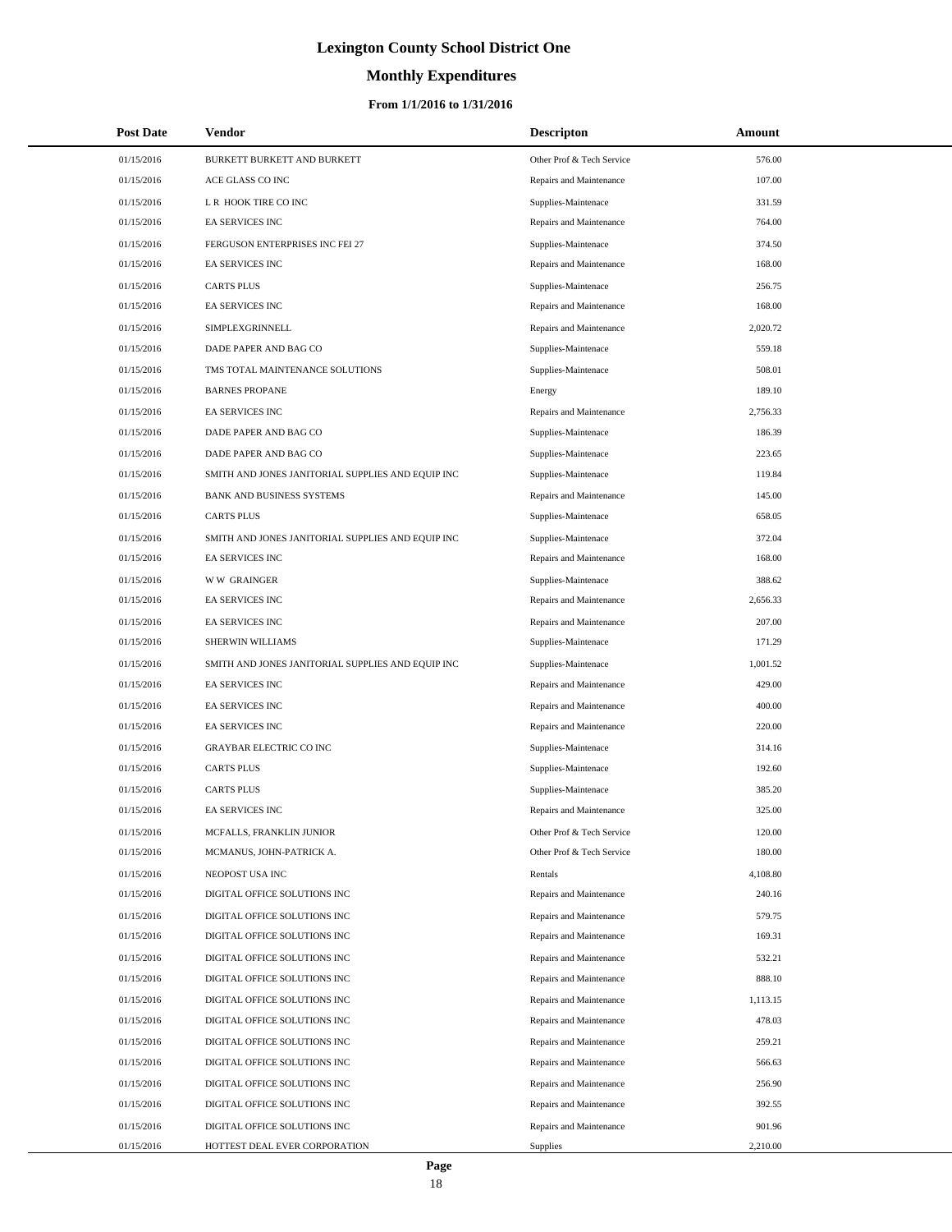# **Monthly Expenditures**

### **From 1/1/2016 to 1/31/2016**

| <b>Post Date</b> | Vendor                                            | <b>Descripton</b>         | Amount   |  |
|------------------|---------------------------------------------------|---------------------------|----------|--|
| 01/15/2016       | BURKETT BURKETT AND BURKETT                       | Other Prof & Tech Service | 576.00   |  |
| 01/15/2016       | ACE GLASS CO INC                                  | Repairs and Maintenance   | 107.00   |  |
| 01/15/2016       | L R HOOK TIRE CO INC                              | Supplies-Maintenace       | 331.59   |  |
| 01/15/2016       | EA SERVICES INC                                   | Repairs and Maintenance   | 764.00   |  |
| 01/15/2016       | FERGUSON ENTERPRISES INC FEI 27                   | Supplies-Maintenace       | 374.50   |  |
| 01/15/2016       | EA SERVICES INC                                   | Repairs and Maintenance   | 168.00   |  |
| 01/15/2016       | <b>CARTS PLUS</b>                                 | Supplies-Maintenace       | 256.75   |  |
| 01/15/2016       | EA SERVICES INC                                   | Repairs and Maintenance   | 168.00   |  |
| 01/15/2016       | SIMPLEXGRINNELL                                   | Repairs and Maintenance   | 2,020.72 |  |
| 01/15/2016       | DADE PAPER AND BAG CO                             | Supplies-Maintenace       | 559.18   |  |
| 01/15/2016       | TMS TOTAL MAINTENANCE SOLUTIONS                   | Supplies-Maintenace       | 508.01   |  |
| 01/15/2016       | <b>BARNES PROPANE</b>                             | Energy                    | 189.10   |  |
| 01/15/2016       | EA SERVICES INC                                   | Repairs and Maintenance   | 2,756.33 |  |
| 01/15/2016       | DADE PAPER AND BAG CO                             | Supplies-Maintenace       | 186.39   |  |
| 01/15/2016       | DADE PAPER AND BAG CO                             | Supplies-Maintenace       | 223.65   |  |
| 01/15/2016       | SMITH AND JONES JANITORIAL SUPPLIES AND EQUIP INC | Supplies-Maintenace       | 119.84   |  |
| 01/15/2016       | BANK AND BUSINESS SYSTEMS                         | Repairs and Maintenance   | 145.00   |  |
| 01/15/2016       | <b>CARTS PLUS</b>                                 | Supplies-Maintenace       | 658.05   |  |
| 01/15/2016       | SMITH AND JONES JANITORIAL SUPPLIES AND EQUIP INC | Supplies-Maintenace       | 372.04   |  |
| 01/15/2016       | EA SERVICES INC                                   | Repairs and Maintenance   | 168.00   |  |
| 01/15/2016       | <b>WW GRAINGER</b>                                | Supplies-Maintenace       | 388.62   |  |
| 01/15/2016       | EA SERVICES INC                                   | Repairs and Maintenance   | 2,656.33 |  |
| 01/15/2016       | EA SERVICES INC                                   | Repairs and Maintenance   | 207.00   |  |
| 01/15/2016       | SHERWIN WILLIAMS                                  | Supplies-Maintenace       | 171.29   |  |
| 01/15/2016       | SMITH AND JONES JANITORIAL SUPPLIES AND EQUIP INC | Supplies-Maintenace       | 1,001.52 |  |
| 01/15/2016       | EA SERVICES INC                                   | Repairs and Maintenance   | 429.00   |  |
| 01/15/2016       | EA SERVICES INC                                   | Repairs and Maintenance   | 400.00   |  |
| 01/15/2016       | EA SERVICES INC                                   | Repairs and Maintenance   | 220.00   |  |
| 01/15/2016       | GRAYBAR ELECTRIC CO INC                           | Supplies-Maintenace       | 314.16   |  |
| 01/15/2016       | <b>CARTS PLUS</b>                                 | Supplies-Maintenace       | 192.60   |  |
| 01/15/2016       | <b>CARTS PLUS</b>                                 | Supplies-Maintenace       | 385.20   |  |
| 01/15/2016       | <b>EA SERVICES INC</b>                            | Repairs and Maintenance   | 325.00   |  |
| 01/15/2016       | MCFALLS, FRANKLIN JUNIOR                          | Other Prof & Tech Service | 120.00   |  |
| 01/15/2016       | MCMANUS, JOHN-PATRICK A.                          | Other Prof & Tech Service | 180.00   |  |
| 01/15/2016       | NEOPOST USA INC                                   | Rentals                   | 4,108.80 |  |
| 01/15/2016       | DIGITAL OFFICE SOLUTIONS INC                      | Repairs and Maintenance   | 240.16   |  |
| 01/15/2016       | DIGITAL OFFICE SOLUTIONS INC                      | Repairs and Maintenance   | 579.75   |  |
| 01/15/2016       | DIGITAL OFFICE SOLUTIONS INC                      | Repairs and Maintenance   | 169.31   |  |
| 01/15/2016       | DIGITAL OFFICE SOLUTIONS INC                      | Repairs and Maintenance   | 532.21   |  |
| 01/15/2016       | DIGITAL OFFICE SOLUTIONS INC                      | Repairs and Maintenance   | 888.10   |  |
| 01/15/2016       | DIGITAL OFFICE SOLUTIONS INC                      | Repairs and Maintenance   | 1,113.15 |  |
| 01/15/2016       | DIGITAL OFFICE SOLUTIONS INC                      | Repairs and Maintenance   | 478.03   |  |
| 01/15/2016       | DIGITAL OFFICE SOLUTIONS INC                      | Repairs and Maintenance   | 259.21   |  |
| 01/15/2016       | DIGITAL OFFICE SOLUTIONS INC                      | Repairs and Maintenance   | 566.63   |  |
| 01/15/2016       | DIGITAL OFFICE SOLUTIONS INC                      | Repairs and Maintenance   | 256.90   |  |
| 01/15/2016       | DIGITAL OFFICE SOLUTIONS INC                      | Repairs and Maintenance   | 392.55   |  |
| 01/15/2016       | DIGITAL OFFICE SOLUTIONS INC                      | Repairs and Maintenance   | 901.96   |  |
| 01/15/2016       | HOTTEST DEAL EVER CORPORATION                     | Supplies                  | 2,210.00 |  |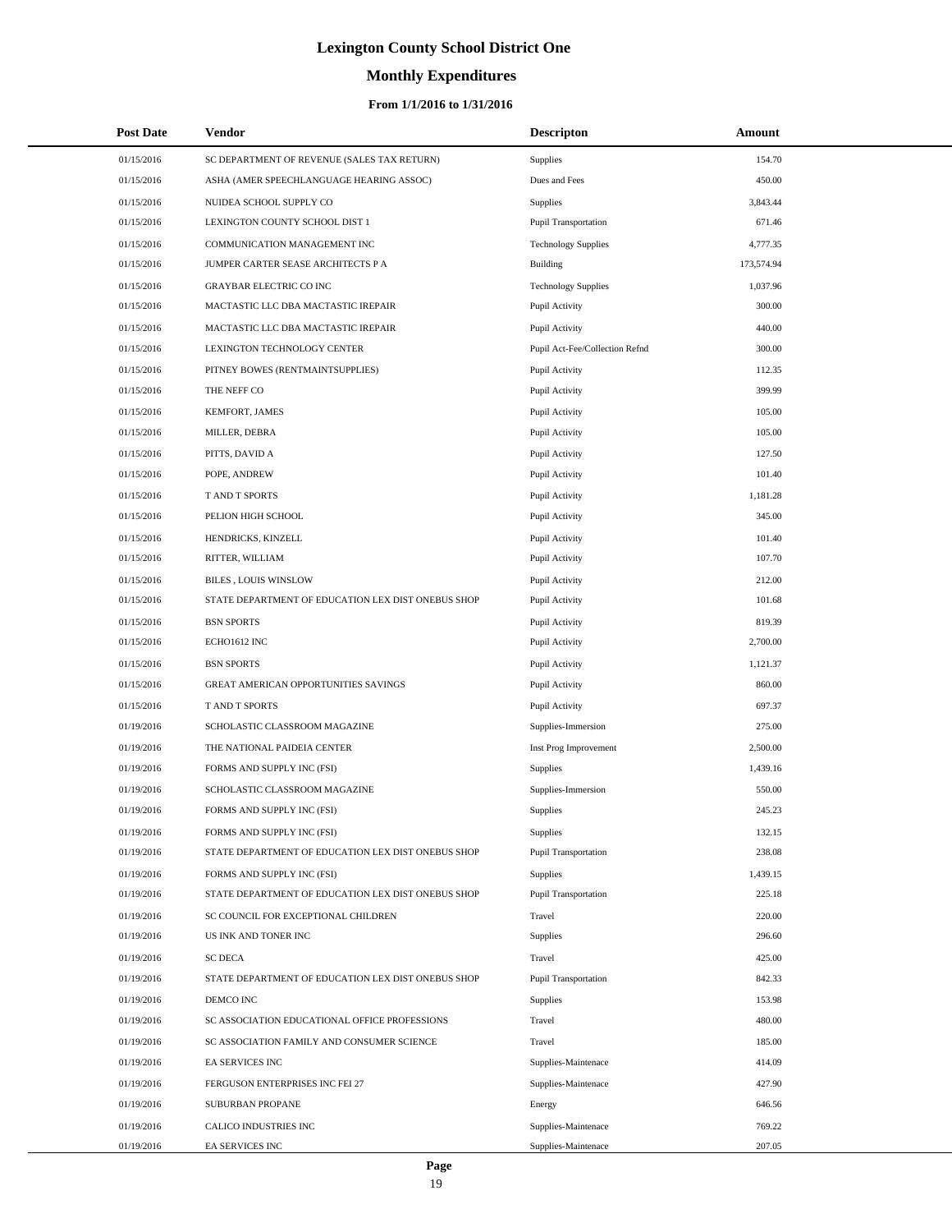# **Monthly Expenditures**

| <b>Post Date</b> | Vendor                                             | <b>Descripton</b>              | Amount     |  |
|------------------|----------------------------------------------------|--------------------------------|------------|--|
| 01/15/2016       | SC DEPARTMENT OF REVENUE (SALES TAX RETURN)        | Supplies                       | 154.70     |  |
| 01/15/2016       | ASHA (AMER SPEECHLANGUAGE HEARING ASSOC)           | Dues and Fees                  | 450.00     |  |
| 01/15/2016       | NUIDEA SCHOOL SUPPLY CO                            | Supplies                       | 3,843.44   |  |
| 01/15/2016       | LEXINGTON COUNTY SCHOOL DIST 1                     | <b>Pupil Transportation</b>    | 671.46     |  |
| 01/15/2016       | COMMUNICATION MANAGEMENT INC                       | <b>Technology Supplies</b>     | 4,777.35   |  |
| 01/15/2016       | JUMPER CARTER SEASE ARCHITECTS P A                 | <b>Building</b>                | 173,574.94 |  |
| 01/15/2016       | <b>GRAYBAR ELECTRIC CO INC</b>                     | <b>Technology Supplies</b>     | 1,037.96   |  |
| 01/15/2016       | MACTASTIC LLC DBA MACTASTIC IREPAIR                | Pupil Activity                 | 300.00     |  |
| 01/15/2016       | MACTASTIC LLC DBA MACTASTIC IREPAIR                | Pupil Activity                 | 440.00     |  |
| 01/15/2016       | LEXINGTON TECHNOLOGY CENTER                        | Pupil Act-Fee/Collection Refnd | 300.00     |  |
| 01/15/2016       | PITNEY BOWES (RENTMAINTSUPPLIES)                   | Pupil Activity                 | 112.35     |  |
| 01/15/2016       | THE NEFF CO                                        | Pupil Activity                 | 399.99     |  |
| 01/15/2016       | KEMFORT, JAMES                                     | Pupil Activity                 | 105.00     |  |
| 01/15/2016       | MILLER, DEBRA                                      | Pupil Activity                 | 105.00     |  |
| 01/15/2016       | PITTS, DAVID A                                     | Pupil Activity                 | 127.50     |  |
| 01/15/2016       | POPE, ANDREW                                       | Pupil Activity                 | 101.40     |  |
| 01/15/2016       | T AND T SPORTS                                     | Pupil Activity                 | 1,181.28   |  |
| 01/15/2016       | PELION HIGH SCHOOL                                 | Pupil Activity                 | 345.00     |  |
| 01/15/2016       | HENDRICKS, KINZELL                                 | Pupil Activity                 | 101.40     |  |
| 01/15/2016       | RITTER, WILLIAM                                    | Pupil Activity                 | 107.70     |  |
| 01/15/2016       | <b>BILES, LOUIS WINSLOW</b>                        | Pupil Activity                 | 212.00     |  |
| 01/15/2016       | STATE DEPARTMENT OF EDUCATION LEX DIST ONEBUS SHOP | Pupil Activity                 | 101.68     |  |
| 01/15/2016       | <b>BSN SPORTS</b>                                  | Pupil Activity                 | 819.39     |  |
| 01/15/2016       | ECHO1612 INC                                       | Pupil Activity                 | 2,700.00   |  |
| 01/15/2016       | <b>BSN SPORTS</b>                                  | Pupil Activity                 | 1,121.37   |  |
| 01/15/2016       | GREAT AMERICAN OPPORTUNITIES SAVINGS               | Pupil Activity                 | 860.00     |  |
| 01/15/2016       | T AND T SPORTS                                     | Pupil Activity                 | 697.37     |  |
| 01/19/2016       | SCHOLASTIC CLASSROOM MAGAZINE                      | Supplies-Immersion             | 275.00     |  |
| 01/19/2016       | THE NATIONAL PAIDEIA CENTER                        | Inst Prog Improvement          | 2,500.00   |  |
| 01/19/2016       | FORMS AND SUPPLY INC (FSI)                         | <b>Supplies</b>                | 1,439.16   |  |
| 01/19/2016       | SCHOLASTIC CLASSROOM MAGAZINE                      | Supplies-Immersion             | 550.00     |  |
| 01/19/2016       | FORMS AND SUPPLY INC (FSI)                         | Supplies                       | 245.23     |  |
| 01/19/2016       | FORMS AND SUPPLY INC (FSI)                         | Supplies                       | 132.15     |  |
| 01/19/2016       | STATE DEPARTMENT OF EDUCATION LEX DIST ONEBUS SHOP | Pupil Transportation           | 238.08     |  |
| 01/19/2016       | FORMS AND SUPPLY INC (FSI)                         | Supplies                       | 1,439.15   |  |
| 01/19/2016       | STATE DEPARTMENT OF EDUCATION LEX DIST ONEBUS SHOP | Pupil Transportation           | 225.18     |  |
| 01/19/2016       | SC COUNCIL FOR EXCEPTIONAL CHILDREN                | Travel                         | 220.00     |  |
| 01/19/2016       | US INK AND TONER INC                               | Supplies                       | 296.60     |  |
| 01/19/2016       | <b>SC DECA</b>                                     | Travel                         | 425.00     |  |
| 01/19/2016       | STATE DEPARTMENT OF EDUCATION LEX DIST ONEBUS SHOP | Pupil Transportation           | 842.33     |  |
| 01/19/2016       | DEMCO INC                                          | Supplies                       | 153.98     |  |
| 01/19/2016       | SC ASSOCIATION EDUCATIONAL OFFICE PROFESSIONS      | Travel                         | 480.00     |  |
| 01/19/2016       | SC ASSOCIATION FAMILY AND CONSUMER SCIENCE         | Travel                         | 185.00     |  |
| 01/19/2016       | EA SERVICES INC                                    | Supplies-Maintenace            | 414.09     |  |
| 01/19/2016       | FERGUSON ENTERPRISES INC FEI 27                    | Supplies-Maintenace            | 427.90     |  |
| 01/19/2016       | SUBURBAN PROPANE                                   | Energy                         | 646.56     |  |
| 01/19/2016       | CALICO INDUSTRIES INC                              | Supplies-Maintenace            | 769.22     |  |
| 01/19/2016       | EA SERVICES INC                                    | Supplies-Maintenace            | 207.05     |  |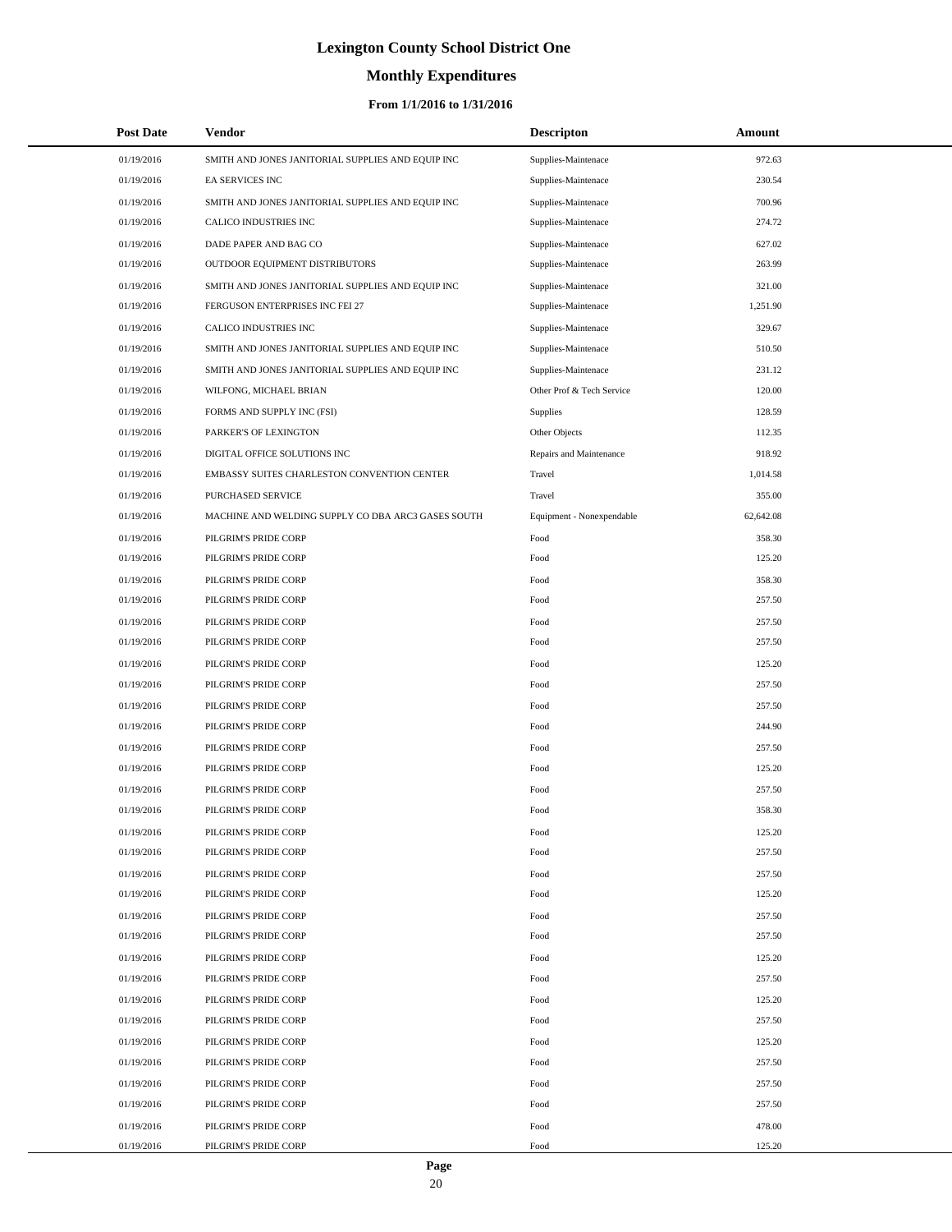# **Monthly Expenditures**

### **From 1/1/2016 to 1/31/2016**

| <b>Post Date</b>         | Vendor                                       |                                                    | <b>Descripton</b>         | Amount           |  |
|--------------------------|----------------------------------------------|----------------------------------------------------|---------------------------|------------------|--|
| 01/19/2016               |                                              | SMITH AND JONES JANITORIAL SUPPLIES AND EQUIP INC  | Supplies-Maintenace       | 972.63           |  |
| 01/19/2016               | EA SERVICES INC                              |                                                    | Supplies-Maintenace       | 230.54           |  |
| 01/19/2016               |                                              | SMITH AND JONES JANITORIAL SUPPLIES AND EQUIP INC  | Supplies-Maintenace       | 700.96           |  |
| 01/19/2016               | CALICO INDUSTRIES INC                        |                                                    | Supplies-Maintenace       | 274.72           |  |
| 01/19/2016               | DADE PAPER AND BAG CO                        |                                                    | Supplies-Maintenace       | 627.02           |  |
| 01/19/2016               | OUTDOOR EQUIPMENT DISTRIBUTORS               |                                                    | Supplies-Maintenace       | 263.99           |  |
| 01/19/2016               |                                              | SMITH AND JONES JANITORIAL SUPPLIES AND EQUIP INC  | Supplies-Maintenace       | 321.00           |  |
| 01/19/2016               | FERGUSON ENTERPRISES INC FEI 27              |                                                    | Supplies-Maintenace       | 1,251.90         |  |
| 01/19/2016               | CALICO INDUSTRIES INC                        |                                                    | Supplies-Maintenace       | 329.67           |  |
| 01/19/2016               |                                              | SMITH AND JONES JANITORIAL SUPPLIES AND EQUIP INC  | Supplies-Maintenace       | 510.50           |  |
| 01/19/2016               |                                              | SMITH AND JONES JANITORIAL SUPPLIES AND EQUIP INC  | Supplies-Maintenace       | 231.12           |  |
| 01/19/2016               | WILFONG, MICHAEL BRIAN                       |                                                    | Other Prof & Tech Service | 120.00           |  |
| 01/19/2016               | FORMS AND SUPPLY INC (FSI)                   |                                                    | <b>Supplies</b>           | 128.59           |  |
| 01/19/2016               | PARKER'S OF LEXINGTON                        |                                                    | Other Objects             | 112.35           |  |
| 01/19/2016               | DIGITAL OFFICE SOLUTIONS INC                 |                                                    | Repairs and Maintenance   | 918.92           |  |
| 01/19/2016               |                                              | EMBASSY SUITES CHARLESTON CONVENTION CENTER        | Travel                    | 1,014.58         |  |
| 01/19/2016               | PURCHASED SERVICE                            |                                                    | Travel                    | 355.00           |  |
| 01/19/2016               |                                              | MACHINE AND WELDING SUPPLY CO DBA ARC3 GASES SOUTH | Equipment - Nonexpendable | 62,642.08        |  |
| 01/19/2016               | PILGRIM'S PRIDE CORP                         |                                                    | Food                      | 358.30           |  |
| 01/19/2016               | PILGRIM'S PRIDE CORP                         |                                                    | Food                      | 125.20           |  |
| 01/19/2016               | PILGRIM'S PRIDE CORP                         |                                                    | Food                      | 358.30           |  |
| 01/19/2016               | PILGRIM'S PRIDE CORP                         |                                                    | Food                      | 257.50           |  |
| 01/19/2016               | PILGRIM'S PRIDE CORP                         |                                                    | Food                      | 257.50           |  |
| 01/19/2016               | PILGRIM'S PRIDE CORP                         |                                                    | Food                      | 257.50           |  |
| 01/19/2016               | PILGRIM'S PRIDE CORP                         |                                                    | Food                      | 125.20           |  |
| 01/19/2016               | PILGRIM'S PRIDE CORP                         |                                                    | Food                      | 257.50           |  |
| 01/19/2016               | PILGRIM'S PRIDE CORP                         |                                                    | Food                      | 257.50           |  |
| 01/19/2016               | PILGRIM'S PRIDE CORP                         |                                                    | Food                      | 244.90           |  |
| 01/19/2016               | PILGRIM'S PRIDE CORP                         |                                                    | Food                      | 257.50           |  |
| 01/19/2016               | PILGRIM'S PRIDE CORP                         |                                                    | Food                      | 125.20           |  |
| 01/19/2016               | PILGRIM'S PRIDE CORP                         |                                                    | Food                      | 257.50           |  |
| 01/19/2016               | PILGRIM'S PRIDE CORP                         |                                                    | Food                      | 358.30           |  |
| 01/19/2016               | PILGRIM'S PRIDE CORP                         |                                                    | Food                      | 125.20           |  |
| 01/19/2016               | PILGRIM'S PRIDE CORP<br>PILGRIM'S PRIDE CORP |                                                    | Food                      | 257.50           |  |
| 01/19/2016<br>01/19/2016 | PILGRIM'S PRIDE CORP                         |                                                    | Food<br>Food              | 257.50<br>125.20 |  |
| 01/19/2016               | PILGRIM'S PRIDE CORP                         |                                                    | Food                      | 257.50           |  |
| 01/19/2016               | PILGRIM'S PRIDE CORP                         |                                                    | Food                      | 257.50           |  |
| 01/19/2016               | PILGRIM'S PRIDE CORP                         |                                                    | Food                      | 125.20           |  |
| 01/19/2016               | PILGRIM'S PRIDE CORP                         |                                                    | Food                      | 257.50           |  |
| 01/19/2016               | PILGRIM'S PRIDE CORP                         |                                                    | Food                      | 125.20           |  |
| 01/19/2016               | PILGRIM'S PRIDE CORP                         |                                                    | Food                      | 257.50           |  |
| 01/19/2016               | PILGRIM'S PRIDE CORP                         |                                                    | Food                      | 125.20           |  |
| 01/19/2016               | PILGRIM'S PRIDE CORP                         |                                                    | Food                      | 257.50           |  |
| 01/19/2016               | PILGRIM'S PRIDE CORP                         |                                                    | Food                      | 257.50           |  |
| 01/19/2016               | PILGRIM'S PRIDE CORP                         |                                                    | Food                      | 257.50           |  |
| 01/19/2016               | PILGRIM'S PRIDE CORP                         |                                                    | Food                      | 478.00           |  |
| 01/19/2016               | PILGRIM'S PRIDE CORP                         |                                                    | Food                      | 125.20           |  |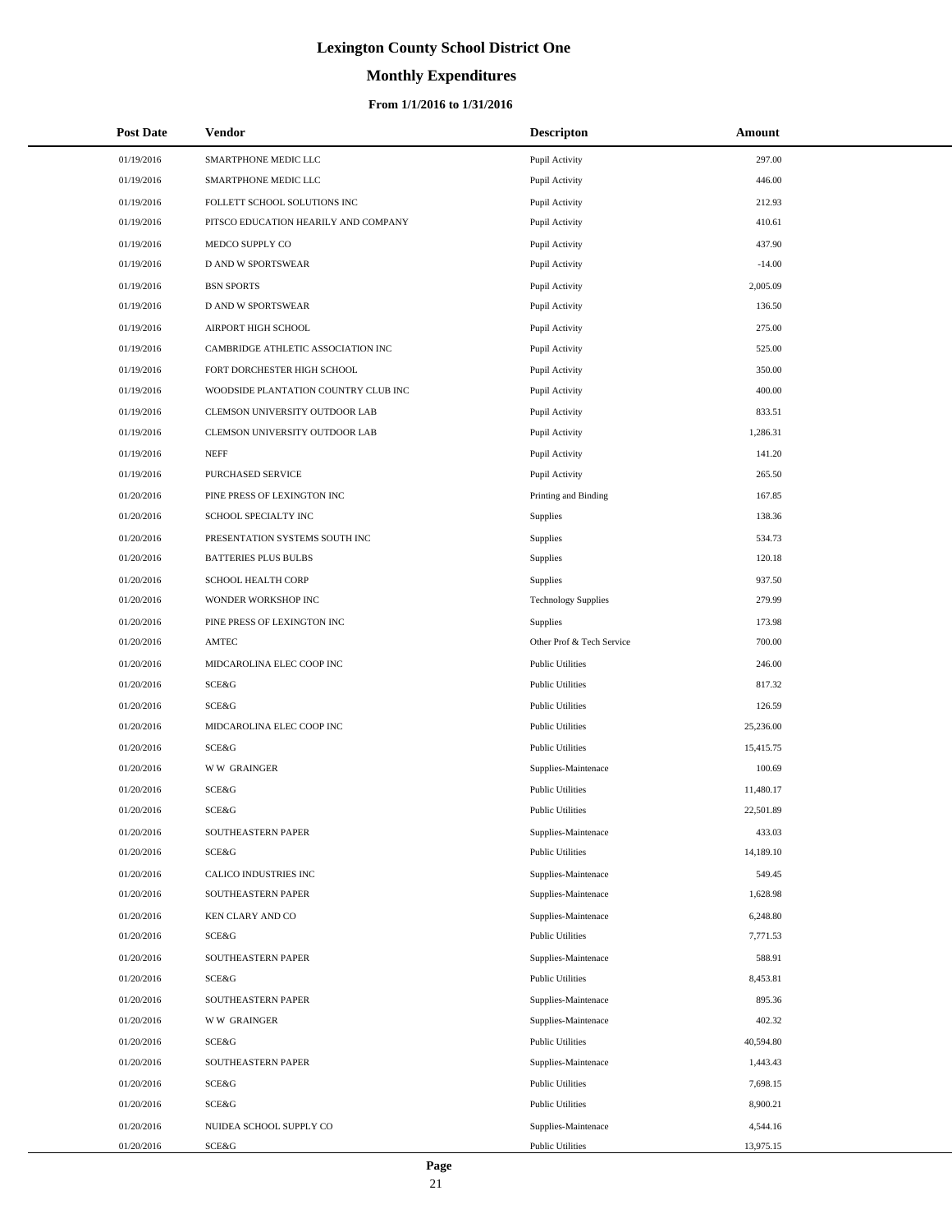# **Monthly Expenditures**

### **From 1/1/2016 to 1/31/2016**

| <b>Post Date</b> | Vendor                               | <b>Descripton</b>          | Amount    |
|------------------|--------------------------------------|----------------------------|-----------|
| 01/19/2016       | SMARTPHONE MEDIC LLC                 | Pupil Activity             | 297.00    |
| 01/19/2016       | SMARTPHONE MEDIC LLC                 | Pupil Activity             | 446.00    |
| 01/19/2016       | FOLLETT SCHOOL SOLUTIONS INC         | Pupil Activity             | 212.93    |
| 01/19/2016       | PITSCO EDUCATION HEARILY AND COMPANY | Pupil Activity             | 410.61    |
| 01/19/2016       | MEDCO SUPPLY CO                      | Pupil Activity             | 437.90    |
| 01/19/2016       | D AND W SPORTSWEAR                   | Pupil Activity             | $-14.00$  |
| 01/19/2016       | <b>BSN SPORTS</b>                    | Pupil Activity             | 2,005.09  |
| 01/19/2016       | <b>D AND W SPORTSWEAR</b>            | Pupil Activity             | 136.50    |
| 01/19/2016       | AIRPORT HIGH SCHOOL                  | Pupil Activity             | 275.00    |
| 01/19/2016       | CAMBRIDGE ATHLETIC ASSOCIATION INC   | Pupil Activity             | 525.00    |
| 01/19/2016       | FORT DORCHESTER HIGH SCHOOL          | Pupil Activity             | 350.00    |
| 01/19/2016       | WOODSIDE PLANTATION COUNTRY CLUB INC | Pupil Activity             | 400.00    |
| 01/19/2016       | CLEMSON UNIVERSITY OUTDOOR LAB       | Pupil Activity             | 833.51    |
| 01/19/2016       | CLEMSON UNIVERSITY OUTDOOR LAB       | Pupil Activity             | 1,286.31  |
| 01/19/2016       | <b>NEFF</b>                          | Pupil Activity             | 141.20    |
| 01/19/2016       | PURCHASED SERVICE                    | Pupil Activity             | 265.50    |
| 01/20/2016       | PINE PRESS OF LEXINGTON INC          | Printing and Binding       | 167.85    |
| 01/20/2016       | SCHOOL SPECIALTY INC                 | Supplies                   | 138.36    |
| 01/20/2016       | PRESENTATION SYSTEMS SOUTH INC       | Supplies                   | 534.73    |
| 01/20/2016       | <b>BATTERIES PLUS BULBS</b>          | Supplies                   | 120.18    |
| 01/20/2016       | SCHOOL HEALTH CORP                   | Supplies                   | 937.50    |
| 01/20/2016       | WONDER WORKSHOP INC                  | <b>Technology Supplies</b> | 279.99    |
| 01/20/2016       | PINE PRESS OF LEXINGTON INC          | Supplies                   | 173.98    |
| 01/20/2016       | AMTEC                                | Other Prof & Tech Service  | 700.00    |
| 01/20/2016       | MIDCAROLINA ELEC COOP INC            | <b>Public Utilities</b>    | 246.00    |
| 01/20/2016       | SCE&G                                | <b>Public Utilities</b>    | 817.32    |
| 01/20/2016       | SCE&G                                | <b>Public Utilities</b>    | 126.59    |
| 01/20/2016       | MIDCAROLINA ELEC COOP INC            | <b>Public Utilities</b>    | 25,236.00 |
| 01/20/2016       | <b>SCE&amp;G</b>                     | <b>Public Utilities</b>    | 15,415.75 |
| 01/20/2016       | <b>WW GRAINGER</b>                   | Supplies-Maintenace        | 100.69    |
| 01/20/2016       | SCE&G                                | <b>Public Utilities</b>    | 11,480.17 |
| 01/20/2016       | SCE&G                                | <b>Public Utilities</b>    | 22,501.89 |
| 01/20/2016       | SOUTHEASTERN PAPER                   | Supplies-Maintenace        | 433.03    |
| 01/20/2016       | SCE&G                                | <b>Public Utilities</b>    | 14,189.10 |
| 01/20/2016       | CALICO INDUSTRIES INC                | Supplies-Maintenace        | 549.45    |
| 01/20/2016       | SOUTHEASTERN PAPER                   | Supplies-Maintenace        | 1,628.98  |
| 01/20/2016       | KEN CLARY AND CO                     | Supplies-Maintenace        | 6,248.80  |
| 01/20/2016       | SCE&G                                | <b>Public Utilities</b>    | 7,771.53  |
| 01/20/2016       | SOUTHEASTERN PAPER                   | Supplies-Maintenace        | 588.91    |
| 01/20/2016       | SCE&G                                | <b>Public Utilities</b>    | 8,453.81  |
| 01/20/2016       | SOUTHEASTERN PAPER                   | Supplies-Maintenace        | 895.36    |
| 01/20/2016       | <b>WW GRAINGER</b>                   | Supplies-Maintenace        | 402.32    |
| 01/20/2016       | SCE&G                                | <b>Public Utilities</b>    | 40,594.80 |
| 01/20/2016       | SOUTHEASTERN PAPER                   | Supplies-Maintenace        | 1,443.43  |
| 01/20/2016       | SCE&G                                | <b>Public Utilities</b>    | 7,698.15  |
| 01/20/2016       | SCE&G                                | <b>Public Utilities</b>    | 8,900.21  |
| 01/20/2016       | NUIDEA SCHOOL SUPPLY CO              | Supplies-Maintenace        | 4,544.16  |
| 01/20/2016       | SCE&G                                | <b>Public Utilities</b>    | 13,975.15 |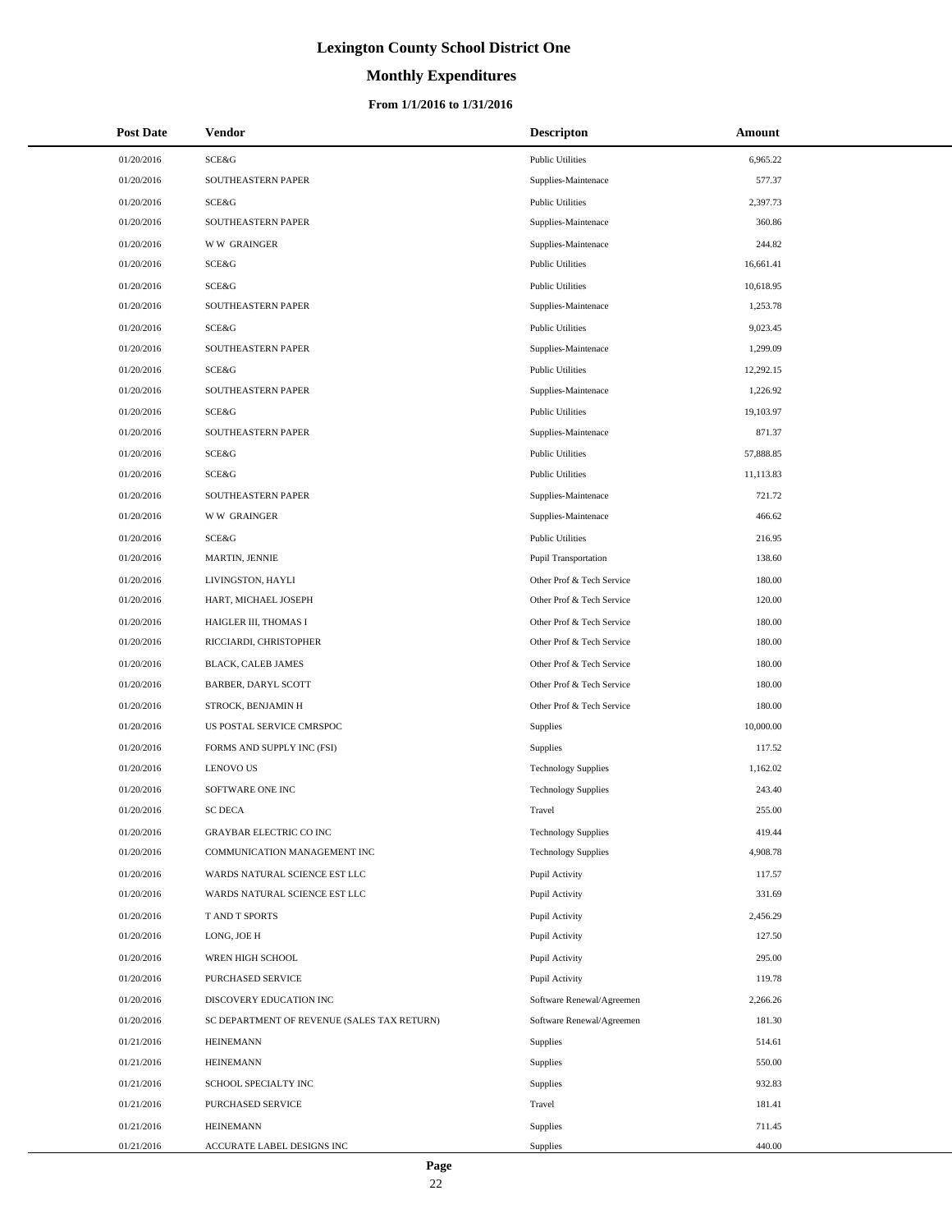# **Monthly Expenditures**

### **From 1/1/2016 to 1/31/2016**

| <b>Post Date</b> | <b>Vendor</b>                               | <b>Descripton</b>           | Amount    |
|------------------|---------------------------------------------|-----------------------------|-----------|
| 01/20/2016       | SCE&G                                       | <b>Public Utilities</b>     | 6,965.22  |
| 01/20/2016       | SOUTHEASTERN PAPER                          | Supplies-Maintenace         | 577.37    |
| 01/20/2016       | <b>SCE&amp;G</b>                            | <b>Public Utilities</b>     | 2,397.73  |
| 01/20/2016       | <b>SOUTHEASTERN PAPER</b>                   | Supplies-Maintenace         | 360.86    |
| 01/20/2016       | <b>WW GRAINGER</b>                          | Supplies-Maintenace         | 244.82    |
| 01/20/2016       | SCE&G                                       | <b>Public Utilities</b>     | 16,661.41 |
| 01/20/2016       | <b>SCE&amp;G</b>                            | <b>Public Utilities</b>     | 10,618.95 |
| 01/20/2016       | SOUTHEASTERN PAPER                          | Supplies-Maintenace         | 1,253.78  |
| 01/20/2016       | SCE&G                                       | <b>Public Utilities</b>     | 9,023.45  |
| 01/20/2016       | SOUTHEASTERN PAPER                          | Supplies-Maintenace         | 1,299.09  |
| 01/20/2016       | <b>SCE&amp;G</b>                            | <b>Public Utilities</b>     | 12,292.15 |
| 01/20/2016       | SOUTHEASTERN PAPER                          | Supplies-Maintenace         | 1,226.92  |
| 01/20/2016       | <b>SCE&amp;G</b>                            | <b>Public Utilities</b>     | 19,103.97 |
| 01/20/2016       | SOUTHEASTERN PAPER                          | Supplies-Maintenace         | 871.37    |
| 01/20/2016       | <b>SCE&amp;G</b>                            | <b>Public Utilities</b>     | 57,888.85 |
| 01/20/2016       | SCE&G                                       | <b>Public Utilities</b>     | 11,113.83 |
| 01/20/2016       | SOUTHEASTERN PAPER                          | Supplies-Maintenace         | 721.72    |
| 01/20/2016       | <b>WW GRAINGER</b>                          | Supplies-Maintenace         | 466.62    |
| 01/20/2016       | <b>SCE&amp;G</b>                            | <b>Public Utilities</b>     | 216.95    |
| 01/20/2016       | MARTIN, JENNIE                              | <b>Pupil Transportation</b> | 138.60    |
| 01/20/2016       | LIVINGSTON, HAYLI                           | Other Prof & Tech Service   | 180.00    |
| 01/20/2016       | HART, MICHAEL JOSEPH                        | Other Prof & Tech Service   | 120.00    |
| 01/20/2016       | HAIGLER III, THOMAS I                       | Other Prof & Tech Service   | 180.00    |
| 01/20/2016       | RICCIARDI, CHRISTOPHER                      | Other Prof & Tech Service   | 180.00    |
| 01/20/2016       | BLACK, CALEB JAMES                          | Other Prof & Tech Service   | 180.00    |
| 01/20/2016       | BARBER, DARYL SCOTT                         | Other Prof & Tech Service   | 180.00    |
| 01/20/2016       | STROCK, BENJAMIN H                          | Other Prof & Tech Service   | 180.00    |
| 01/20/2016       | US POSTAL SERVICE CMRSPOC                   | Supplies                    | 10,000.00 |
| 01/20/2016       | FORMS AND SUPPLY INC (FSI)                  | Supplies                    | 117.52    |
| 01/20/2016       | <b>LENOVO US</b>                            | <b>Technology Supplies</b>  | 1,162.02  |
| 01/20/2016       | SOFTWARE ONE INC                            | <b>Technology Supplies</b>  | 243.40    |
| 01/20/2016       | <b>SC DECA</b>                              | Travel                      | 255.00    |
| 01/20/2016       | GRAYBAR ELECTRIC CO INC                     | <b>Technology Supplies</b>  | 419.44    |
| 01/20/2016       | COMMUNICATION MANAGEMENT INC                | <b>Technology Supplies</b>  | 4,908.78  |
| 01/20/2016       | WARDS NATURAL SCIENCE EST LLC               | Pupil Activity              | 117.57    |
| 01/20/2016       | WARDS NATURAL SCIENCE EST LLC               | Pupil Activity              | 331.69    |
| 01/20/2016       | T AND T SPORTS                              | Pupil Activity              | 2,456.29  |
| 01/20/2016       | LONG, JOE H                                 | Pupil Activity              | 127.50    |
| 01/20/2016       | WREN HIGH SCHOOL                            | Pupil Activity              | 295.00    |
| 01/20/2016       | PURCHASED SERVICE                           | Pupil Activity              | 119.78    |
| 01/20/2016       | DISCOVERY EDUCATION INC                     | Software Renewal/Agreemen   | 2,266.26  |
| 01/20/2016       | SC DEPARTMENT OF REVENUE (SALES TAX RETURN) | Software Renewal/Agreemen   | 181.30    |
| 01/21/2016       | <b>HEINEMANN</b>                            | Supplies                    | 514.61    |
| 01/21/2016       | <b>HEINEMANN</b>                            | Supplies                    | 550.00    |
| 01/21/2016       | SCHOOL SPECIALTY INC                        | Supplies                    | 932.83    |
| 01/21/2016       | PURCHASED SERVICE                           | Travel                      | 181.41    |
| 01/21/2016       | <b>HEINEMANN</b>                            | Supplies                    | 711.45    |
| 01/21/2016       | ACCURATE LABEL DESIGNS INC                  | Supplies                    | 440.00    |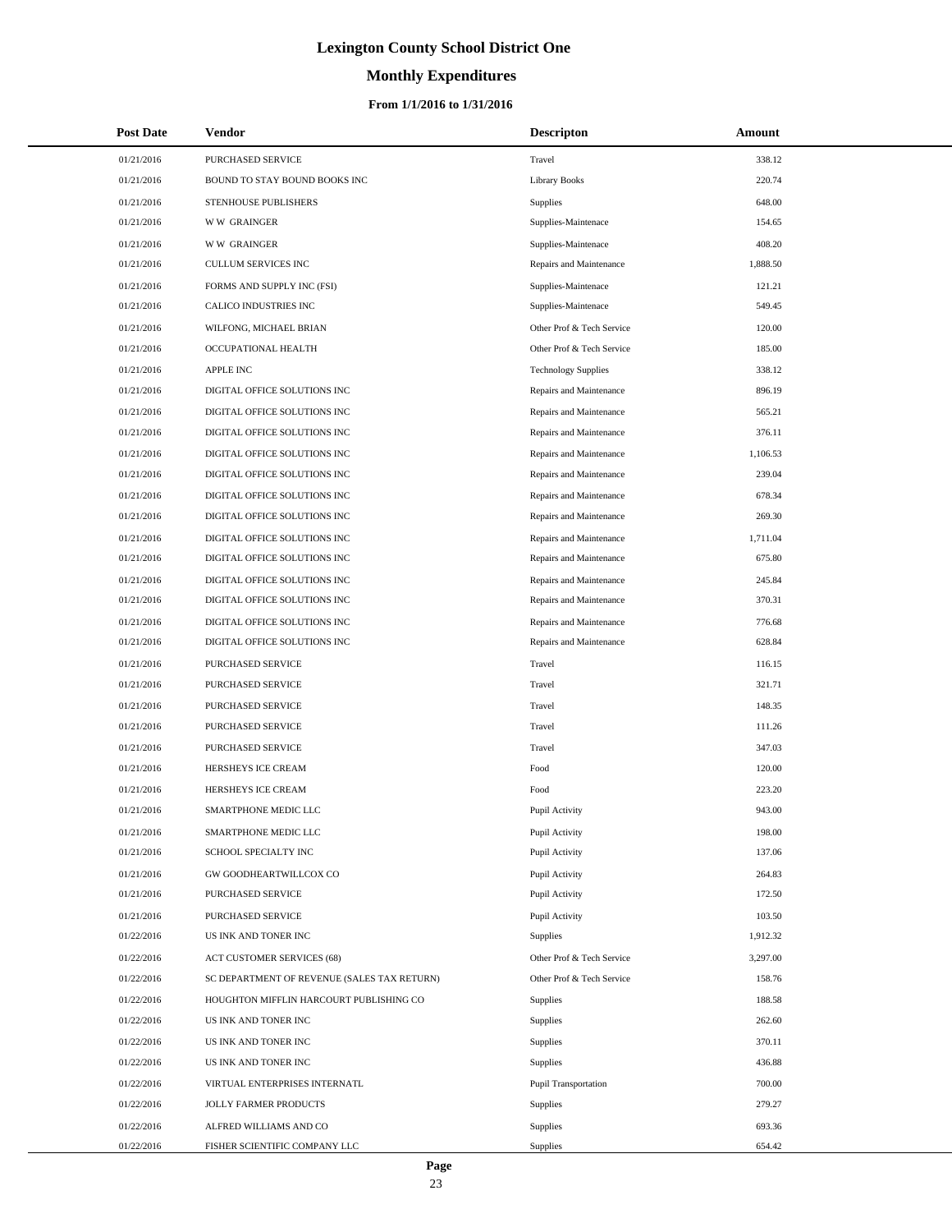# **Monthly Expenditures**

| <b>Post Date</b> | Vendor                                      | <b>Descripton</b>          | Amount   |
|------------------|---------------------------------------------|----------------------------|----------|
| 01/21/2016       | PURCHASED SERVICE                           | Travel                     | 338.12   |
| 01/21/2016       | BOUND TO STAY BOUND BOOKS INC               | <b>Library Books</b>       | 220.74   |
| 01/21/2016       | STENHOUSE PUBLISHERS                        | <b>Supplies</b>            | 648.00   |
| 01/21/2016       | <b>WW GRAINGER</b>                          | Supplies-Maintenace        | 154.65   |
| 01/21/2016       | <b>WW GRAINGER</b>                          | Supplies-Maintenace        | 408.20   |
| 01/21/2016       | CULLUM SERVICES INC                         | Repairs and Maintenance    | 1,888.50 |
| 01/21/2016       | FORMS AND SUPPLY INC (FSI)                  | Supplies-Maintenace        | 121.21   |
| 01/21/2016       | CALICO INDUSTRIES INC                       | Supplies-Maintenace        | 549.45   |
| 01/21/2016       | WILFONG, MICHAEL BRIAN                      | Other Prof & Tech Service  | 120.00   |
| 01/21/2016       | OCCUPATIONAL HEALTH                         | Other Prof & Tech Service  | 185.00   |
| 01/21/2016       | APPLE INC                                   | <b>Technology Supplies</b> | 338.12   |
| 01/21/2016       | DIGITAL OFFICE SOLUTIONS INC                | Repairs and Maintenance    | 896.19   |
| 01/21/2016       | DIGITAL OFFICE SOLUTIONS INC                | Repairs and Maintenance    | 565.21   |
| 01/21/2016       | DIGITAL OFFICE SOLUTIONS INC                | Repairs and Maintenance    | 376.11   |
| 01/21/2016       | DIGITAL OFFICE SOLUTIONS INC                | Repairs and Maintenance    | 1,106.53 |
| 01/21/2016       | DIGITAL OFFICE SOLUTIONS INC                | Repairs and Maintenance    | 239.04   |
| 01/21/2016       | DIGITAL OFFICE SOLUTIONS INC                | Repairs and Maintenance    | 678.34   |
| 01/21/2016       | DIGITAL OFFICE SOLUTIONS INC                | Repairs and Maintenance    | 269.30   |
| 01/21/2016       | DIGITAL OFFICE SOLUTIONS INC                | Repairs and Maintenance    | 1,711.04 |
| 01/21/2016       | DIGITAL OFFICE SOLUTIONS INC                | Repairs and Maintenance    | 675.80   |
| 01/21/2016       | DIGITAL OFFICE SOLUTIONS INC                | Repairs and Maintenance    | 245.84   |
| 01/21/2016       | DIGITAL OFFICE SOLUTIONS INC                | Repairs and Maintenance    | 370.31   |
| 01/21/2016       | DIGITAL OFFICE SOLUTIONS INC                | Repairs and Maintenance    | 776.68   |
| 01/21/2016       | DIGITAL OFFICE SOLUTIONS INC                | Repairs and Maintenance    | 628.84   |
| 01/21/2016       | PURCHASED SERVICE                           | Travel                     | 116.15   |
| 01/21/2016       | PURCHASED SERVICE                           | Travel                     | 321.71   |
| 01/21/2016       | PURCHASED SERVICE                           | Travel                     | 148.35   |
| 01/21/2016       | PURCHASED SERVICE                           | Travel                     | 111.26   |
| 01/21/2016       | <b>PURCHASED SERVICE</b>                    | Travel                     | 347.03   |
| 01/21/2016       | HERSHEYS ICE CREAM                          | Food                       | 120.00   |
| 01/21/2016       | HERSHEYS ICE CREAM                          | Food                       | 223.20   |
| 01/21/2016       | SMARTPHONE MEDIC LLC                        | Pupil Activity             | 943.00   |
| 01/21/2016       | SMARTPHONE MEDIC LLC                        | Pupil Activity             | 198.00   |
| 01/21/2016       | SCHOOL SPECIALTY INC                        | Pupil Activity             | 137.06   |
| 01/21/2016       | GW GOODHEARTWILLCOX CO                      | Pupil Activity             | 264.83   |
| 01/21/2016       | PURCHASED SERVICE                           | Pupil Activity             | 172.50   |
| 01/21/2016       | PURCHASED SERVICE                           | Pupil Activity             | 103.50   |
| 01/22/2016       | US INK AND TONER INC                        | Supplies                   | 1,912.32 |
| 01/22/2016       | <b>ACT CUSTOMER SERVICES (68)</b>           | Other Prof & Tech Service  | 3,297.00 |
| 01/22/2016       | SC DEPARTMENT OF REVENUE (SALES TAX RETURN) | Other Prof & Tech Service  | 158.76   |
| 01/22/2016       | HOUGHTON MIFFLIN HARCOURT PUBLISHING CO     | Supplies                   | 188.58   |
| 01/22/2016       | US INK AND TONER INC                        | Supplies                   | 262.60   |
| 01/22/2016       | US INK AND TONER INC                        | Supplies                   | 370.11   |
| 01/22/2016       | US INK AND TONER INC                        | Supplies                   | 436.88   |
| 01/22/2016       | VIRTUAL ENTERPRISES INTERNATL               | Pupil Transportation       | 700.00   |
| 01/22/2016       | JOLLY FARMER PRODUCTS                       | Supplies                   | 279.27   |
| 01/22/2016       | ALFRED WILLIAMS AND CO                      | Supplies                   | 693.36   |
| 01/22/2016       | FISHER SCIENTIFIC COMPANY LLC               | Supplies                   | 654.42   |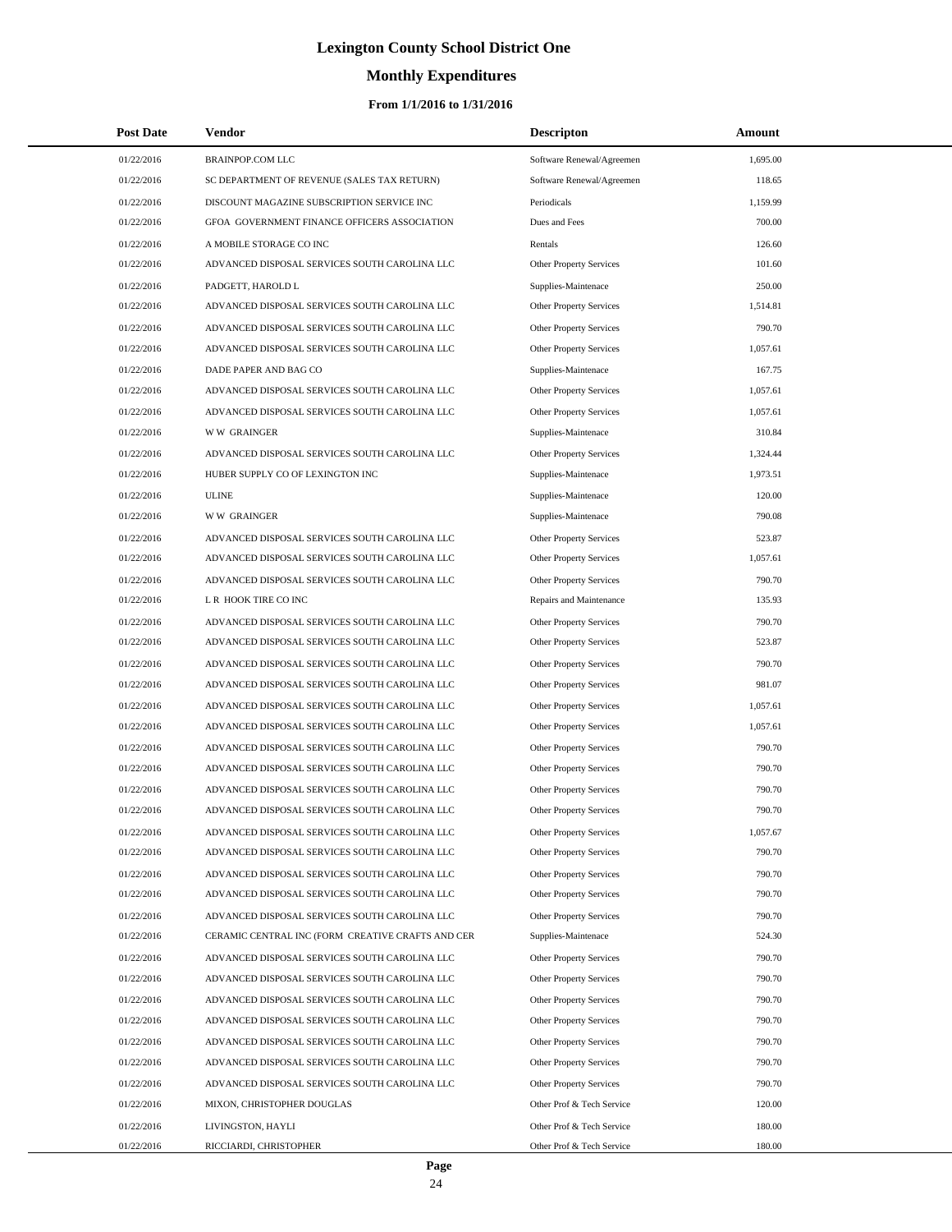# **Monthly Expenditures**

### **From 1/1/2016 to 1/31/2016**

| <b>Post Date</b>         | Vendor                                                                                         | <b>Descripton</b>                                  | Amount           |  |
|--------------------------|------------------------------------------------------------------------------------------------|----------------------------------------------------|------------------|--|
| 01/22/2016               | <b>BRAINPOP.COM LLC</b>                                                                        | Software Renewal/Agreemen                          | 1,695.00         |  |
| 01/22/2016               | SC DEPARTMENT OF REVENUE (SALES TAX RETURN)                                                    | Software Renewal/Agreemen                          | 118.65           |  |
| 01/22/2016               | DISCOUNT MAGAZINE SUBSCRIPTION SERVICE INC                                                     | Periodicals                                        | 1,159.99         |  |
| 01/22/2016               | GFOA GOVERNMENT FINANCE OFFICERS ASSOCIATION                                                   | Dues and Fees                                      | 700.00           |  |
| 01/22/2016               | A MOBILE STORAGE CO INC                                                                        | Rentals                                            | 126.60           |  |
| 01/22/2016               | ADVANCED DISPOSAL SERVICES SOUTH CAROLINA LLC                                                  | Other Property Services                            | 101.60           |  |
| 01/22/2016               | PADGETT, HAROLD L                                                                              | Supplies-Maintenace                                | 250.00           |  |
| 01/22/2016               | ADVANCED DISPOSAL SERVICES SOUTH CAROLINA LLC                                                  | Other Property Services                            | 1,514.81         |  |
| 01/22/2016               | ADVANCED DISPOSAL SERVICES SOUTH CAROLINA LLC                                                  | Other Property Services                            | 790.70           |  |
| 01/22/2016               | ADVANCED DISPOSAL SERVICES SOUTH CAROLINA LLC                                                  | <b>Other Property Services</b>                     | 1,057.61         |  |
| 01/22/2016               | DADE PAPER AND BAG CO                                                                          | Supplies-Maintenace                                | 167.75           |  |
| 01/22/2016               | ADVANCED DISPOSAL SERVICES SOUTH CAROLINA LLC                                                  | Other Property Services                            | 1,057.61         |  |
| 01/22/2016               | ADVANCED DISPOSAL SERVICES SOUTH CAROLINA LLC                                                  | Other Property Services                            | 1,057.61         |  |
| 01/22/2016               | <b>WW GRAINGER</b>                                                                             | Supplies-Maintenace                                | 310.84           |  |
| 01/22/2016               | ADVANCED DISPOSAL SERVICES SOUTH CAROLINA LLC                                                  | Other Property Services                            | 1,324.44         |  |
| 01/22/2016               | HUBER SUPPLY CO OF LEXINGTON INC                                                               | Supplies-Maintenace                                | 1,973.51         |  |
| 01/22/2016               | <b>ULINE</b>                                                                                   | Supplies-Maintenace                                | 120.00           |  |
| 01/22/2016               | <b>WW GRAINGER</b>                                                                             | Supplies-Maintenace                                | 790.08           |  |
| 01/22/2016               | ADVANCED DISPOSAL SERVICES SOUTH CAROLINA LLC                                                  | Other Property Services                            | 523.87           |  |
| 01/22/2016               | ADVANCED DISPOSAL SERVICES SOUTH CAROLINA LLC                                                  | Other Property Services                            | 1,057.61         |  |
| 01/22/2016               | ADVANCED DISPOSAL SERVICES SOUTH CAROLINA LLC                                                  | Other Property Services                            | 790.70           |  |
| 01/22/2016               | L R HOOK TIRE CO INC                                                                           | Repairs and Maintenance                            | 135.93           |  |
| 01/22/2016               | ADVANCED DISPOSAL SERVICES SOUTH CAROLINA LLC                                                  | Other Property Services                            | 790.70           |  |
| 01/22/2016               | ADVANCED DISPOSAL SERVICES SOUTH CAROLINA LLC                                                  | Other Property Services                            | 523.87           |  |
| 01/22/2016               | ADVANCED DISPOSAL SERVICES SOUTH CAROLINA LLC                                                  | Other Property Services                            | 790.70           |  |
| 01/22/2016               | ADVANCED DISPOSAL SERVICES SOUTH CAROLINA LLC                                                  | Other Property Services                            | 981.07           |  |
| 01/22/2016               | ADVANCED DISPOSAL SERVICES SOUTH CAROLINA LLC                                                  | Other Property Services                            | 1,057.61         |  |
| 01/22/2016               | ADVANCED DISPOSAL SERVICES SOUTH CAROLINA LLC                                                  | Other Property Services                            | 1,057.61         |  |
| 01/22/2016               | ADVANCED DISPOSAL SERVICES SOUTH CAROLINA LLC                                                  | Other Property Services                            | 790.70           |  |
| 01/22/2016               | ADVANCED DISPOSAL SERVICES SOUTH CAROLINA LLC                                                  | <b>Other Property Services</b>                     | 790.70           |  |
| 01/22/2016               | ADVANCED DISPOSAL SERVICES SOUTH CAROLINA LLC                                                  | Other Property Services                            | 790.70           |  |
| 01/22/2016               | ADVANCED DISPOSAL SERVICES SOUTH CAROLINA LLC                                                  | <b>Other Property Services</b>                     | 790.70           |  |
| 01/22/2016               | ADVANCED DISPOSAL SERVICES SOUTH CAROLINA LLC                                                  | Other Property Services                            | 1,057.67         |  |
| 01/22/2016               | ADVANCED DISPOSAL SERVICES SOUTH CAROLINA LLC                                                  | Other Property Services                            | 790.70           |  |
| 01/22/2016               | ADVANCED DISPOSAL SERVICES SOUTH CAROLINA LLC                                                  | Other Property Services                            | 790.70           |  |
| 01/22/2016               | ADVANCED DISPOSAL SERVICES SOUTH CAROLINA LLC                                                  | Other Property Services                            | 790.70           |  |
| 01/22/2016               | ADVANCED DISPOSAL SERVICES SOUTH CAROLINA LLC                                                  | Other Property Services                            | 790.70           |  |
| 01/22/2016               | CERAMIC CENTRAL INC (FORM CREATIVE CRAFTS AND CER                                              | Supplies-Maintenace                                | 524.30           |  |
| 01/22/2016<br>01/22/2016 | ADVANCED DISPOSAL SERVICES SOUTH CAROLINA LLC<br>ADVANCED DISPOSAL SERVICES SOUTH CAROLINA LLC | Other Property Services                            | 790.70<br>790.70 |  |
| 01/22/2016               | ADVANCED DISPOSAL SERVICES SOUTH CAROLINA LLC                                                  | Other Property Services                            | 790.70           |  |
| 01/22/2016               | ADVANCED DISPOSAL SERVICES SOUTH CAROLINA LLC                                                  | Other Property Services<br>Other Property Services | 790.70           |  |
| 01/22/2016               | ADVANCED DISPOSAL SERVICES SOUTH CAROLINA LLC                                                  | Other Property Services                            | 790.70           |  |
| 01/22/2016               | ADVANCED DISPOSAL SERVICES SOUTH CAROLINA LLC                                                  | Other Property Services                            | 790.70           |  |
| 01/22/2016               | ADVANCED DISPOSAL SERVICES SOUTH CAROLINA LLC                                                  | Other Property Services                            | 790.70           |  |
| 01/22/2016               | MIXON, CHRISTOPHER DOUGLAS                                                                     | Other Prof & Tech Service                          | 120.00           |  |
| 01/22/2016               | LIVINGSTON, HAYLI                                                                              | Other Prof & Tech Service                          | 180.00           |  |
| 01/22/2016               | RICCIARDI, CHRISTOPHER                                                                         | Other Prof & Tech Service                          | 180.00           |  |

L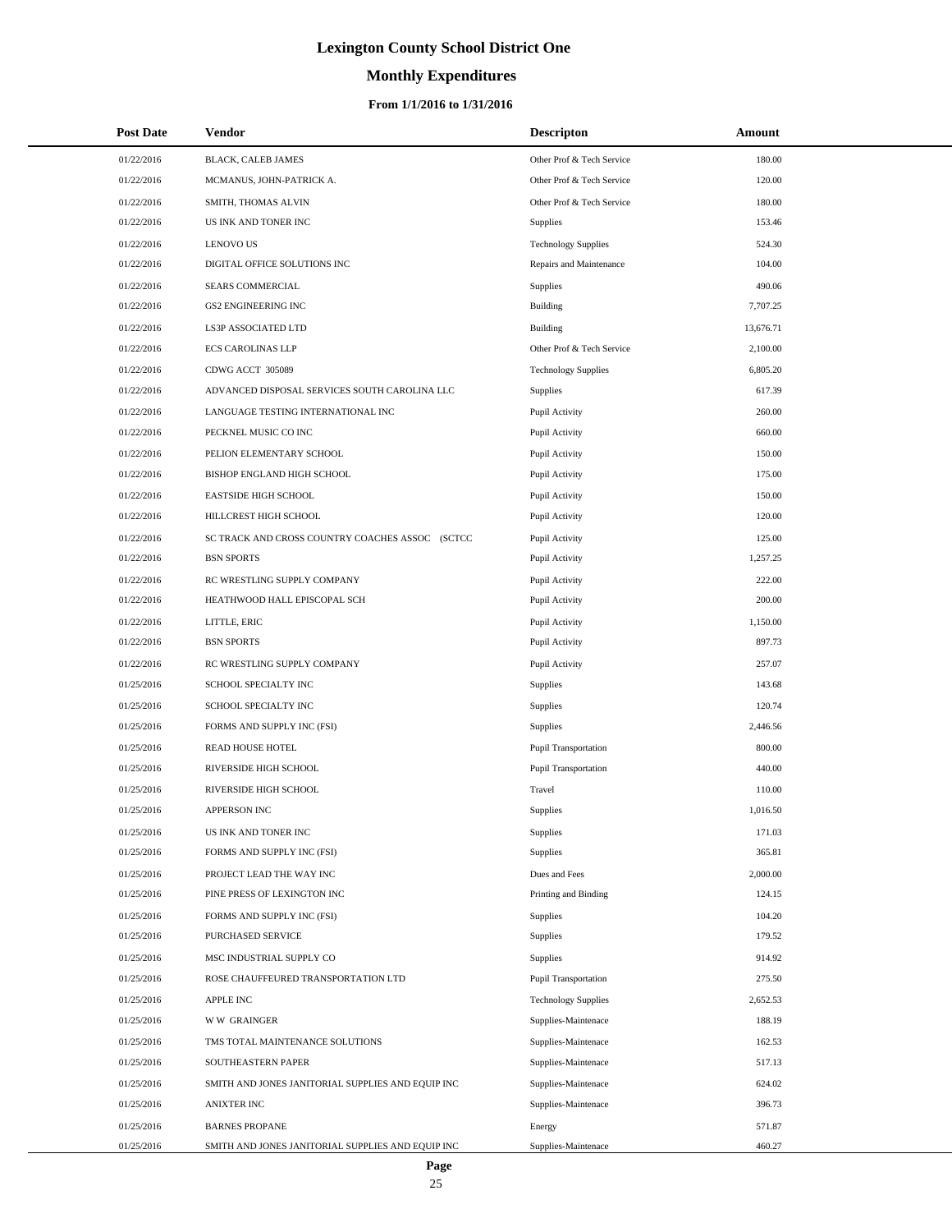# **Monthly Expenditures**

### **From 1/1/2016 to 1/31/2016**

| <b>Post Date</b> | Vendor                                            | <b>Descripton</b>           | Amount    |  |
|------------------|---------------------------------------------------|-----------------------------|-----------|--|
| 01/22/2016       | BLACK, CALEB JAMES                                | Other Prof & Tech Service   | 180.00    |  |
| 01/22/2016       | MCMANUS, JOHN-PATRICK A.                          | Other Prof & Tech Service   | 120.00    |  |
| 01/22/2016       | SMITH, THOMAS ALVIN                               | Other Prof & Tech Service   | 180.00    |  |
| 01/22/2016       | US INK AND TONER INC                              | Supplies                    | 153.46    |  |
| 01/22/2016       | <b>LENOVO US</b>                                  | <b>Technology Supplies</b>  | 524.30    |  |
| 01/22/2016       | DIGITAL OFFICE SOLUTIONS INC                      | Repairs and Maintenance     | 104.00    |  |
| 01/22/2016       | SEARS COMMERCIAL                                  | Supplies                    | 490.06    |  |
| 01/22/2016       | <b>GS2 ENGINEERING INC</b>                        | Building                    | 7,707.25  |  |
| 01/22/2016       | LS3P ASSOCIATED LTD                               | Building                    | 13,676.71 |  |
| 01/22/2016       | <b>ECS CAROLINAS LLP</b>                          | Other Prof & Tech Service   | 2,100.00  |  |
| 01/22/2016       | CDWG ACCT 305089                                  | <b>Technology Supplies</b>  | 6,805.20  |  |
| 01/22/2016       | ADVANCED DISPOSAL SERVICES SOUTH CAROLINA LLC     | <b>Supplies</b>             | 617.39    |  |
| 01/22/2016       | LANGUAGE TESTING INTERNATIONAL INC                | Pupil Activity              | 260.00    |  |
| 01/22/2016       | PECKNEL MUSIC CO INC                              | Pupil Activity              | 660.00    |  |
| 01/22/2016       | PELION ELEMENTARY SCHOOL                          | Pupil Activity              | 150.00    |  |
| 01/22/2016       | BISHOP ENGLAND HIGH SCHOOL                        | Pupil Activity              | 175.00    |  |
| 01/22/2016       | <b>EASTSIDE HIGH SCHOOL</b>                       | Pupil Activity              | 150.00    |  |
| 01/22/2016       | HILLCREST HIGH SCHOOL                             | Pupil Activity              | 120.00    |  |
| 01/22/2016       | SC TRACK AND CROSS COUNTRY COACHES ASSOC (SCTCC   | Pupil Activity              | 125.00    |  |
| 01/22/2016       | <b>BSN SPORTS</b>                                 | Pupil Activity              | 1,257.25  |  |
| 01/22/2016       | RC WRESTLING SUPPLY COMPANY                       | Pupil Activity              | 222.00    |  |
| 01/22/2016       | HEATHWOOD HALL EPISCOPAL SCH                      | Pupil Activity              | 200.00    |  |
| 01/22/2016       | LITTLE, ERIC                                      | Pupil Activity              | 1,150.00  |  |
| 01/22/2016       | <b>BSN SPORTS</b>                                 | Pupil Activity              | 897.73    |  |
| 01/22/2016       | RC WRESTLING SUPPLY COMPANY                       | Pupil Activity              | 257.07    |  |
| 01/25/2016       | SCHOOL SPECIALTY INC                              | <b>Supplies</b>             | 143.68    |  |
| 01/25/2016       | SCHOOL SPECIALTY INC                              | Supplies                    | 120.74    |  |
| 01/25/2016       | FORMS AND SUPPLY INC (FSI)                        | Supplies                    | 2,446.56  |  |
| 01/25/2016       | READ HOUSE HOTEL                                  | Pupil Transportation        | 800.00    |  |
| 01/25/2016       | RIVERSIDE HIGH SCHOOL                             | Pupil Transportation        | 440.00    |  |
| 01/25/2016       | RIVERSIDE HIGH SCHOOL                             | Travel                      | 110.00    |  |
| 01/25/2016       | APPERSON INC                                      | Supplies                    | 1,016.50  |  |
| 01/25/2016       | US INK AND TONER INC                              | Supplies                    | 171.03    |  |
| 01/25/2016       | FORMS AND SUPPLY INC (FSI)                        | Supplies                    | 365.81    |  |
| 01/25/2016       | PROJECT LEAD THE WAY INC                          | Dues and Fees               | 2,000.00  |  |
| 01/25/2016       | PINE PRESS OF LEXINGTON INC                       | Printing and Binding        | 124.15    |  |
| 01/25/2016       | FORMS AND SUPPLY INC (FSI)                        | <b>Supplies</b>             | 104.20    |  |
| 01/25/2016       | PURCHASED SERVICE                                 | Supplies                    | 179.52    |  |
| 01/25/2016       | MSC INDUSTRIAL SUPPLY CO                          | Supplies                    | 914.92    |  |
| 01/25/2016       | ROSE CHAUFFEURED TRANSPORTATION LTD               | <b>Pupil Transportation</b> | 275.50    |  |
| 01/25/2016       | APPLE INC                                         | <b>Technology Supplies</b>  | 2,652.53  |  |
| 01/25/2016       | <b>WW GRAINGER</b>                                | Supplies-Maintenace         | 188.19    |  |
| 01/25/2016       | TMS TOTAL MAINTENANCE SOLUTIONS                   | Supplies-Maintenace         | 162.53    |  |
| 01/25/2016       | SOUTHEASTERN PAPER                                | Supplies-Maintenace         | 517.13    |  |
| 01/25/2016       | SMITH AND JONES JANITORIAL SUPPLIES AND EQUIP INC | Supplies-Maintenace         | 624.02    |  |
| 01/25/2016       | <b>ANIXTER INC</b>                                | Supplies-Maintenace         | 396.73    |  |
| 01/25/2016       | <b>BARNES PROPANE</b>                             | Energy                      | 571.87    |  |
| 01/25/2016       | SMITH AND JONES JANITORIAL SUPPLIES AND EQUIP INC | Supplies-Maintenace         | 460.27    |  |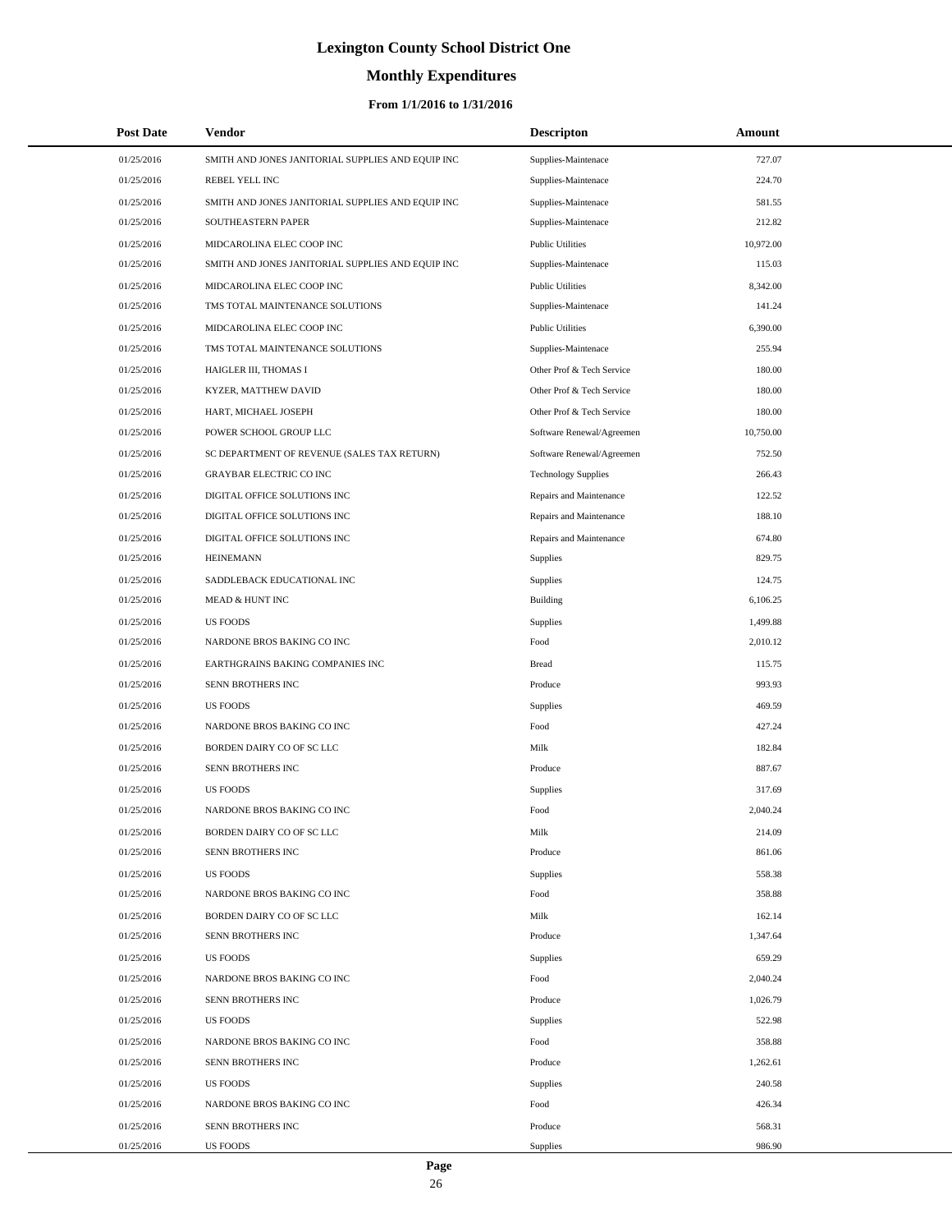# **Monthly Expenditures**

### **From 1/1/2016 to 1/31/2016**

| <b>Post Date</b> | Vendor                                            | <b>Descripton</b>          | Amount    |
|------------------|---------------------------------------------------|----------------------------|-----------|
| 01/25/2016       | SMITH AND JONES JANITORIAL SUPPLIES AND EQUIP INC | Supplies-Maintenace        | 727.07    |
| 01/25/2016       | REBEL YELL INC                                    | Supplies-Maintenace        | 224.70    |
| 01/25/2016       | SMITH AND JONES JANITORIAL SUPPLIES AND EQUIP INC | Supplies-Maintenace        | 581.55    |
| 01/25/2016       | SOUTHEASTERN PAPER                                | Supplies-Maintenace        | 212.82    |
| 01/25/2016       | MIDCAROLINA ELEC COOP INC                         | <b>Public Utilities</b>    | 10,972.00 |
| 01/25/2016       | SMITH AND JONES JANITORIAL SUPPLIES AND EQUIP INC | Supplies-Maintenace        | 115.03    |
| 01/25/2016       | MIDCAROLINA ELEC COOP INC                         | <b>Public Utilities</b>    | 8,342.00  |
| 01/25/2016       | TMS TOTAL MAINTENANCE SOLUTIONS                   | Supplies-Maintenace        | 141.24    |
| 01/25/2016       | MIDCAROLINA ELEC COOP INC                         | <b>Public Utilities</b>    | 6,390.00  |
| 01/25/2016       | TMS TOTAL MAINTENANCE SOLUTIONS                   | Supplies-Maintenace        | 255.94    |
| 01/25/2016       | HAIGLER III, THOMAS I                             | Other Prof & Tech Service  | 180.00    |
| 01/25/2016       | KYZER, MATTHEW DAVID                              | Other Prof & Tech Service  | 180.00    |
| 01/25/2016       | HART, MICHAEL JOSEPH                              | Other Prof & Tech Service  | 180.00    |
| 01/25/2016       | POWER SCHOOL GROUP LLC                            | Software Renewal/Agreemen  | 10,750.00 |
| 01/25/2016       | SC DEPARTMENT OF REVENUE (SALES TAX RETURN)       | Software Renewal/Agreemen  | 752.50    |
| 01/25/2016       | GRAYBAR ELECTRIC CO INC                           | <b>Technology Supplies</b> | 266.43    |
| 01/25/2016       | DIGITAL OFFICE SOLUTIONS INC                      | Repairs and Maintenance    | 122.52    |
| 01/25/2016       | DIGITAL OFFICE SOLUTIONS INC                      | Repairs and Maintenance    | 188.10    |
| 01/25/2016       | DIGITAL OFFICE SOLUTIONS INC                      | Repairs and Maintenance    | 674.80    |
| 01/25/2016       | <b>HEINEMANN</b>                                  | Supplies                   | 829.75    |
| 01/25/2016       | SADDLEBACK EDUCATIONAL INC                        | Supplies                   | 124.75    |
| 01/25/2016       | MEAD & HUNT INC                                   | Building                   | 6,106.25  |
| 01/25/2016       | <b>US FOODS</b>                                   | Supplies                   | 1,499.88  |
| 01/25/2016       | NARDONE BROS BAKING CO INC                        | Food                       | 2,010.12  |
| 01/25/2016       | EARTHGRAINS BAKING COMPANIES INC                  | <b>Bread</b>               | 115.75    |
| 01/25/2016       | SENN BROTHERS INC                                 | Produce                    | 993.93    |
| 01/25/2016       | <b>US FOODS</b>                                   | Supplies                   | 469.59    |
| 01/25/2016       | NARDONE BROS BAKING CO INC                        | Food                       | 427.24    |
| 01/25/2016       | BORDEN DAIRY CO OF SC LLC                         | Milk                       | 182.84    |
| 01/25/2016       | SENN BROTHERS INC                                 | Produce                    | 887.67    |
| 01/25/2016       | US FOODS                                          | Supplies                   | 317.69    |
| 01/25/2016       | NARDONE BROS BAKING CO INC                        | Food                       | 2,040.24  |
| 01/25/2016       | BORDEN DAIRY CO OF SC LLC                         | Milk                       | 214.09    |
| 01/25/2016       | SENN BROTHERS INC                                 | Produce                    | 861.06    |
| 01/25/2016       | <b>US FOODS</b>                                   | Supplies                   | 558.38    |
| 01/25/2016       | NARDONE BROS BAKING CO INC                        | Food                       | 358.88    |
| 01/25/2016       | BORDEN DAIRY CO OF SC LLC                         | Milk                       | 162.14    |
| 01/25/2016       | SENN BROTHERS INC                                 | Produce                    | 1,347.64  |
| 01/25/2016       | <b>US FOODS</b>                                   | Supplies                   | 659.29    |
| 01/25/2016       | NARDONE BROS BAKING CO INC                        | Food                       | 2,040.24  |
| 01/25/2016       | SENN BROTHERS INC                                 | Produce                    | 1,026.79  |
| 01/25/2016       | <b>US FOODS</b>                                   | Supplies                   | 522.98    |
| 01/25/2016       | NARDONE BROS BAKING CO INC                        | Food                       | 358.88    |
| 01/25/2016       | SENN BROTHERS INC                                 | Produce                    | 1,262.61  |
| 01/25/2016       | <b>US FOODS</b>                                   | Supplies                   | 240.58    |
| 01/25/2016       | NARDONE BROS BAKING CO INC                        | Food                       | 426.34    |
| 01/25/2016       | SENN BROTHERS INC                                 | Produce                    | 568.31    |
| 01/25/2016       | <b>US FOODS</b>                                   | Supplies                   | 986.90    |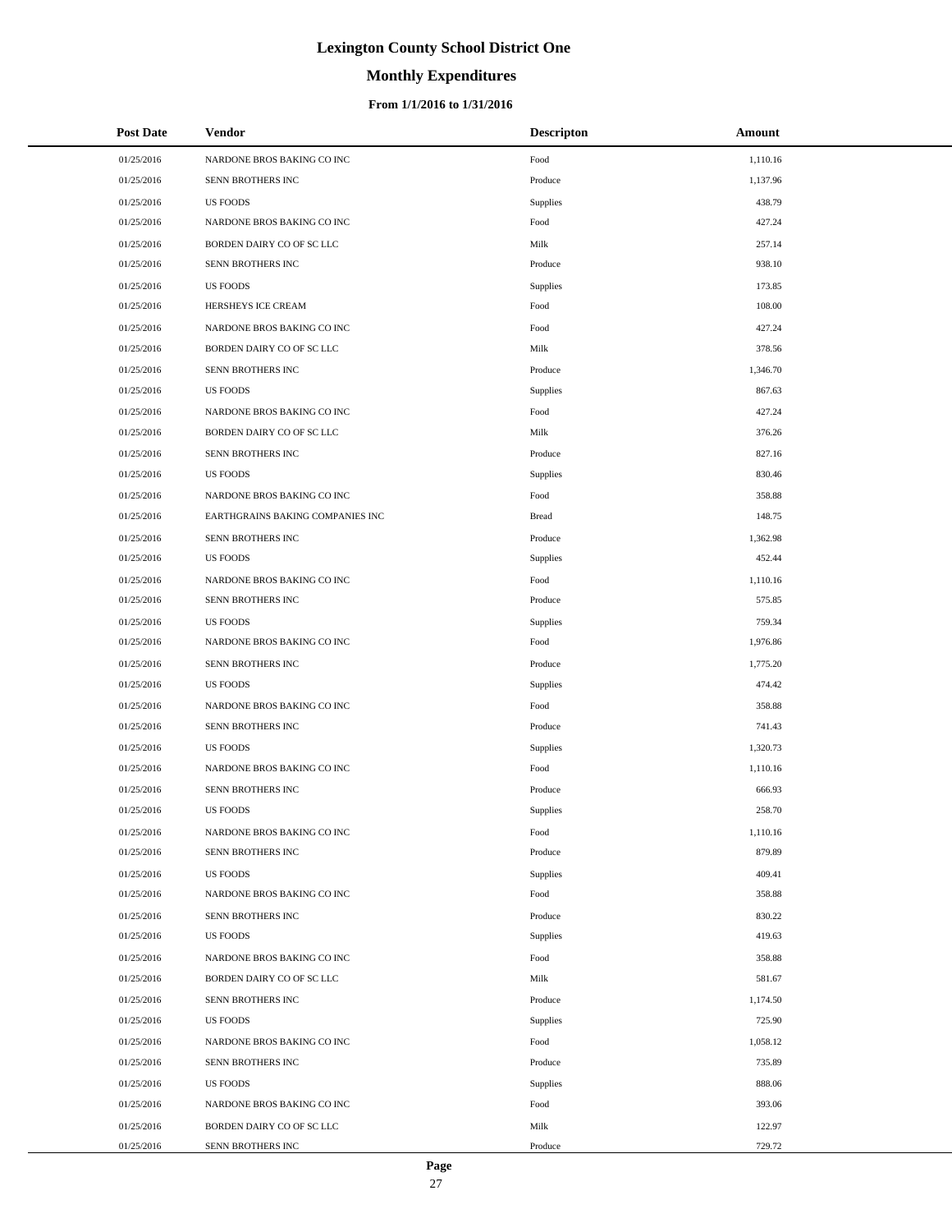# **Monthly Expenditures**

### **From 1/1/2016 to 1/31/2016**

| <b>Post Date</b> | <b>Vendor</b>                    | <b>Descripton</b> | Amount   |  |
|------------------|----------------------------------|-------------------|----------|--|
| 01/25/2016       | NARDONE BROS BAKING CO INC       | Food              | 1,110.16 |  |
| 01/25/2016       | SENN BROTHERS INC                | Produce           | 1,137.96 |  |
| 01/25/2016       | <b>US FOODS</b>                  | <b>Supplies</b>   | 438.79   |  |
| 01/25/2016       | NARDONE BROS BAKING CO INC       | Food              | 427.24   |  |
| 01/25/2016       | BORDEN DAIRY CO OF SC LLC        | Milk              | 257.14   |  |
| 01/25/2016       | SENN BROTHERS INC                | Produce           | 938.10   |  |
| 01/25/2016       | <b>US FOODS</b>                  | <b>Supplies</b>   | 173.85   |  |
| 01/25/2016       | HERSHEYS ICE CREAM               | Food              | 108.00   |  |
| 01/25/2016       | NARDONE BROS BAKING CO INC       | Food              | 427.24   |  |
| 01/25/2016       | BORDEN DAIRY CO OF SC LLC        | Milk              | 378.56   |  |
| 01/25/2016       | SENN BROTHERS INC                | Produce           | 1,346.70 |  |
| 01/25/2016       | <b>US FOODS</b>                  | Supplies          | 867.63   |  |
| 01/25/2016       | NARDONE BROS BAKING CO INC       | Food              | 427.24   |  |
| 01/25/2016       | BORDEN DAIRY CO OF SC LLC        | Milk              | 376.26   |  |
| 01/25/2016       | SENN BROTHERS INC                | Produce           | 827.16   |  |
| 01/25/2016       | <b>US FOODS</b>                  | <b>Supplies</b>   | 830.46   |  |
| 01/25/2016       | NARDONE BROS BAKING CO INC       | Food              | 358.88   |  |
| 01/25/2016       | EARTHGRAINS BAKING COMPANIES INC | <b>Bread</b>      | 148.75   |  |
| 01/25/2016       | SENN BROTHERS INC                | Produce           | 1,362.98 |  |
| 01/25/2016       | <b>US FOODS</b>                  | Supplies          | 452.44   |  |
| 01/25/2016       | NARDONE BROS BAKING CO INC       | Food              | 1,110.16 |  |
| 01/25/2016       | SENN BROTHERS INC                | Produce           | 575.85   |  |
| 01/25/2016       | <b>US FOODS</b>                  | <b>Supplies</b>   | 759.34   |  |
| 01/25/2016       | NARDONE BROS BAKING CO INC       | Food              | 1,976.86 |  |
| 01/25/2016       | SENN BROTHERS INC                | Produce           | 1,775.20 |  |
| 01/25/2016       | <b>US FOODS</b>                  | Supplies          | 474.42   |  |
| 01/25/2016       | NARDONE BROS BAKING CO INC       | Food              | 358.88   |  |
| 01/25/2016       | SENN BROTHERS INC                | Produce           | 741.43   |  |
| 01/25/2016       | <b>US FOODS</b>                  | <b>Supplies</b>   | 1,320.73 |  |
| 01/25/2016       | NARDONE BROS BAKING CO INC       | Food              | 1,110.16 |  |
| 01/25/2016       | SENN BROTHERS INC                | Produce           | 666.93   |  |
| 01/25/2016       | <b>US FOODS</b>                  | Supplies          | 258.70   |  |
| 01/25/2016       | NARDONE BROS BAKING CO INC       | Food              | 1,110.16 |  |
| 01/25/2016       | SENN BROTHERS INC                | Produce           | 879.89   |  |
| 01/25/2016       | <b>US FOODS</b>                  | Supplies          | 409.41   |  |
| 01/25/2016       | NARDONE BROS BAKING CO INC       | Food              | 358.88   |  |
| 01/25/2016       | SENN BROTHERS INC                | Produce           | 830.22   |  |
| 01/25/2016       | <b>US FOODS</b>                  | Supplies          | 419.63   |  |
| 01/25/2016       | NARDONE BROS BAKING CO INC       | Food              | 358.88   |  |
| 01/25/2016       | BORDEN DAIRY CO OF SC LLC        | Milk              | 581.67   |  |
| 01/25/2016       | SENN BROTHERS INC                | Produce           | 1,174.50 |  |
| 01/25/2016       | <b>US FOODS</b>                  | Supplies          | 725.90   |  |
| 01/25/2016       | NARDONE BROS BAKING CO INC       | Food              | 1,058.12 |  |
| 01/25/2016       | SENN BROTHERS INC                | Produce           | 735.89   |  |
| 01/25/2016       | <b>US FOODS</b>                  | Supplies          | 888.06   |  |
| 01/25/2016       | NARDONE BROS BAKING CO INC       | Food              | 393.06   |  |
| 01/25/2016       | BORDEN DAIRY CO OF SC LLC        | Milk              | 122.97   |  |
| 01/25/2016       | SENN BROTHERS INC                | Produce           | 729.72   |  |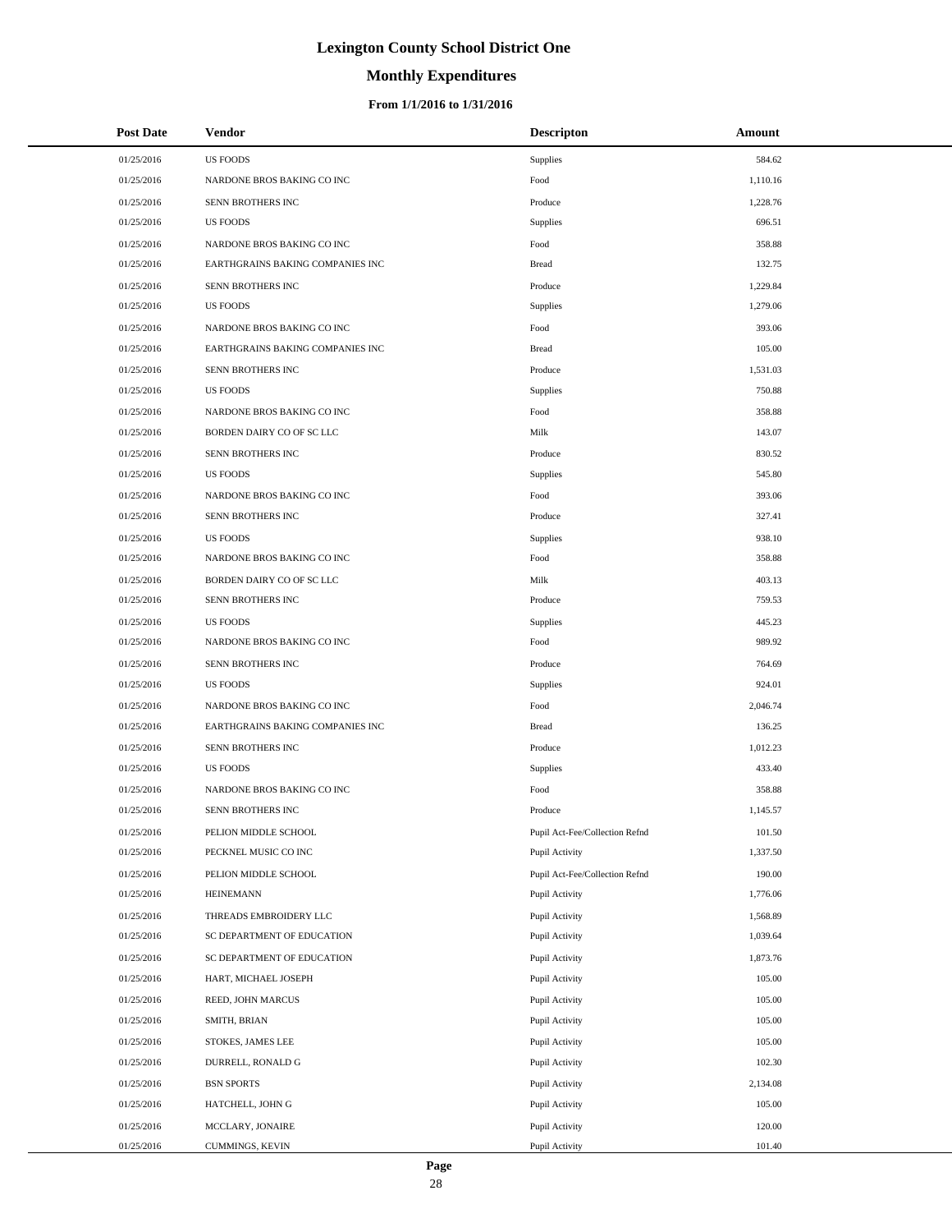# **Monthly Expenditures**

### **From 1/1/2016 to 1/31/2016**

| <b>Post Date</b> | Vendor                           | <b>Descripton</b>              | Amount   |
|------------------|----------------------------------|--------------------------------|----------|
| 01/25/2016       | <b>US FOODS</b>                  | Supplies                       | 584.62   |
| 01/25/2016       | NARDONE BROS BAKING CO INC       | Food                           | 1,110.16 |
| 01/25/2016       | SENN BROTHERS INC                | Produce                        | 1,228.76 |
| 01/25/2016       | <b>US FOODS</b>                  | Supplies                       | 696.51   |
| 01/25/2016       | NARDONE BROS BAKING CO INC       | Food                           | 358.88   |
| 01/25/2016       | EARTHGRAINS BAKING COMPANIES INC | <b>Bread</b>                   | 132.75   |
| 01/25/2016       | SENN BROTHERS INC                | Produce                        | 1,229.84 |
| 01/25/2016       | <b>US FOODS</b>                  | Supplies                       | 1,279.06 |
| 01/25/2016       | NARDONE BROS BAKING CO INC       | Food                           | 393.06   |
| 01/25/2016       | EARTHGRAINS BAKING COMPANIES INC | <b>Bread</b>                   | 105.00   |
| 01/25/2016       | SENN BROTHERS INC                | Produce                        | 1,531.03 |
| 01/25/2016       | <b>US FOODS</b>                  | Supplies                       | 750.88   |
| 01/25/2016       | NARDONE BROS BAKING CO INC       | Food                           | 358.88   |
| 01/25/2016       | BORDEN DAIRY CO OF SC LLC        | Milk                           | 143.07   |
| 01/25/2016       | SENN BROTHERS INC                | Produce                        | 830.52   |
| 01/25/2016       | <b>US FOODS</b>                  | Supplies                       | 545.80   |
| 01/25/2016       | NARDONE BROS BAKING CO INC       | Food                           | 393.06   |
| 01/25/2016       | SENN BROTHERS INC                | Produce                        | 327.41   |
| 01/25/2016       | <b>US FOODS</b>                  | Supplies                       | 938.10   |
| 01/25/2016       | NARDONE BROS BAKING CO INC       | Food                           | 358.88   |
| 01/25/2016       | BORDEN DAIRY CO OF SC LLC        | Milk                           | 403.13   |
| 01/25/2016       | SENN BROTHERS INC                | Produce                        | 759.53   |
| 01/25/2016       | <b>US FOODS</b>                  | Supplies                       | 445.23   |
| 01/25/2016       | NARDONE BROS BAKING CO INC       | Food                           | 989.92   |
| 01/25/2016       | SENN BROTHERS INC                | Produce                        | 764.69   |
| 01/25/2016       | <b>US FOODS</b>                  | Supplies                       | 924.01   |
| 01/25/2016       | NARDONE BROS BAKING CO INC       | Food                           | 2,046.74 |
| 01/25/2016       | EARTHGRAINS BAKING COMPANIES INC | <b>Bread</b>                   | 136.25   |
| 01/25/2016       | SENN BROTHERS INC                | Produce                        | 1,012.23 |
| 01/25/2016       | <b>US FOODS</b>                  | Supplies                       | 433.40   |
| 01/25/2016       | NARDONE BROS BAKING CO INC       | Food                           | 358.88   |
| 01/25/2016       | SENN BROTHERS INC                | Produce                        | 1,145.57 |
| 01/25/2016       | PELION MIDDLE SCHOOL             | Pupil Act-Fee/Collection Refnd | 101.50   |
| 01/25/2016       | PECKNEL MUSIC CO INC             | Pupil Activity                 | 1,337.50 |
| 01/25/2016       | PELION MIDDLE SCHOOL             | Pupil Act-Fee/Collection Refnd | 190.00   |
| 01/25/2016       | <b>HEINEMANN</b>                 | Pupil Activity                 | 1,776.06 |
| 01/25/2016       | THREADS EMBROIDERY LLC           | Pupil Activity                 | 1,568.89 |
| 01/25/2016       | SC DEPARTMENT OF EDUCATION       | Pupil Activity                 | 1,039.64 |
| 01/25/2016       | SC DEPARTMENT OF EDUCATION       | Pupil Activity                 | 1,873.76 |
| 01/25/2016       | HART, MICHAEL JOSEPH             | Pupil Activity                 | 105.00   |
| 01/25/2016       | REED, JOHN MARCUS                | Pupil Activity                 | 105.00   |
| 01/25/2016       | SMITH, BRIAN                     | Pupil Activity                 | 105.00   |
| 01/25/2016       | STOKES, JAMES LEE                | Pupil Activity                 | 105.00   |
| 01/25/2016       | DURRELL, RONALD G                | Pupil Activity                 | 102.30   |
| 01/25/2016       | <b>BSN SPORTS</b>                | Pupil Activity                 | 2,134.08 |
| 01/25/2016       | HATCHELL, JOHN G                 | Pupil Activity                 | 105.00   |
| 01/25/2016       | MCCLARY, JONAIRE                 | Pupil Activity                 | 120.00   |
| 01/25/2016       | CUMMINGS, KEVIN                  | Pupil Activity                 | 101.40   |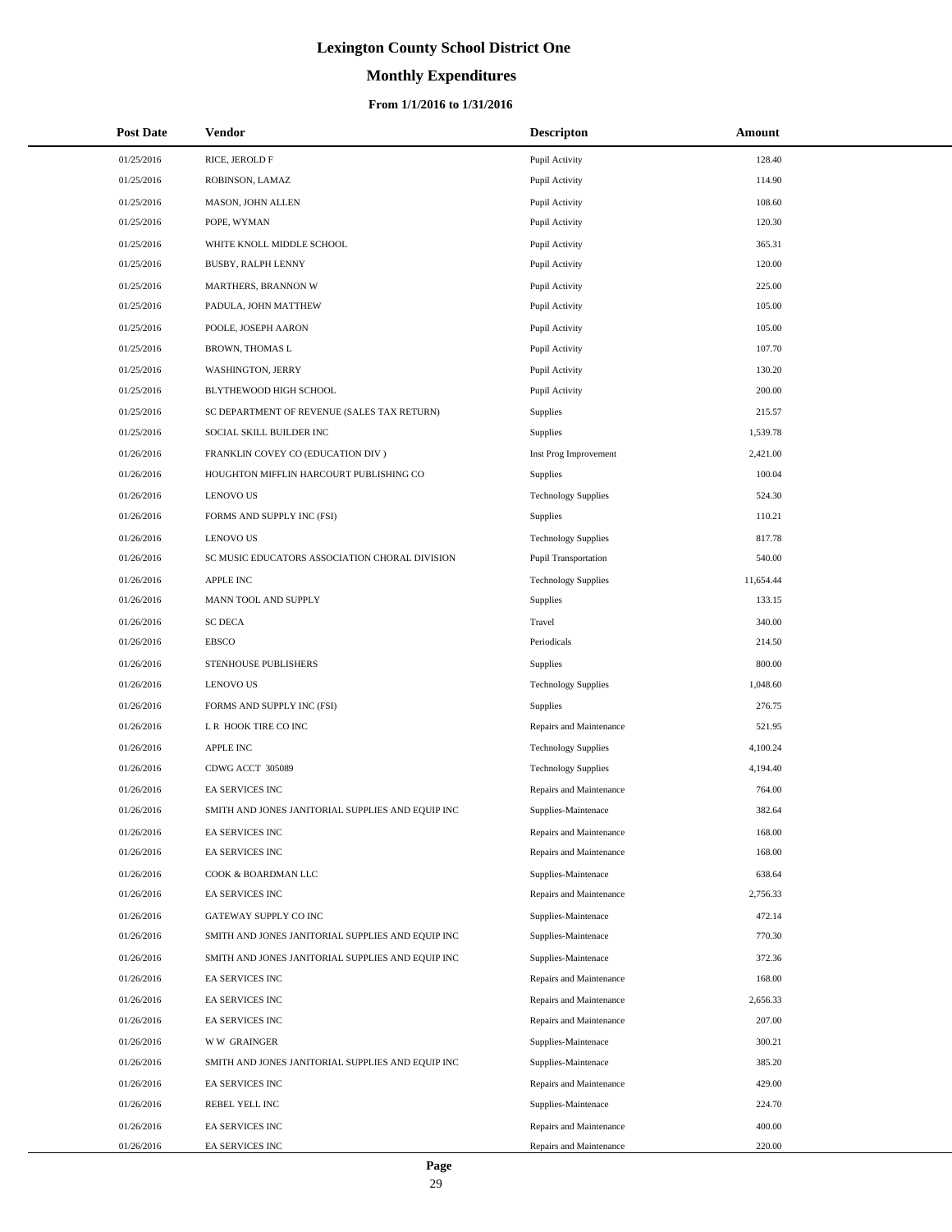# **Monthly Expenditures**

| <b>Post Date</b> | <b>Vendor</b>                                     | <b>Descripton</b>          | Amount    |
|------------------|---------------------------------------------------|----------------------------|-----------|
| 01/25/2016       | RICE, JEROLD F                                    | Pupil Activity             | 128.40    |
| 01/25/2016       | ROBINSON, LAMAZ                                   | Pupil Activity             | 114.90    |
| 01/25/2016       | MASON, JOHN ALLEN                                 | Pupil Activity             | 108.60    |
| 01/25/2016       | POPE, WYMAN                                       | Pupil Activity             | 120.30    |
| 01/25/2016       | WHITE KNOLL MIDDLE SCHOOL                         | Pupil Activity             | 365.31    |
| 01/25/2016       | BUSBY, RALPH LENNY                                | Pupil Activity             | 120.00    |
| 01/25/2016       | MARTHERS, BRANNON W                               | Pupil Activity             | 225.00    |
| 01/25/2016       | PADULA, JOHN MATTHEW                              | Pupil Activity             | 105.00    |
| 01/25/2016       | POOLE, JOSEPH AARON                               | Pupil Activity             | 105.00    |
| 01/25/2016       | BROWN, THOMAS L                                   | Pupil Activity             | 107.70    |
| 01/25/2016       | WASHINGTON, JERRY                                 | Pupil Activity             | 130.20    |
| 01/25/2016       | BLYTHEWOOD HIGH SCHOOL                            | Pupil Activity             | 200.00    |
| 01/25/2016       | SC DEPARTMENT OF REVENUE (SALES TAX RETURN)       | Supplies                   | 215.57    |
| 01/25/2016       | SOCIAL SKILL BUILDER INC                          | Supplies                   | 1,539.78  |
| 01/26/2016       | FRANKLIN COVEY CO (EDUCATION DIV)                 | Inst Prog Improvement      | 2,421.00  |
| 01/26/2016       | HOUGHTON MIFFLIN HARCOURT PUBLISHING CO           | <b>Supplies</b>            | 100.04    |
| 01/26/2016       | <b>LENOVO US</b>                                  | <b>Technology Supplies</b> | 524.30    |
| 01/26/2016       | FORMS AND SUPPLY INC (FSI)                        | Supplies                   | 110.21    |
| 01/26/2016       | <b>LENOVO US</b>                                  | <b>Technology Supplies</b> | 817.78    |
| 01/26/2016       | SC MUSIC EDUCATORS ASSOCIATION CHORAL DIVISION    | Pupil Transportation       | 540.00    |
| 01/26/2016       | <b>APPLE INC</b>                                  | <b>Technology Supplies</b> | 11,654.44 |
| 01/26/2016       | MANN TOOL AND SUPPLY                              | Supplies                   | 133.15    |
| 01/26/2016       | <b>SC DECA</b>                                    | Travel                     | 340.00    |
| 01/26/2016       | <b>EBSCO</b>                                      | Periodicals                | 214.50    |
| 01/26/2016       | STENHOUSE PUBLISHERS                              | <b>Supplies</b>            | 800.00    |
| 01/26/2016       | <b>LENOVO US</b>                                  | <b>Technology Supplies</b> | 1,048.60  |
| 01/26/2016       | FORMS AND SUPPLY INC (FSI)                        | <b>Supplies</b>            | 276.75    |
| 01/26/2016       | L R HOOK TIRE CO INC                              | Repairs and Maintenance    | 521.95    |
| 01/26/2016       | <b>APPLE INC</b>                                  | <b>Technology Supplies</b> | 4,100.24  |
| 01/26/2016       | CDWG ACCT 305089                                  | <b>Technology Supplies</b> | 4,194.40  |
| 01/26/2016       | EA SERVICES INC                                   | Repairs and Maintenance    | 764.00    |
| 01/26/2016       | SMITH AND JONES JANITORIAL SUPPLIES AND EQUIP INC | Supplies-Maintenace        | 382.64    |
| 01/26/2016       | EA SERVICES INC                                   | Repairs and Maintenance    | 168.00    |
| 01/26/2016       | EA SERVICES INC                                   | Repairs and Maintenance    | 168.00    |
| 01/26/2016       | COOK & BOARDMAN LLC                               | Supplies-Maintenace        | 638.64    |
| 01/26/2016       | EA SERVICES INC                                   | Repairs and Maintenance    | 2,756.33  |
| 01/26/2016       | GATEWAY SUPPLY CO INC                             | Supplies-Maintenace        | 472.14    |
| 01/26/2016       | SMITH AND JONES JANITORIAL SUPPLIES AND EQUIP INC | Supplies-Maintenace        | 770.30    |
| 01/26/2016       | SMITH AND JONES JANITORIAL SUPPLIES AND EQUIP INC | Supplies-Maintenace        | 372.36    |
| 01/26/2016       | EA SERVICES INC                                   | Repairs and Maintenance    | 168.00    |
| 01/26/2016       | EA SERVICES INC                                   | Repairs and Maintenance    | 2,656.33  |
| 01/26/2016       | EA SERVICES INC                                   | Repairs and Maintenance    | 207.00    |
| 01/26/2016       | <b>WW GRAINGER</b>                                | Supplies-Maintenace        | 300.21    |
| 01/26/2016       | SMITH AND JONES JANITORIAL SUPPLIES AND EQUIP INC | Supplies-Maintenace        | 385.20    |
| 01/26/2016       | EA SERVICES INC                                   | Repairs and Maintenance    | 429.00    |
| 01/26/2016       | REBEL YELL INC                                    | Supplies-Maintenace        | 224.70    |
| 01/26/2016       | EA SERVICES INC                                   | Repairs and Maintenance    | 400.00    |
| 01/26/2016       | EA SERVICES INC                                   | Repairs and Maintenance    | 220.00    |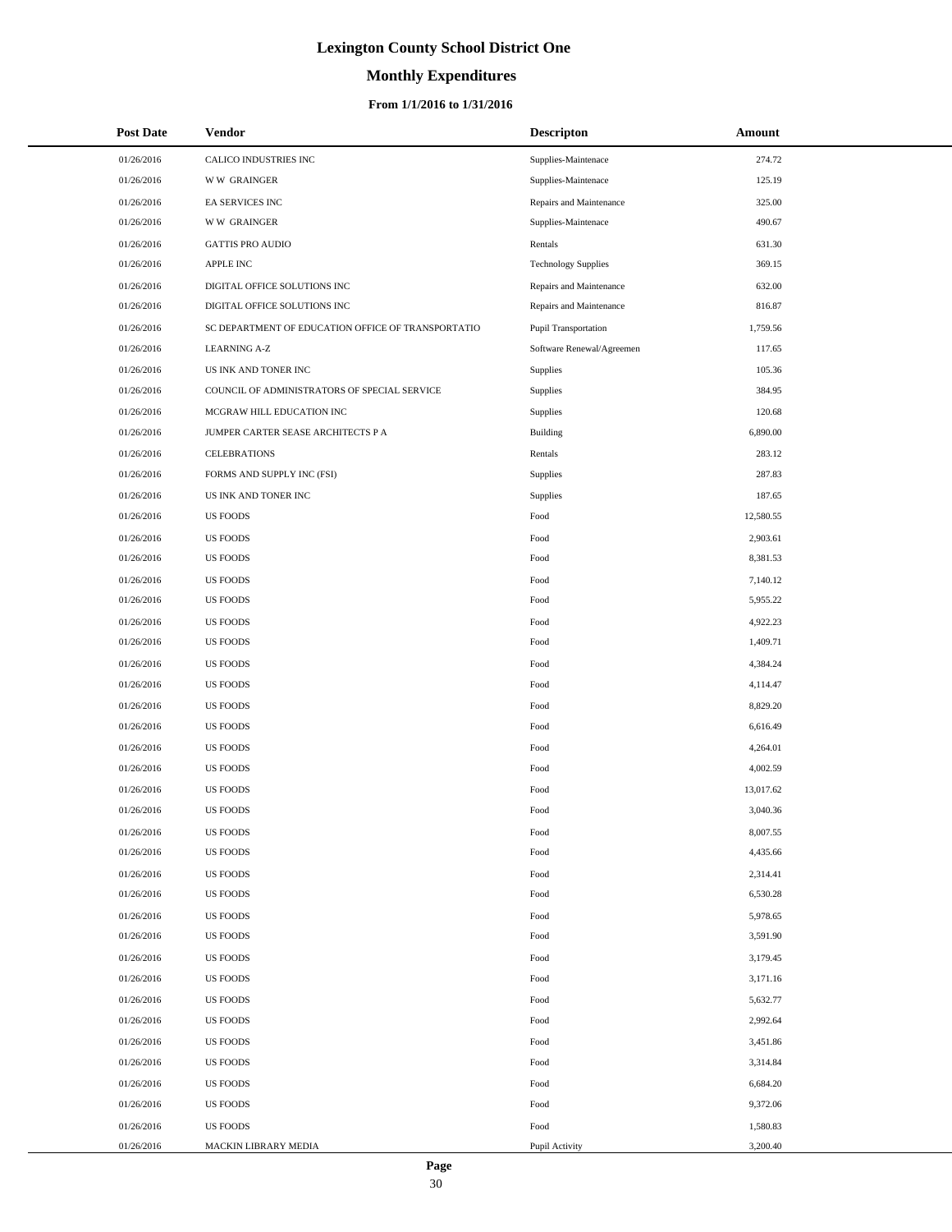# **Monthly Expenditures**

| <b>Post Date</b> | Vendor                                             | <b>Descripton</b>           | Amount    |
|------------------|----------------------------------------------------|-----------------------------|-----------|
| 01/26/2016       | CALICO INDUSTRIES INC                              | Supplies-Maintenace         | 274.72    |
| 01/26/2016       | <b>WW GRAINGER</b>                                 | Supplies-Maintenace         | 125.19    |
| 01/26/2016       | EA SERVICES INC                                    | Repairs and Maintenance     | 325.00    |
| 01/26/2016       | <b>WW GRAINGER</b>                                 | Supplies-Maintenace         | 490.67    |
| 01/26/2016       | <b>GATTIS PRO AUDIO</b>                            | Rentals                     | 631.30    |
| 01/26/2016       | <b>APPLE INC</b>                                   | <b>Technology Supplies</b>  | 369.15    |
| 01/26/2016       | DIGITAL OFFICE SOLUTIONS INC                       | Repairs and Maintenance     | 632.00    |
| 01/26/2016       | DIGITAL OFFICE SOLUTIONS INC                       | Repairs and Maintenance     | 816.87    |
| 01/26/2016       | SC DEPARTMENT OF EDUCATION OFFICE OF TRANSPORTATIO | <b>Pupil Transportation</b> | 1,759.56  |
| 01/26/2016       | <b>LEARNING A-Z</b>                                | Software Renewal/Agreemen   | 117.65    |
| 01/26/2016       | US INK AND TONER INC                               | Supplies                    | 105.36    |
| 01/26/2016       | COUNCIL OF ADMINISTRATORS OF SPECIAL SERVICE       | Supplies                    | 384.95    |
| 01/26/2016       | MCGRAW HILL EDUCATION INC                          | Supplies                    | 120.68    |
| 01/26/2016       | JUMPER CARTER SEASE ARCHITECTS P A                 | Building                    | 6,890.00  |
| 01/26/2016       | <b>CELEBRATIONS</b>                                | Rentals                     | 283.12    |
| 01/26/2016       | FORMS AND SUPPLY INC (FSI)                         | Supplies                    | 287.83    |
| 01/26/2016       | US INK AND TONER INC                               | Supplies                    | 187.65    |
| 01/26/2016       | <b>US FOODS</b>                                    | Food                        | 12,580.55 |
| 01/26/2016       | <b>US FOODS</b>                                    | Food                        | 2,903.61  |
| 01/26/2016       | <b>US FOODS</b>                                    | Food                        | 8,381.53  |
| 01/26/2016       | <b>US FOODS</b>                                    | Food                        | 7,140.12  |
| 01/26/2016       | <b>US FOODS</b>                                    | Food                        | 5,955.22  |
| 01/26/2016       | <b>US FOODS</b>                                    | Food                        | 4,922.23  |
| 01/26/2016       | <b>US FOODS</b>                                    | Food                        | 1,409.71  |
| 01/26/2016       | <b>US FOODS</b>                                    | Food                        | 4,384.24  |
| 01/26/2016       | <b>US FOODS</b>                                    | Food                        | 4,114.47  |
| 01/26/2016       | <b>US FOODS</b>                                    | Food                        | 8,829.20  |
| 01/26/2016       | <b>US FOODS</b>                                    | Food                        | 6,616.49  |
| 01/26/2016       | <b>US FOODS</b>                                    | Food                        | 4,264.01  |
| 01/26/2016       | <b>US FOODS</b>                                    | Food                        | 4,002.59  |
| 01/26/2016       | <b>US FOODS</b>                                    | Food                        | 13,017.62 |
| 01/26/2016       | <b>US FOODS</b>                                    | Food                        | 3,040.36  |
| 01/26/2016       | <b>US FOODS</b>                                    | Food                        | 8,007.55  |
| 01/26/2016       | <b>US FOODS</b>                                    | Food                        | 4,435.66  |
| 01/26/2016       | <b>US FOODS</b>                                    | Food                        | 2,314.41  |
| 01/26/2016       | <b>US FOODS</b>                                    | Food                        | 6,530.28  |
| 01/26/2016       | <b>US FOODS</b>                                    | Food                        | 5,978.65  |
| 01/26/2016       | <b>US FOODS</b>                                    | Food                        | 3,591.90  |
| 01/26/2016       | <b>US FOODS</b>                                    | Food                        | 3,179.45  |
| 01/26/2016       | <b>US FOODS</b>                                    | Food                        | 3,171.16  |
| 01/26/2016       | <b>US FOODS</b>                                    | Food                        | 5,632.77  |
| 01/26/2016       | <b>US FOODS</b>                                    | Food                        | 2,992.64  |
| 01/26/2016       | <b>US FOODS</b>                                    | Food                        | 3,451.86  |
| 01/26/2016       | <b>US FOODS</b>                                    | Food                        | 3,314.84  |
| 01/26/2016       | <b>US FOODS</b>                                    | Food                        | 6,684.20  |
| 01/26/2016       | <b>US FOODS</b>                                    | Food                        | 9,372.06  |
| 01/26/2016       | <b>US FOODS</b>                                    | Food                        | 1,580.83  |
| 01/26/2016       | MACKIN LIBRARY MEDIA                               | Pupil Activity              | 3,200.40  |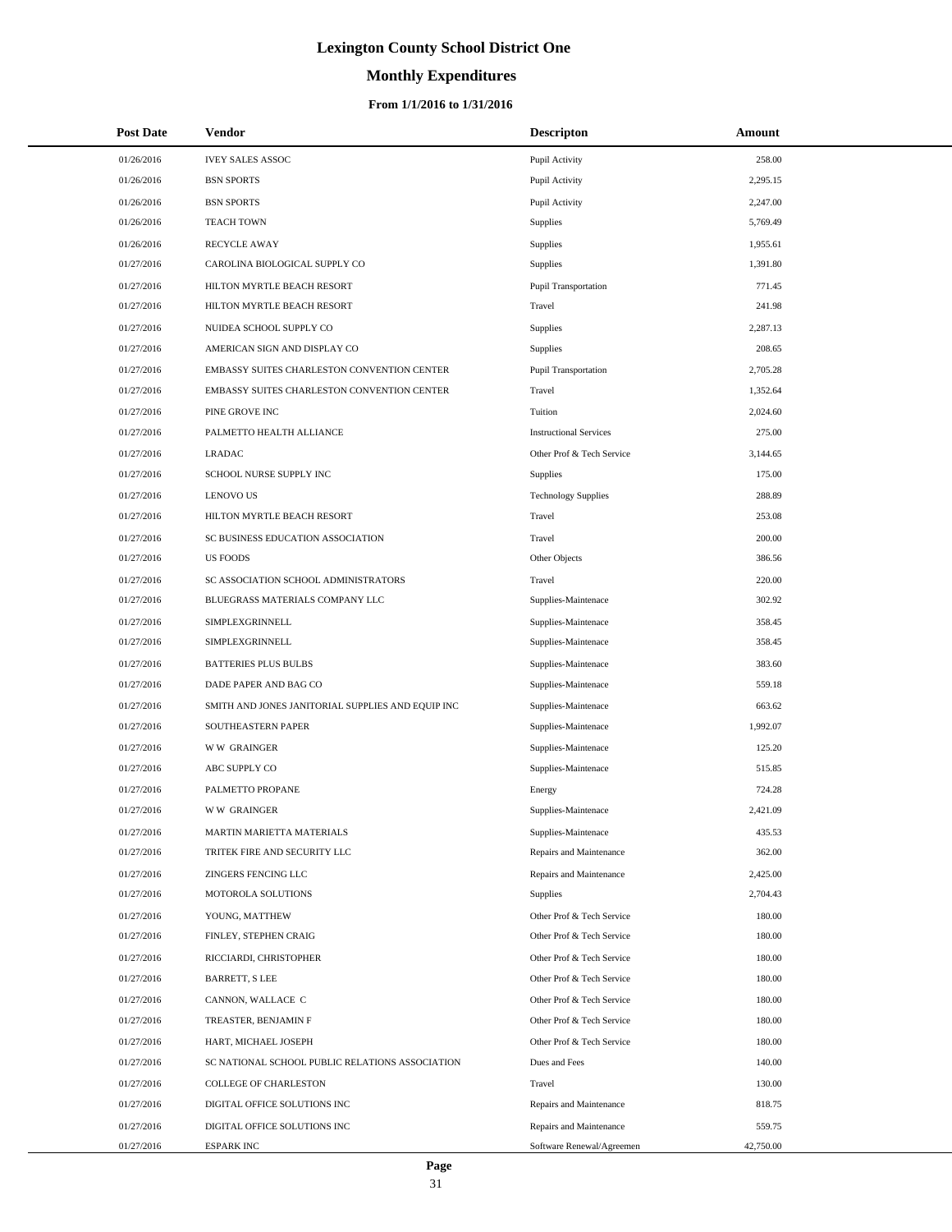# **Monthly Expenditures**

### **From 1/1/2016 to 1/31/2016**

| <b>Post Date</b> | Vendor                                            | <b>Descripton</b>             | Amount    |
|------------------|---------------------------------------------------|-------------------------------|-----------|
| 01/26/2016       | <b>IVEY SALES ASSOC</b>                           | Pupil Activity                | 258.00    |
| 01/26/2016       | <b>BSN SPORTS</b>                                 | Pupil Activity                | 2,295.15  |
| 01/26/2016       | <b>BSN SPORTS</b>                                 | Pupil Activity                | 2,247.00  |
| 01/26/2016       | <b>TEACH TOWN</b>                                 | Supplies                      | 5,769.49  |
| 01/26/2016       | <b>RECYCLE AWAY</b>                               | <b>Supplies</b>               | 1,955.61  |
| 01/27/2016       | CAROLINA BIOLOGICAL SUPPLY CO                     | <b>Supplies</b>               | 1,391.80  |
| 01/27/2016       | HILTON MYRTLE BEACH RESORT                        | Pupil Transportation          | 771.45    |
| 01/27/2016       | HILTON MYRTLE BEACH RESORT                        | Travel                        | 241.98    |
| 01/27/2016       | NUIDEA SCHOOL SUPPLY CO                           | <b>Supplies</b>               | 2,287.13  |
| 01/27/2016       | AMERICAN SIGN AND DISPLAY CO                      | <b>Supplies</b>               | 208.65    |
| 01/27/2016       | EMBASSY SUITES CHARLESTON CONVENTION CENTER       | Pupil Transportation          | 2,705.28  |
| 01/27/2016       | EMBASSY SUITES CHARLESTON CONVENTION CENTER       | Travel                        | 1,352.64  |
| 01/27/2016       | PINE GROVE INC                                    | Tuition                       | 2,024.60  |
| 01/27/2016       | PALMETTO HEALTH ALLIANCE                          | <b>Instructional Services</b> | 275.00    |
| 01/27/2016       | <b>LRADAC</b>                                     | Other Prof & Tech Service     | 3,144.65  |
| 01/27/2016       | SCHOOL NURSE SUPPLY INC                           | <b>Supplies</b>               | 175.00    |
| 01/27/2016       | <b>LENOVO US</b>                                  | <b>Technology Supplies</b>    | 288.89    |
| 01/27/2016       | HILTON MYRTLE BEACH RESORT                        | Travel                        | 253.08    |
| 01/27/2016       | SC BUSINESS EDUCATION ASSOCIATION                 | Travel                        | 200.00    |
| 01/27/2016       | <b>US FOODS</b>                                   | Other Objects                 | 386.56    |
| 01/27/2016       | SC ASSOCIATION SCHOOL ADMINISTRATORS              | Travel                        | 220.00    |
| 01/27/2016       | BLUEGRASS MATERIALS COMPANY LLC                   | Supplies-Maintenace           | 302.92    |
| 01/27/2016       | SIMPLEXGRINNELL                                   | Supplies-Maintenace           | 358.45    |
| 01/27/2016       | SIMPLEXGRINNELL                                   | Supplies-Maintenace           | 358.45    |
| 01/27/2016       | <b>BATTERIES PLUS BULBS</b>                       | Supplies-Maintenace           | 383.60    |
| 01/27/2016       | DADE PAPER AND BAG CO                             | Supplies-Maintenace           | 559.18    |
| 01/27/2016       | SMITH AND JONES JANITORIAL SUPPLIES AND EQUIP INC | Supplies-Maintenace           | 663.62    |
| 01/27/2016       | SOUTHEASTERN PAPER                                | Supplies-Maintenace           | 1,992.07  |
| 01/27/2016       | <b>WW GRAINGER</b>                                | Supplies-Maintenace           | 125.20    |
| 01/27/2016       | ABC SUPPLY CO                                     | Supplies-Maintenace           | 515.85    |
| 01/27/2016       | PALMETTO PROPANE                                  | Energy                        | 724.28    |
| 01/27/2016       | <b>WW GRAINGER</b>                                | Supplies-Maintenace           | 2,421.09  |
| 01/27/2016       | MARTIN MARIETTA MATERIALS                         | Supplies-Maintenace           | 435.53    |
| 01/27/2016       | TRITEK FIRE AND SECURITY LLC                      | Repairs and Maintenance       | 362.00    |
| 01/27/2016       | ZINGERS FENCING LLC                               | Repairs and Maintenance       | 2,425.00  |
| 01/27/2016       | MOTOROLA SOLUTIONS                                | <b>Supplies</b>               | 2,704.43  |
| 01/27/2016       | YOUNG, MATTHEW                                    | Other Prof & Tech Service     | 180.00    |
| 01/27/2016       | FINLEY, STEPHEN CRAIG                             | Other Prof & Tech Service     | 180.00    |
| 01/27/2016       | RICCIARDI, CHRISTOPHER                            | Other Prof & Tech Service     | 180.00    |
| 01/27/2016       | <b>BARRETT, S LEE</b>                             | Other Prof & Tech Service     | 180.00    |
| 01/27/2016       | CANNON, WALLACE C                                 | Other Prof & Tech Service     | 180.00    |
| 01/27/2016       | TREASTER, BENJAMIN F                              | Other Prof & Tech Service     | 180.00    |
| 01/27/2016       | HART, MICHAEL JOSEPH                              | Other Prof & Tech Service     | 180.00    |
| 01/27/2016       | SC NATIONAL SCHOOL PUBLIC RELATIONS ASSOCIATION   | Dues and Fees                 | 140.00    |
| 01/27/2016       | COLLEGE OF CHARLESTON                             | Travel                        | 130.00    |
| 01/27/2016       | DIGITAL OFFICE SOLUTIONS INC                      | Repairs and Maintenance       | 818.75    |
| 01/27/2016       | DIGITAL OFFICE SOLUTIONS INC                      | Repairs and Maintenance       | 559.75    |
| 01/27/2016       | <b>ESPARK INC</b>                                 | Software Renewal/Agreemen     | 42,750.00 |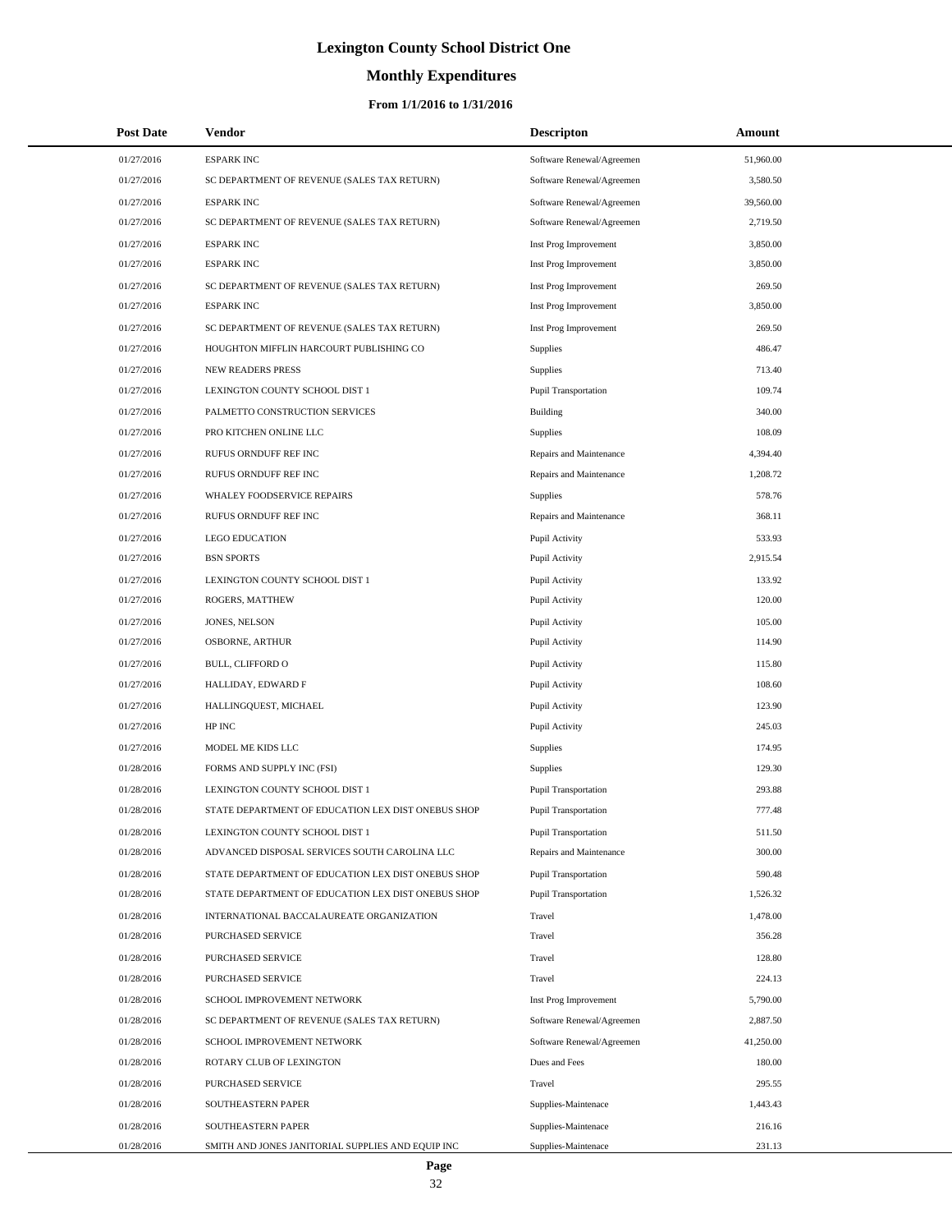# **Monthly Expenditures**

| <b>Post Date</b> | Vendor                                             | <b>Descripton</b>           | Amount    |
|------------------|----------------------------------------------------|-----------------------------|-----------|
| 01/27/2016       | <b>ESPARK INC</b>                                  | Software Renewal/Agreemen   | 51,960.00 |
| 01/27/2016       | SC DEPARTMENT OF REVENUE (SALES TAX RETURN)        | Software Renewal/Agreemen   | 3,580.50  |
| 01/27/2016       | <b>ESPARK INC</b>                                  | Software Renewal/Agreemen   | 39,560.00 |
| 01/27/2016       | SC DEPARTMENT OF REVENUE (SALES TAX RETURN)        | Software Renewal/Agreemen   | 2,719.50  |
| 01/27/2016       | <b>ESPARK INC</b>                                  | Inst Prog Improvement       | 3,850.00  |
| 01/27/2016       | <b>ESPARK INC</b>                                  | Inst Prog Improvement       | 3,850.00  |
| 01/27/2016       | SC DEPARTMENT OF REVENUE (SALES TAX RETURN)        | Inst Prog Improvement       | 269.50    |
| 01/27/2016       | <b>ESPARK INC</b>                                  | Inst Prog Improvement       | 3,850.00  |
| 01/27/2016       | SC DEPARTMENT OF REVENUE (SALES TAX RETURN)        | Inst Prog Improvement       | 269.50    |
| 01/27/2016       | HOUGHTON MIFFLIN HARCOURT PUBLISHING CO            | Supplies                    | 486.47    |
| 01/27/2016       | <b>NEW READERS PRESS</b>                           | Supplies                    | 713.40    |
| 01/27/2016       | LEXINGTON COUNTY SCHOOL DIST 1                     | <b>Pupil Transportation</b> | 109.74    |
| 01/27/2016       | PALMETTO CONSTRUCTION SERVICES                     | <b>Building</b>             | 340.00    |
| 01/27/2016       | PRO KITCHEN ONLINE LLC                             | Supplies                    | 108.09    |
| 01/27/2016       | RUFUS ORNDUFF REF INC                              | Repairs and Maintenance     | 4,394.40  |
| 01/27/2016       | RUFUS ORNDUFF REF INC                              | Repairs and Maintenance     | 1,208.72  |
| 01/27/2016       | WHALEY FOODSERVICE REPAIRS                         | Supplies                    | 578.76    |
| 01/27/2016       | RUFUS ORNDUFF REF INC                              | Repairs and Maintenance     | 368.11    |
| 01/27/2016       | <b>LEGO EDUCATION</b>                              | Pupil Activity              | 533.93    |
| 01/27/2016       | <b>BSN SPORTS</b>                                  | Pupil Activity              | 2,915.54  |
| 01/27/2016       | LEXINGTON COUNTY SCHOOL DIST 1                     | Pupil Activity              | 133.92    |
| 01/27/2016       | ROGERS, MATTHEW                                    | Pupil Activity              | 120.00    |
| 01/27/2016       | JONES, NELSON                                      | Pupil Activity              | 105.00    |
| 01/27/2016       | OSBORNE, ARTHUR                                    | Pupil Activity              | 114.90    |
| 01/27/2016       | BULL, CLIFFORD O                                   | Pupil Activity              | 115.80    |
| 01/27/2016       | HALLIDAY, EDWARD F                                 | Pupil Activity              | 108.60    |
| 01/27/2016       | HALLINGQUEST, MICHAEL                              | Pupil Activity              | 123.90    |
| 01/27/2016       | HP INC                                             | Pupil Activity              | 245.03    |
| 01/27/2016       | MODEL ME KIDS LLC                                  | Supplies                    | 174.95    |
| 01/28/2016       | FORMS AND SUPPLY INC (FSI)                         | Supplies                    | 129.30    |
| 01/28/2016       | LEXINGTON COUNTY SCHOOL DIST 1                     | <b>Pupil Transportation</b> | 293.88    |
| 01/28/2016       | STATE DEPARTMENT OF EDUCATION LEX DIST ONEBUS SHOP | <b>Pupil Transportation</b> | 777.48    |
| 01/28/2016       | LEXINGTON COUNTY SCHOOL DIST 1                     | <b>Pupil Transportation</b> | 511.50    |
| 01/28/2016       | ADVANCED DISPOSAL SERVICES SOUTH CAROLINA LLC      | Repairs and Maintenance     | 300.00    |
| 01/28/2016       | STATE DEPARTMENT OF EDUCATION LEX DIST ONEBUS SHOP | <b>Pupil Transportation</b> | 590.48    |
| 01/28/2016       | STATE DEPARTMENT OF EDUCATION LEX DIST ONEBUS SHOP | <b>Pupil Transportation</b> | 1,526.32  |
| 01/28/2016       | INTERNATIONAL BACCALAUREATE ORGANIZATION           | Travel                      | 1,478.00  |
| 01/28/2016       | PURCHASED SERVICE                                  | Travel                      | 356.28    |
| 01/28/2016       | PURCHASED SERVICE                                  | Travel                      | 128.80    |
| 01/28/2016       | PURCHASED SERVICE                                  | Travel                      | 224.13    |
| 01/28/2016       | SCHOOL IMPROVEMENT NETWORK                         | Inst Prog Improvement       | 5,790.00  |
| 01/28/2016       | SC DEPARTMENT OF REVENUE (SALES TAX RETURN)        | Software Renewal/Agreemen   | 2,887.50  |
| 01/28/2016       | SCHOOL IMPROVEMENT NETWORK                         | Software Renewal/Agreemen   | 41,250.00 |
| 01/28/2016       | ROTARY CLUB OF LEXINGTON                           | Dues and Fees               | 180.00    |
| 01/28/2016       | PURCHASED SERVICE                                  | Travel                      | 295.55    |
| 01/28/2016       | SOUTHEASTERN PAPER                                 | Supplies-Maintenace         | 1,443.43  |
| 01/28/2016       | SOUTHEASTERN PAPER                                 | Supplies-Maintenace         | 216.16    |
| 01/28/2016       | SMITH AND JONES JANITORIAL SUPPLIES AND EQUIP INC  | Supplies-Maintenace         | 231.13    |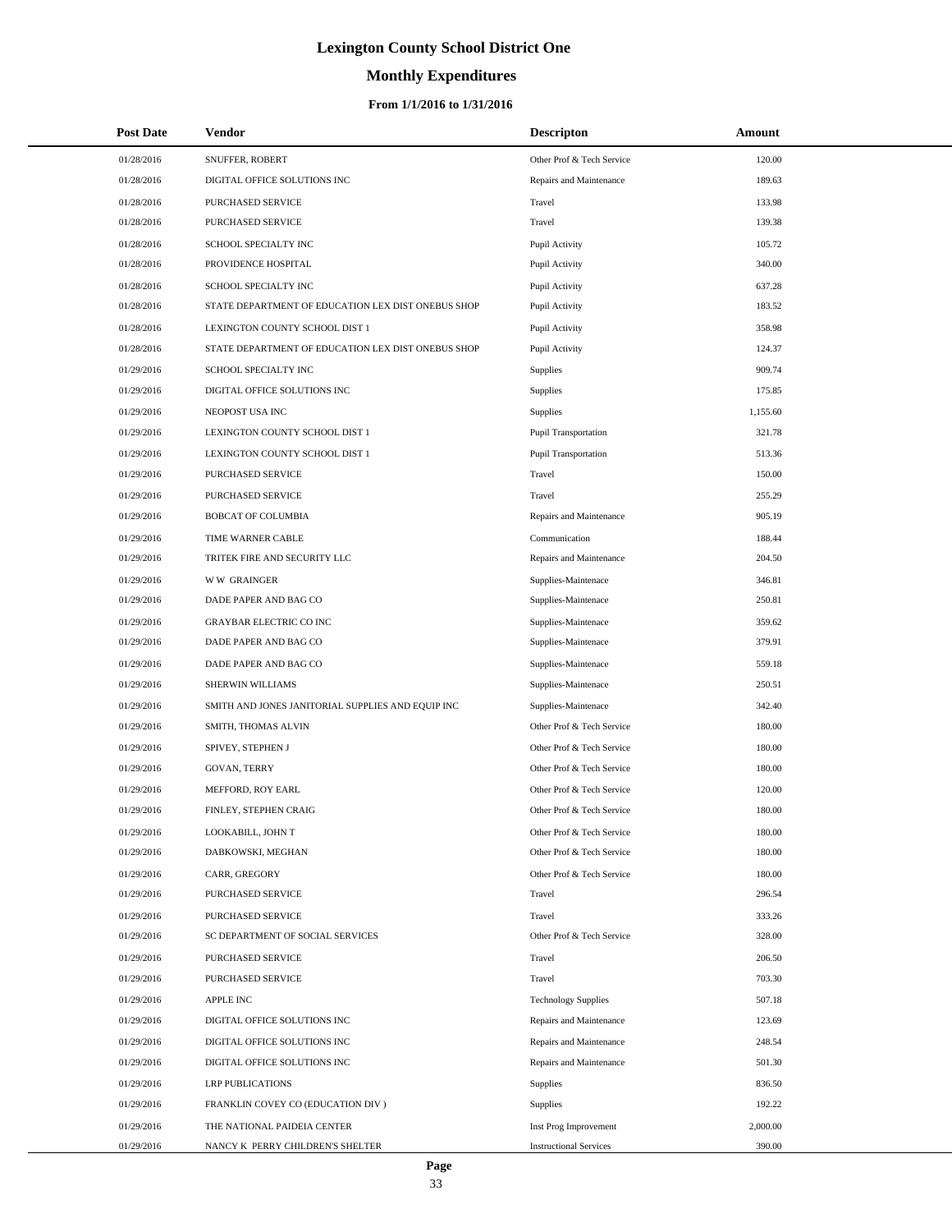# **Monthly Expenditures**

### **From 1/1/2016 to 1/31/2016**

| <b>Post Date</b> | Vendor                                             | <b>Descripton</b>             | Amount   |  |
|------------------|----------------------------------------------------|-------------------------------|----------|--|
| 01/28/2016       | SNUFFER, ROBERT                                    | Other Prof & Tech Service     | 120.00   |  |
| 01/28/2016       | DIGITAL OFFICE SOLUTIONS INC                       | Repairs and Maintenance       | 189.63   |  |
| 01/28/2016       | PURCHASED SERVICE                                  | Travel                        | 133.98   |  |
| 01/28/2016       | PURCHASED SERVICE                                  | Travel                        | 139.38   |  |
| 01/28/2016       | SCHOOL SPECIALTY INC                               | Pupil Activity                | 105.72   |  |
| 01/28/2016       | PROVIDENCE HOSPITAL                                | Pupil Activity                | 340.00   |  |
| 01/28/2016       | SCHOOL SPECIALTY INC                               | Pupil Activity                | 637.28   |  |
| 01/28/2016       | STATE DEPARTMENT OF EDUCATION LEX DIST ONEBUS SHOP | Pupil Activity                | 183.52   |  |
| 01/28/2016       | LEXINGTON COUNTY SCHOOL DIST 1                     | Pupil Activity                | 358.98   |  |
| 01/28/2016       | STATE DEPARTMENT OF EDUCATION LEX DIST ONEBUS SHOP | Pupil Activity                | 124.37   |  |
| 01/29/2016       | SCHOOL SPECIALTY INC                               | Supplies                      | 909.74   |  |
| 01/29/2016       | DIGITAL OFFICE SOLUTIONS INC                       | <b>Supplies</b>               | 175.85   |  |
| 01/29/2016       | NEOPOST USA INC                                    | <b>Supplies</b>               | 1,155.60 |  |
| 01/29/2016       | LEXINGTON COUNTY SCHOOL DIST 1                     | Pupil Transportation          | 321.78   |  |
| 01/29/2016       | LEXINGTON COUNTY SCHOOL DIST 1                     | <b>Pupil Transportation</b>   | 513.36   |  |
| 01/29/2016       | PURCHASED SERVICE                                  | Travel                        | 150.00   |  |
| 01/29/2016       | PURCHASED SERVICE                                  | Travel                        | 255.29   |  |
| 01/29/2016       | <b>BOBCAT OF COLUMBIA</b>                          | Repairs and Maintenance       | 905.19   |  |
| 01/29/2016       | TIME WARNER CABLE                                  | Communication                 | 188.44   |  |
| 01/29/2016       | TRITEK FIRE AND SECURITY LLC                       | Repairs and Maintenance       | 204.50   |  |
| 01/29/2016       | <b>WW GRAINGER</b>                                 | Supplies-Maintenace           | 346.81   |  |
| 01/29/2016       | DADE PAPER AND BAG CO                              | Supplies-Maintenace           | 250.81   |  |
| 01/29/2016       | <b>GRAYBAR ELECTRIC CO INC</b>                     | Supplies-Maintenace           | 359.62   |  |
| 01/29/2016       | DADE PAPER AND BAG CO                              | Supplies-Maintenace           | 379.91   |  |
| 01/29/2016       | DADE PAPER AND BAG CO                              | Supplies-Maintenace           | 559.18   |  |
| 01/29/2016       | SHERWIN WILLIAMS                                   | Supplies-Maintenace           | 250.51   |  |
| 01/29/2016       | SMITH AND JONES JANITORIAL SUPPLIES AND EQUIP INC  | Supplies-Maintenace           | 342.40   |  |
| 01/29/2016       | SMITH, THOMAS ALVIN                                | Other Prof & Tech Service     | 180.00   |  |
| 01/29/2016       | SPIVEY, STEPHEN J                                  | Other Prof & Tech Service     | 180.00   |  |
| 01/29/2016       | <b>GOVAN, TERRY</b>                                | Other Prof & Tech Service     | 180.00   |  |
| 01/29/2016       | MEFFORD, ROY EARL                                  | Other Prof & Tech Service     | 120.00   |  |
| 01/29/2016       | FINLEY, STEPHEN CRAIG                              | Other Prof & Tech Service     | 180.00   |  |
| 01/29/2016       | LOOKABILL, JOHN T                                  | Other Prof & Tech Service     | 180.00   |  |
| 01/29/2016       | DABKOWSKI, MEGHAN                                  | Other Prof & Tech Service     | 180.00   |  |
| 01/29/2016       | CARR, GREGORY                                      | Other Prof & Tech Service     | 180.00   |  |
| 01/29/2016       | PURCHASED SERVICE                                  | Travel                        | 296.54   |  |
| 01/29/2016       | PURCHASED SERVICE                                  | Travel                        | 333.26   |  |
| 01/29/2016       | SC DEPARTMENT OF SOCIAL SERVICES                   | Other Prof & Tech Service     | 328.00   |  |
| 01/29/2016       | PURCHASED SERVICE                                  | Travel                        | 206.50   |  |
| 01/29/2016       | PURCHASED SERVICE                                  | Travel                        | 703.30   |  |
| 01/29/2016       | <b>APPLE INC</b>                                   | <b>Technology Supplies</b>    | 507.18   |  |
| 01/29/2016       | DIGITAL OFFICE SOLUTIONS INC                       | Repairs and Maintenance       | 123.69   |  |
| 01/29/2016       | DIGITAL OFFICE SOLUTIONS INC                       | Repairs and Maintenance       | 248.54   |  |
| 01/29/2016       | DIGITAL OFFICE SOLUTIONS INC                       | Repairs and Maintenance       | 501.30   |  |
| 01/29/2016       | <b>LRP PUBLICATIONS</b>                            | Supplies                      | 836.50   |  |
| 01/29/2016       | FRANKLIN COVEY CO (EDUCATION DIV)                  | <b>Supplies</b>               | 192.22   |  |
| 01/29/2016       | THE NATIONAL PAIDEIA CENTER                        | Inst Prog Improvement         | 2,000.00 |  |
| 01/29/2016       | NANCY K PERRY CHILDREN'S SHELTER                   | <b>Instructional Services</b> | 390.00   |  |

÷.